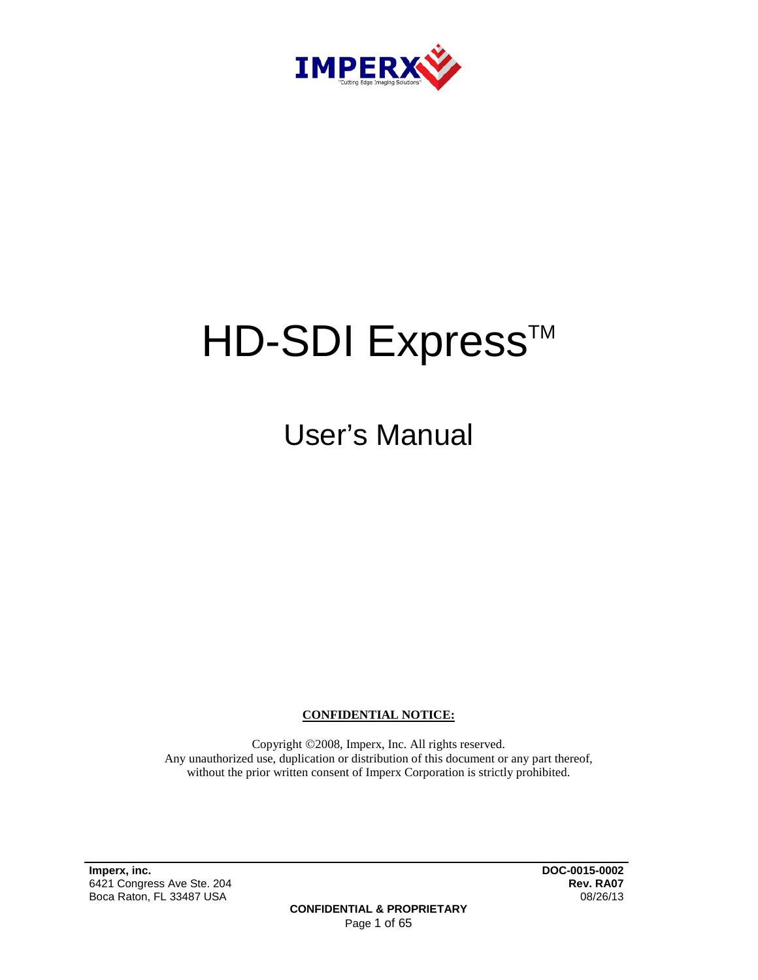

# HD-SDI Express<sup>™</sup>

User's Manual

**CONFIDENTIAL NOTICE:**

Copyright ©2008, Imperx, Inc. All rights reserved. Any unauthorized use, duplication or distribution of this document or any part thereof, without the prior written consent of Imperx Corporation is strictly prohibited.

**Imperx, inc. DOC-0015-0002** 6421 Congress Ave Ste. 204 **Rev. RA07** Boca Raton, FL 33487 USA

**CONFIDENTIAL & PROPRIETARY** Page 1 of 65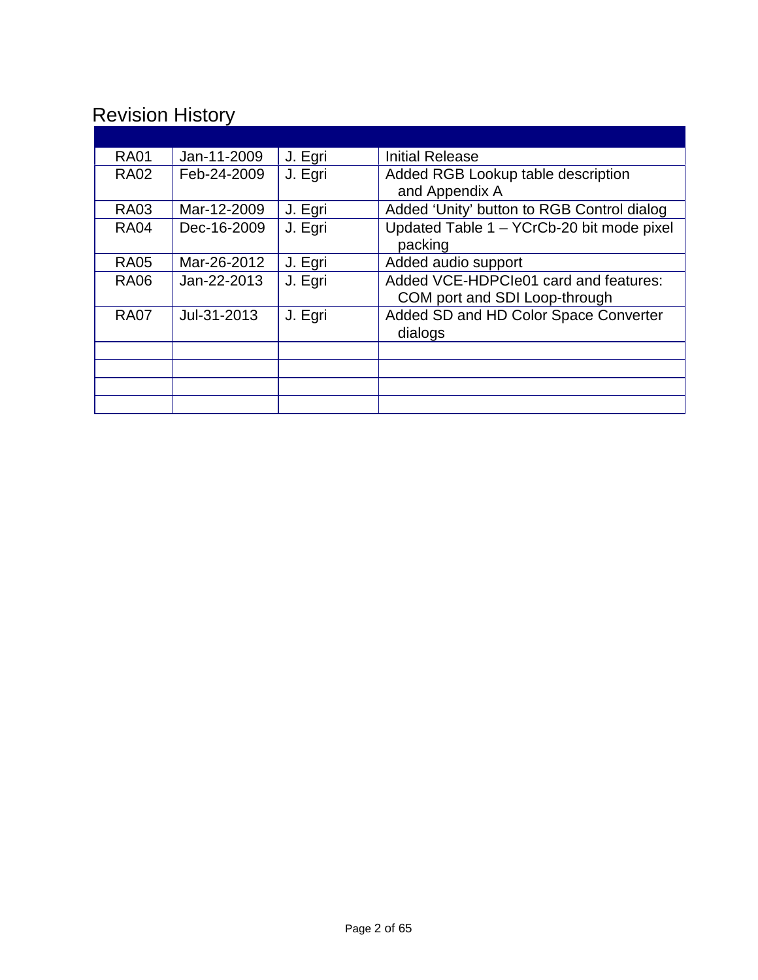# Revision History

| <b>RA01</b> | Jan-11-2009 | J. Egri | <b>Initial Release</b>                                                 |
|-------------|-------------|---------|------------------------------------------------------------------------|
| <b>RA02</b> | Feb-24-2009 | J. Egri | Added RGB Lookup table description<br>and Appendix A                   |
| <b>RA03</b> | Mar-12-2009 | J. Egri | Added 'Unity' button to RGB Control dialog                             |
| <b>RA04</b> | Dec-16-2009 | J. Egri | Updated Table 1 - YCrCb-20 bit mode pixel<br>packing                   |
| <b>RA05</b> | Mar-26-2012 | J. Egri | Added audio support                                                    |
| <b>RA06</b> | Jan-22-2013 | J. Egri | Added VCE-HDPCIe01 card and features:<br>COM port and SDI Loop-through |
| <b>RA07</b> | Jul-31-2013 | J. Egri | Added SD and HD Color Space Converter<br>dialogs                       |
|             |             |         |                                                                        |
|             |             |         |                                                                        |
|             |             |         |                                                                        |
|             |             |         |                                                                        |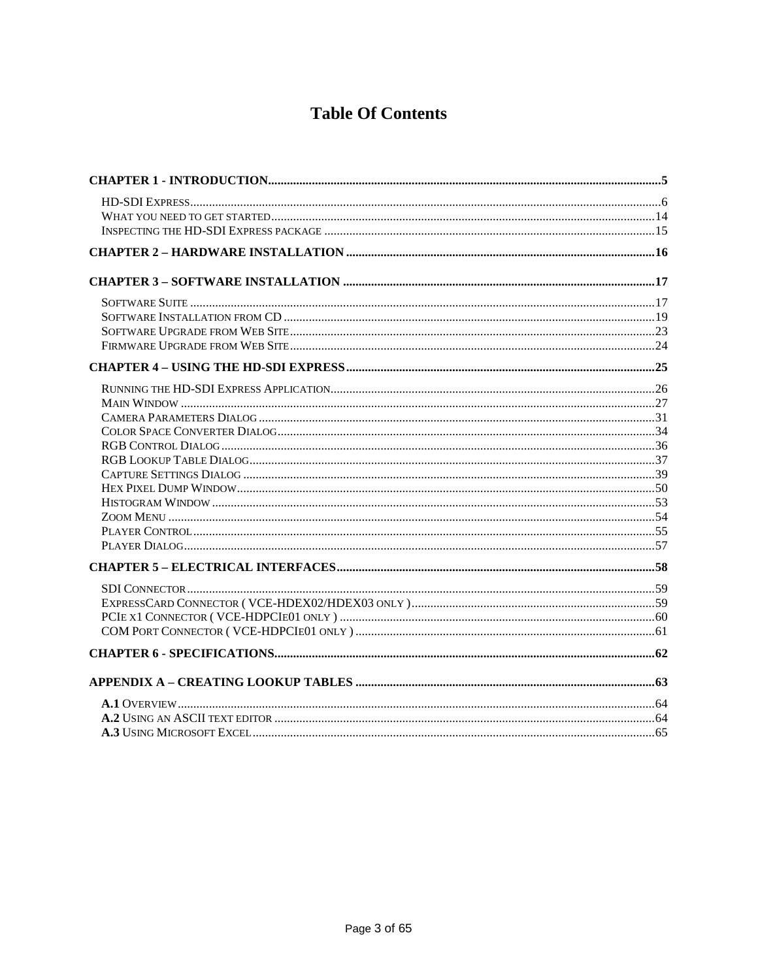# **Table Of Contents**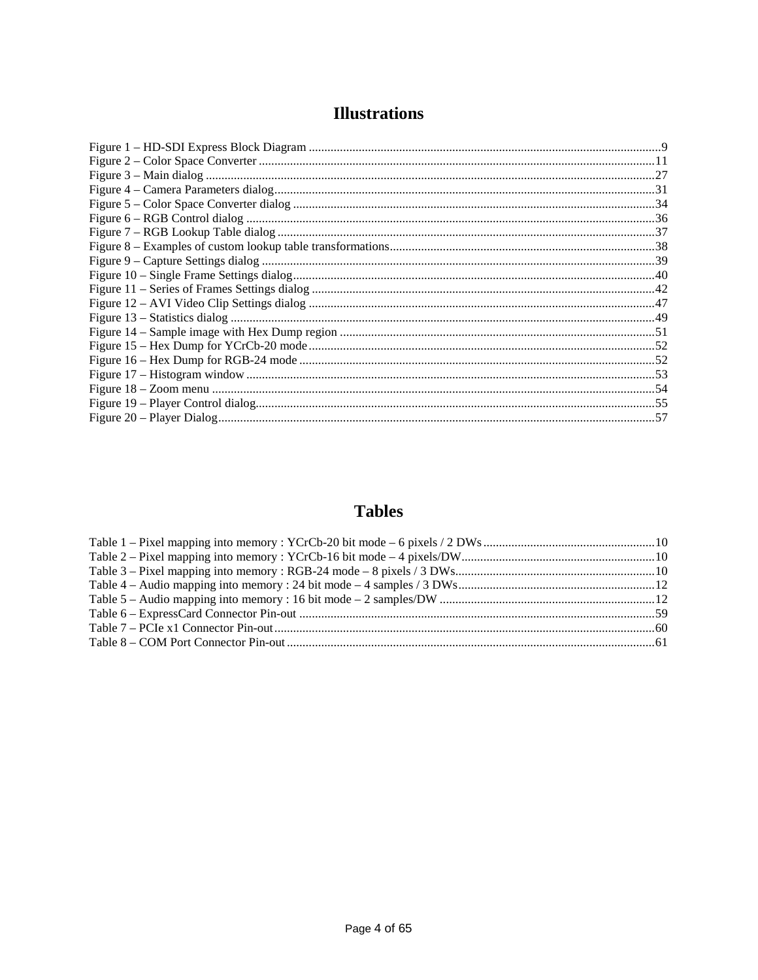## **Illustrations**

### **Tables**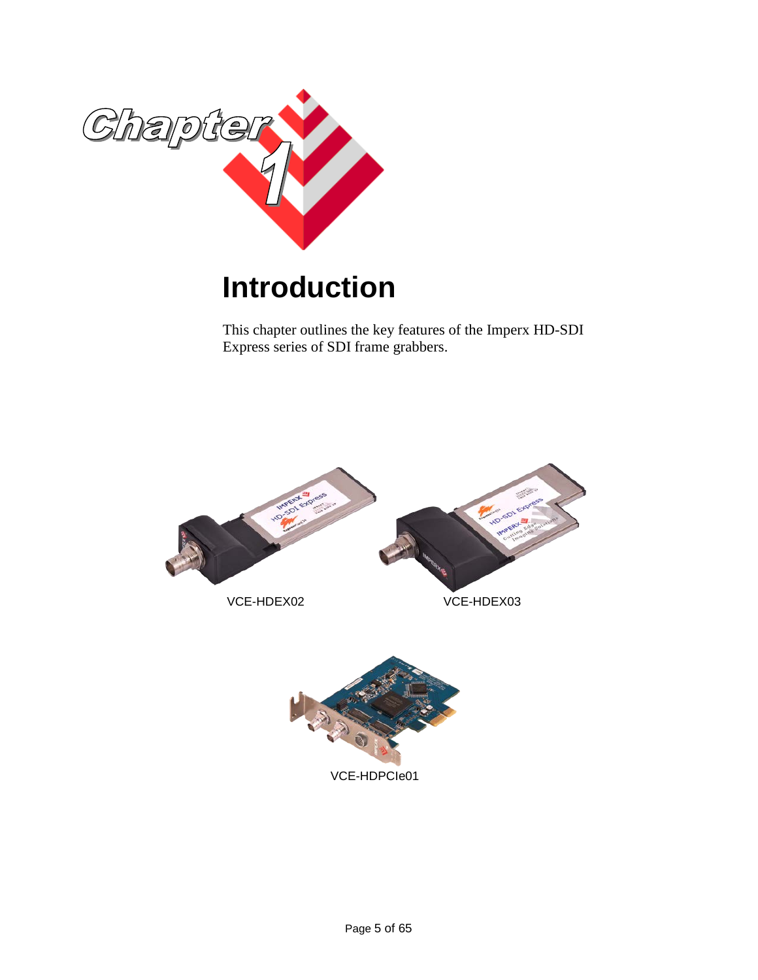

# <span id="page-4-0"></span>**Introduction**

This chapter outlines the key features of the Imperx HD-SDI Express series of SDI frame grabbers.

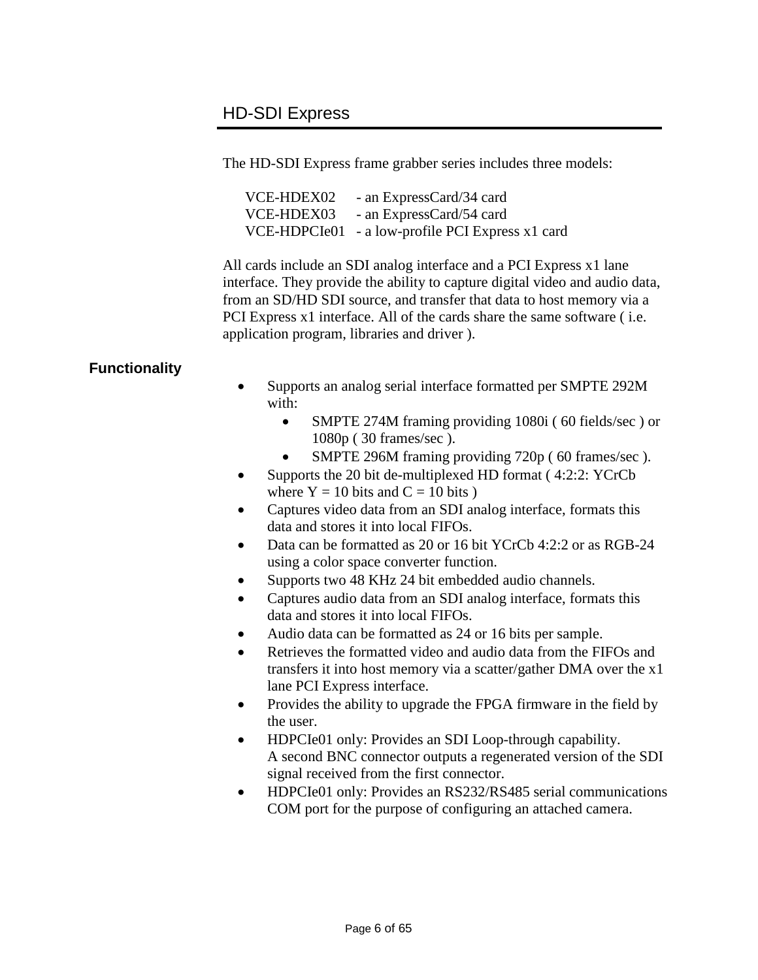### <span id="page-5-0"></span>HD-SDI Express

The HD-SDI Express frame grabber series includes three models:

| VCE-HDEX02 | - an ExpressCard/34 card                         |
|------------|--------------------------------------------------|
| VCE-HDEX03 | - an ExpressCard/54 card                         |
|            | VCE-HDPCIe01 - a low-profile PCI Express x1 card |

All cards include an SDI analog interface and a PCI Express x1 lane interface. They provide the ability to capture digital video and audio data, from an SD/HD SDI source, and transfer that data to host memory via a PCI Express x1 interface. All of the cards share the same software ( i.e. application program, libraries and driver ).

#### **Functionality**

- Supports an analog serial interface formatted per SMPTE 292M with:
	- SMPTE 274M framing providing 1080i (60 fields/sec) or 1080p ( 30 frames/sec ).
	- SMPTE 296M framing providing 720p (60 frames/sec).
- Supports the 20 bit de-multiplexed HD format (4:2:2: YCrCb) where  $Y = 10$  bits and  $C = 10$  bits )
- Captures video data from an SDI analog interface, formats this data and stores it into local FIFOs.
- Data can be formatted as 20 or 16 bit YCrCb 4:2:2 or as RGB-24 using a color space converter function.
- Supports two 48 KHz 24 bit embedded audio channels.
- Captures audio data from an SDI analog interface, formats this data and stores it into local FIFOs.
- Audio data can be formatted as 24 or 16 bits per sample.
- Retrieves the formatted video and audio data from the FIFOs and transfers it into host memory via a scatter/gather DMA over the x1 lane PCI Express interface.
- Provides the ability to upgrade the FPGA firmware in the field by the user.
- HDPCIe01 only: Provides an SDI Loop-through capability. A second BNC connector outputs a regenerated version of the SDI signal received from the first connector.
- HDPCIe01 only: Provides an RS232/RS485 serial communications COM port for the purpose of configuring an attached camera.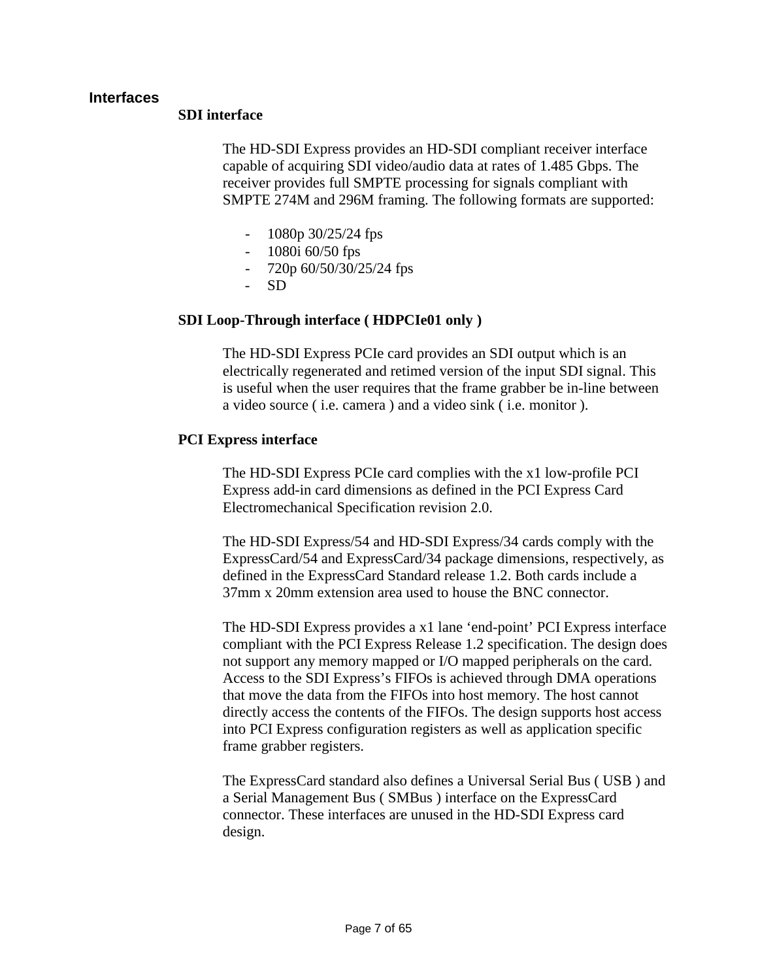#### **Interfaces**

#### **SDI interface**

The HD-SDI Express provides an HD-SDI compliant receiver interface capable of acquiring SDI video/audio data at rates of 1.485 Gbps. The receiver provides full SMPTE processing for signals compliant with SMPTE 274M and 296M framing. The following formats are supported:

- 1080p 30/25/24 fps
- 1080i 60/50 fps
- 720p 60/50/30/25/24 fps
- SD

#### **SDI Loop-Through interface ( HDPCIe01 only )**

The HD-SDI Express PCIe card provides an SDI output which is an electrically regenerated and retimed version of the input SDI signal. This is useful when the user requires that the frame grabber be in-line between a video source ( i.e. camera ) and a video sink ( i.e. monitor ).

#### **PCI Express interface**

The HD-SDI Express PCIe card complies with the x1 low-profile PCI Express add-in card dimensions as defined in the PCI Express Card Electromechanical Specification revision 2.0.

The HD-SDI Express/54 and HD-SDI Express/34 cards comply with the ExpressCard/54 and ExpressCard/34 package dimensions, respectively, as defined in the ExpressCard Standard release 1.2. Both cards include a 37mm x 20mm extension area used to house the BNC connector.

The HD-SDI Express provides a x1 lane 'end-point' PCI Express interface compliant with the PCI Express Release 1.2 specification. The design does not support any memory mapped or I/O mapped peripherals on the card. Access to the SDI Express's FIFOs is achieved through DMA operations that move the data from the FIFOs into host memory. The host cannot directly access the contents of the FIFOs. The design supports host access into PCI Express configuration registers as well as application specific frame grabber registers.

The ExpressCard standard also defines a Universal Serial Bus ( USB ) and a Serial Management Bus ( SMBus ) interface on the ExpressCard connector. These interfaces are unused in the HD-SDI Express card design.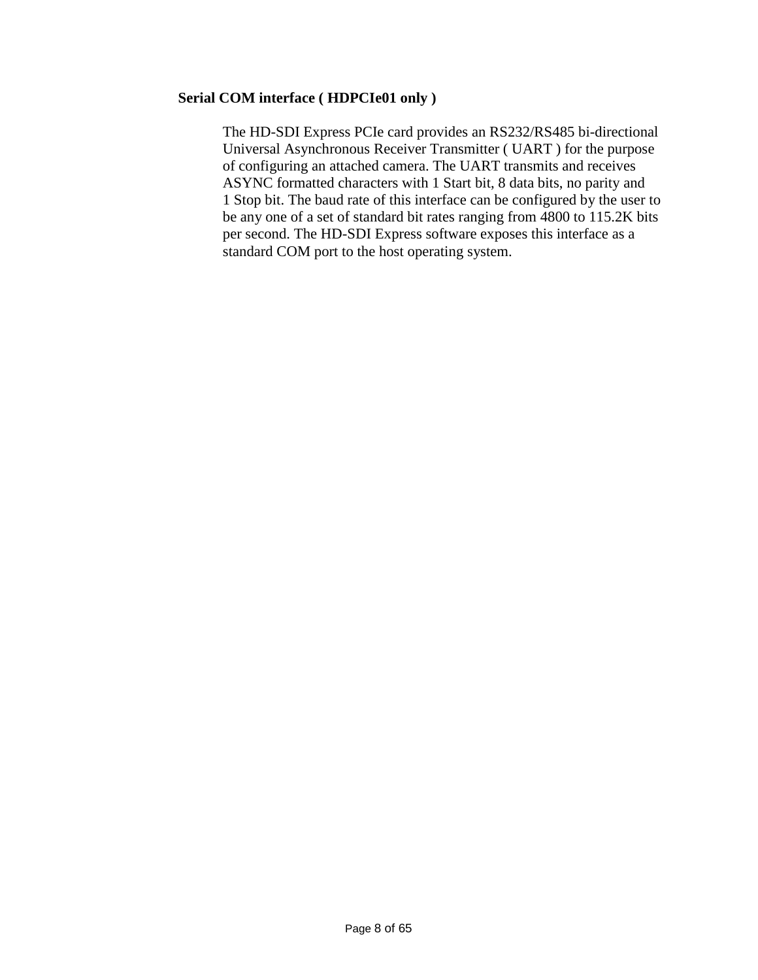#### **Serial COM interface ( HDPCIe01 only )**

The HD-SDI Express PCIe card provides an RS232/RS485 bi-directional Universal Asynchronous Receiver Transmitter ( UART ) for the purpose of configuring an attached camera. The UART transmits and receives ASYNC formatted characters with 1 Start bit, 8 data bits, no parity and 1 Stop bit. The baud rate of this interface can be configured by the user to be any one of a set of standard bit rates ranging from 4800 to 115.2K bits per second. The HD-SDI Express software exposes this interface as a standard COM port to the host operating system.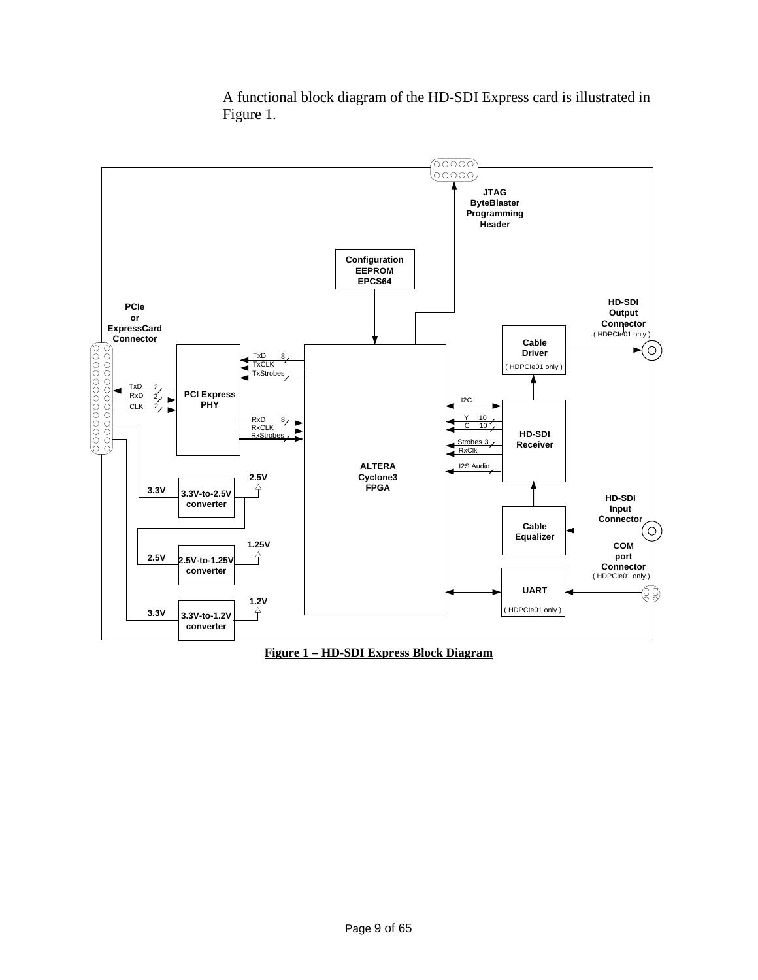

A functional block diagram of the HD-SDI Express card is illustrated in Figure 1.

<span id="page-8-0"></span>**Figure 1 – HD-SDI Express Block Diagram**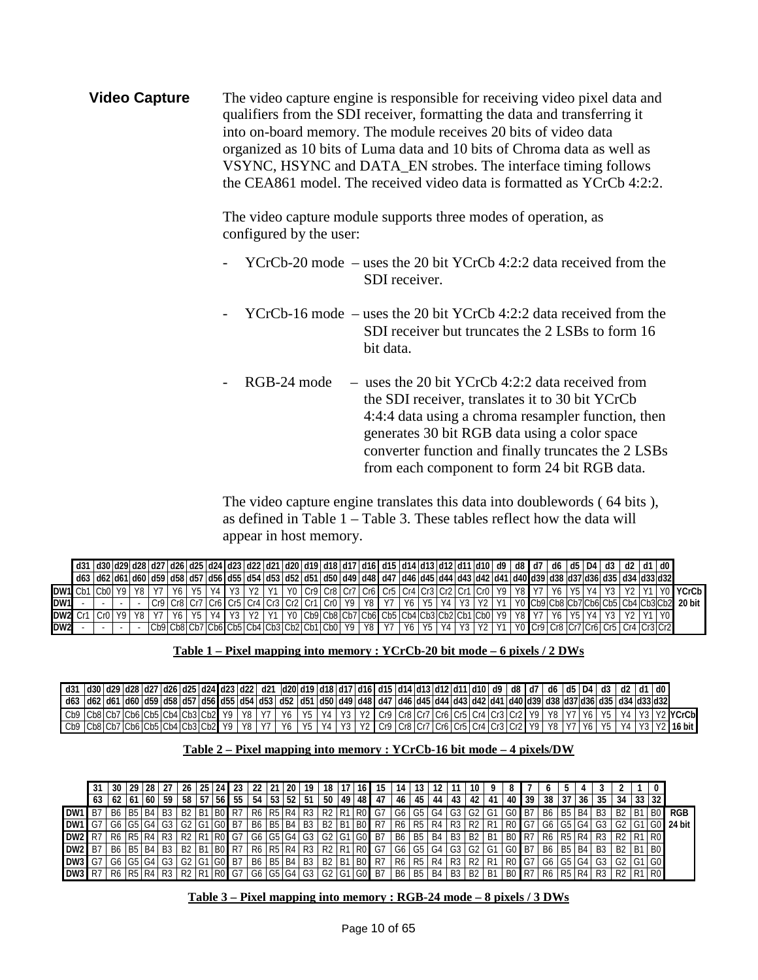**Video Capture** The video capture engine is responsible for receiving video pixel data and qualifiers from the SDI receiver, formatting the data and transferring it into on-board memory. The module receives 20 bits of video data organized as 10 bits of Luma data and 10 bits of Chroma data as well as VSYNC, HSYNC and DATA\_EN strobes. The interface timing follows the CEA861 model. The received video data is formatted as YCrCb 4:2:2.

> The video capture module supports three modes of operation, as configured by the user:

- YCrCb-20 mode uses the 20 bit YCrCb 4:2:2 data received from the SDI receiver.
- $YCrCb-16$  mode uses the 20 bit  $YCrCb$  4:2:2 data received from the SDI receiver but truncates the 2 LSBs to form 16 bit data.
- $RGB-24$  mode uses the 20 bit YCrCb 4:2:2 data received from the SDI receiver, translates it to 30 bit YCrCb 4:4:4 data using a chroma resampler function, then generates 30 bit RGB data using a color space converter function and finally truncates the 2 LSBs from each component to form 24 bit RGB data.

The video capture engine translates this data into doublewords ( 64 bits ), as defined in Table 1 – Table 3. These tables reflect how the data will appear in host memory.

|                 | d31  d30 d29 d28 d27 d26 d25 d24 d23 d22 d21 d20 d19 d18 d17 d16 d15 d14 d13 d12 d11 d10  d9   d8   d7                                                        |              |  |                         |  |       |                                            |  |  |       |                                                                          |                                                                                      |  |  |  |    | d6 d5 D4 L |  | d3   d2   d1   d0                       |  |                                                                                                                              |
|-----------------|---------------------------------------------------------------------------------------------------------------------------------------------------------------|--------------|--|-------------------------|--|-------|--------------------------------------------|--|--|-------|--------------------------------------------------------------------------|--------------------------------------------------------------------------------------|--|--|--|----|------------|--|-----------------------------------------|--|------------------------------------------------------------------------------------------------------------------------------|
|                 | d63   d62  d61  d60  d59  d58  d57  d56  d55  d54  d53  d52  d51  d50  d49  d48  d47  d46  d45  d44  d43  d42  d41  d40  d39  d38  d37 d36  d35  d34  d33 d32 |              |  |                         |  |       |                                            |  |  |       |                                                                          |                                                                                      |  |  |  |    |            |  |                                         |  |                                                                                                                              |
| DW1 Cb1         |                                                                                                                                                               | $ICh0$ Y9 Y8 |  |                         |  | Y2 Y1 |                                            |  |  |       | Y0   Cr9   Cr8   Cr7   Cr6   Cr5   Cr4   Cr3   Cr2   Cr1   Cr0   Y9   Y8 |                                                                                      |  |  |  | V7 |            |  |                                         |  | Y0 YCrCb                                                                                                                     |
| DW1             |                                                                                                                                                               |              |  | $Cr9$ $Cr8$ $Cr7$ $Cr6$ |  |       |                                            |  |  |       |                                                                          |                                                                                      |  |  |  |    |            |  |                                         |  | Cr5   Cr4   Cr3   Cr2   Cr1   Cr0   Y9   Y8   Y7   Y6   Y5   Y4   Y3   Y2   Y1   Y0  Cb9 Cb8 Cb7 Cb6 Cb5 Cb4 Cb3 Cb2  20 bit |
| DW2 Cr1         |                                                                                                                                                               |              |  |                         |  | V?    |                                            |  |  |       | Cb9 Cb8 Cb7 Cb6 Cb5 Cb4 Cb3 Cb2 Cb1 Cb0 Y9 Y8                            |                                                                                      |  |  |  |    |            |  |                                         |  |                                                                                                                              |
| DW <sub>2</sub> |                                                                                                                                                               |              |  |                         |  |       | Cb9 Cb8 Cb7 Cb6 Cb5 Cb4 Cb3 Cb2 Cb1 Cb0 Y9 |  |  | Y8 Y7 |                                                                          | $\sqrt{1 + 4 + 1}$ Y <sub>6</sub>   Y <sub>5</sub>   Y <sub>4</sub>   Y <sub>1</sub> |  |  |  |    |            |  | LYO Cr9 Cr8 Cr7 Cr6 Cr5 LCr4 LCr3 Cr2 L |  |                                                                                                                              |

#### **Table 1 – Pixel mapping into memory : YCrCb-20 bit mode – 6 pixels / 2 DWs**

<span id="page-9-0"></span>

|                                          |  |  |  |  | _d31  d30 d29 d28 d27 d26 d25 d24 d23 d22  d21  d20 d19 d18 d17 d16 d15 d14 d13 d12 d11 d10  d9   d8  d7   d6  d5 D4  d3   d2  d1  d0                                                       |    |       |  |  |  |  |  |  |  |  |  |                                                                                                                                                            |
|------------------------------------------|--|--|--|--|---------------------------------------------------------------------------------------------------------------------------------------------------------------------------------------------|----|-------|--|--|--|--|--|--|--|--|--|------------------------------------------------------------------------------------------------------------------------------------------------------------|
|                                          |  |  |  |  | ¦ d62   d62   d61   d60   d59   d58   d57   d56   d55   d54   d53   d52   d51   d50   d49   d48   d47   d46   d45   d44   d43   d42   d41   d40   d39   d38   d37  d36   d35   d34  d33 d32 |    |       |  |  |  |  |  |  |  |  |  |                                                                                                                                                            |
|                                          |  |  |  |  |                                                                                                                                                                                             |    |       |  |  |  |  |  |  |  |  |  | ' Cb9  Cb8 Cb7 Cb6 Cb5 Cb4 Cb3 Cb2  Y9   Y8   Y7   Y6   Y5   Y4   Y3   Y2   Cr9  Cr8 Cr7 Cr6 Cr5 Cr4 Cr3 Cr2  Y9   Y8   Y7   Y6   Y5   Y4   Y3   Y2  YCrCb |
| Cb9 Cb8 Cb7 Cb6 Cb5 Cb4 Cb3 Cb2 Y9 Y8 Y7 |  |  |  |  |                                                                                                                                                                                             | Y6 | Y5 Y4 |  |  |  |  |  |  |  |  |  | Y3   Y2   Cr9  Cr8  Cr7   Cr6   Cr5   Cr4   Cr3   Cr2   Y9   Y8   Y7   Y6   Y5   Y4   Y3   Y2   16 bit                                                     |

#### **Table 2 – Pixel mapping into memory : YCrCb-16 bit mode – 4 pixels/DW**

<span id="page-9-1"></span>

|                      |    | 30       | 29                            | 28     |                | 26                          | 25   | 24             |       |             | 21              | 20 I        | 19           | 18                            |                | 16              |           |      |                  |    |                |                |      |       |              |    |           |           |    |                                              |    |                |             |
|----------------------|----|----------|-------------------------------|--------|----------------|-----------------------------|------|----------------|-------|-------------|-----------------|-------------|--------------|-------------------------------|----------------|-----------------|-----------|------|------------------|----|----------------|----------------|------|-------|--------------|----|-----------|-----------|----|----------------------------------------------|----|----------------|-------------|
|                      | 63 | 62       | $ 61\rangle$                  | . 60 ! | 59             | 58                          | 57   | 56             | 55 I  | 54          | 53 <sup>1</sup> |             | $52 \mid 51$ | 50                            | 49             | 48              | -47       | 46   | 45               | 44 | 43             |                | -41  | 40 I  | 39           | 38 | 37        | 36        | 35 | 34                                           | 33 |                |             |
| <b>DW1</b> B7        |    | B6       | <b>B5 B4</b>                  |        | <b>B3</b>      | <b>B2</b>                   | IB1  | I BO           | . R7  |             |                 |             | R6 R5 R4 R3  | R <sub>2</sub> R <sub>1</sub> |                | I <sub>R0</sub> | G7        | G6   | I G5             | G4 | G <sub>3</sub> | G2             | G1   | GO B7 |              | B6 | <b>B5</b> | <b>B4</b> | B3 | B <sub>2</sub> B <sub>1</sub>                |    | B0.            | <b>RGB</b>  |
| $DW1$ G <sub>7</sub> |    | G6       | G5 G4                         |        | G <sub>3</sub> | G <sub>2</sub>              |      |                | . B7  |             |                 |             | B6 B5 B4 B3  | <b>B2</b>                     | B <sub>1</sub> | B <sub>0</sub>  | R7        | R6   | $\overline{R5}$  | R4 | R3             | <b>R2</b>      | R1   |       |              | G6 | G5 G4     |           | G3 | G2                                           |    |                | $G0$ 24 bit |
| <b>DW2</b> R7        |    | R6       | R <sub>5</sub> R <sub>4</sub> |        | I R3           | -R2                         | l R1 | R <sub>0</sub> | . G   | G6 G5 G4 G3 |                 |             |              |                               | G2 G1 G0       |                 | <b>B7</b> | - B6 | $\overline{185}$ | B4 | B <sub>3</sub> | B <sub>2</sub> | - B1 |       | B0 LR7 L     | R6 | R5 R4     |           | R3 | R2 R1 R0                                     |    |                |             |
| <b>DW2</b> B7        |    | B6 B5 B4 |                               |        | B3             | - B2                        | B1   | l B0           | -R7   |             |                 |             | R6 R5 R4 R3  | R <sub>2</sub> R <sub>1</sub> |                | IR <sub>0</sub> | G7        |      | $-$ G5           | G4 |                | G3 G2 G1       |      |       |              | B6 | B5        | <b>B4</b> | B3 | - B2                                         |    | B <sub>0</sub> |             |
| <b>DW3</b> G7        |    | G6       |                               | 04 ا   | G3             |                             |      |                | -B7   |             |                 | B6 B5 B4 B3 |              | B <sub>2</sub>                | l B1           | B0              | R7        | R6   | <b>R5</b>        | R4 | R3             | R2             | R    |       |              | G6 | G5 G4     |           | G3 |                                              |    | I GO           |             |
| <b>DW3</b> R7        |    |          |                               |        |                | R6   R5   R4   R3   R2   R1 |      |                | R0 G7 | G6 G5 G4 G3 |                 |             |              | G2 G1 G0 B7                   |                |                 |           |      | B6 B5            | B4 | <b>B3</b>      | B2 B1          |      |       | <b>BO R7</b> | R6 | R5 R4     |           | R3 | R <sub>2</sub> R <sub>1</sub> R <sub>0</sub> |    |                |             |

#### <span id="page-9-2"></span>**Table 3 – Pixel mapping into memory : RGB-24 mode – 8 pixels / 3 DWs**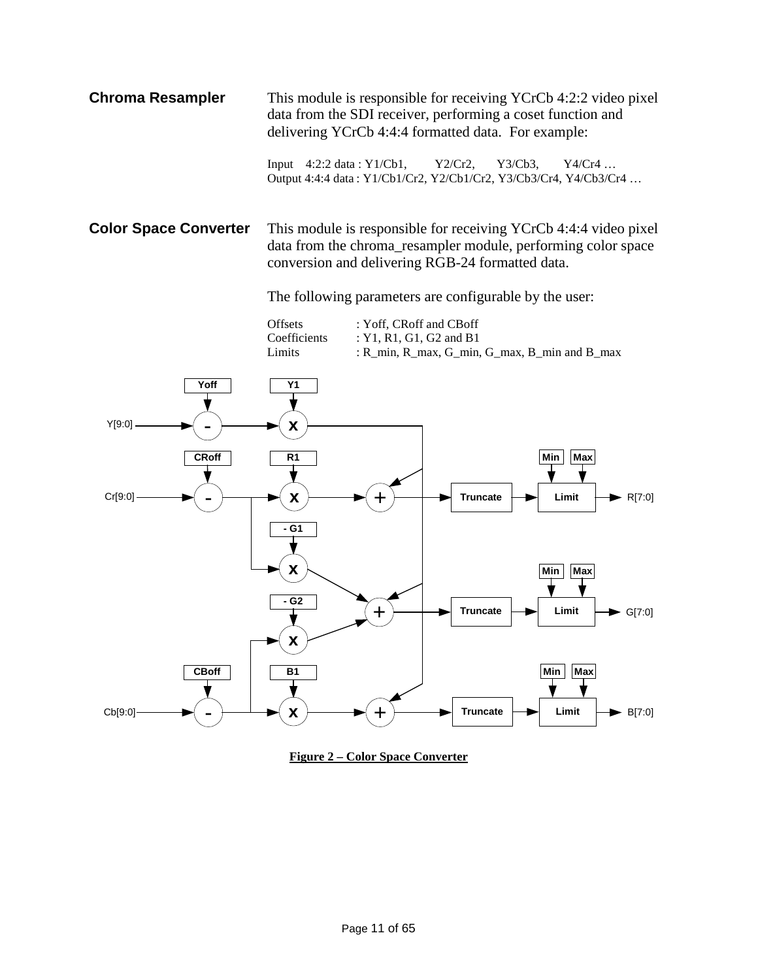**Chroma Resampler** This module is responsible for receiving YCrCb 4:2:2 video pixel data from the SDI receiver, performing a coset function and delivering YCrCb 4:4:4 formatted data. For example:

> Input 4:2:2 data : Y1/Cb1, Y2/Cr2, Y3/Cb3, Y4/Cr4 … Output 4:4:4 data : Y1/Cb1/Cr2, Y2/Cb1/Cr2, Y3/Cb3/Cr4, Y4/Cb3/Cr4 …

**Color Space Converter** This module is responsible for receiving YCrCb 4:4:4 video pixel data from the chroma\_resampler module, performing color space conversion and delivering RGB-24 formatted data.

The following parameters are configurable by the user:

Offsets : Yoff, CRoff and CBoff Coefficients : Y1, R1, G1, G2 and B1 Limits : R\_min, R\_max, G\_min, G\_max, B\_min and B\_max



<span id="page-10-0"></span>**Figure 2 – Color Space Converter**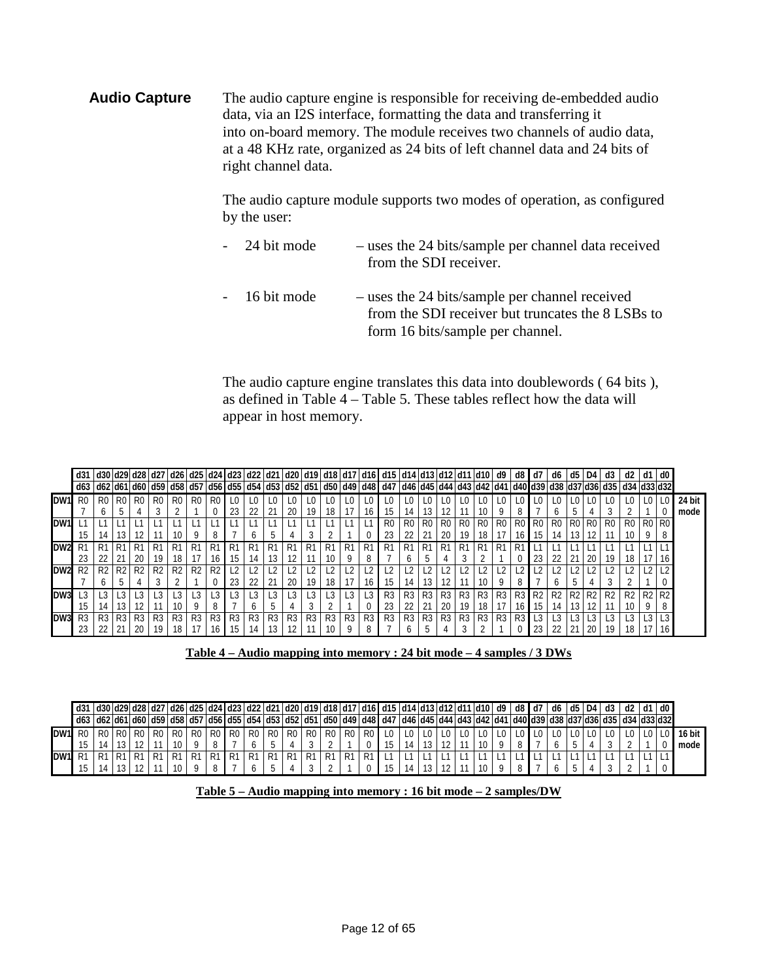**Audio Capture** The audio capture engine is responsible for receiving de-embedded audio data, via an I2S interface, formatting the data and transferring it into on-board memory. The module receives two channels of audio data, at a 48 KHz rate, organized as 24 bits of left channel data and 24 bits of right channel data.

> The audio capture module supports two modes of operation, as configured by the user:

> - 24 bit mode – uses the 24 bits/sample per channel data received from the SDI receiver. - 16 bit mode – uses the 24 bits/sample per channel received from the SDI receiver but truncates the 8 LSBs to form 16 bits/sample per channel.

> The audio capture engine translates this data into doublewords ( 64 bits ), as defined in Table 4 – Table 5. These tables reflect how the data will appear in host memory.

|                 | d30 d29 d28 d27 d26 d25 d24 d23 d22 d21 d20 d19 d18 d17 d16 d15 d14 d13 d12 d11 d10 |              |                |                |                |                |                |                |    |                         |                |                |                |              |       |                |                                                                                                                                                                                                                                |                |                |        |                |                | d9             | d8 | d7                                           | d6 | d5              |                                              |     |    |    | d0             |        |
|-----------------|-------------------------------------------------------------------------------------|--------------|----------------|----------------|----------------|----------------|----------------|----------------|----|-------------------------|----------------|----------------|----------------|--------------|-------|----------------|--------------------------------------------------------------------------------------------------------------------------------------------------------------------------------------------------------------------------------|----------------|----------------|--------|----------------|----------------|----------------|----|----------------------------------------------|----|-----------------|----------------------------------------------|-----|----|----|----------------|--------|
|                 |                                                                                     |              |                |                |                |                |                |                |    |                         |                |                |                |              |       |                | d52  d55  d55  d55  d55  d55  d55  d54  d53  d52  d51  d50  d49  d48  d47  d46  d45  d44  d43  d42  d41  d40  d39  d38  d37  d36  d35  d34  d33  d32  d34  d33  d32  d34  d33  d32  d35  d35  d35  d35  d34  d33  d32  d35  d3 |                |                |        |                |                |                |    |                                              |    |                 |                                              |     |    |    |                |        |
| DW1             | R <sub>0</sub>                                                                      | R0           | R <sub>0</sub> | R0             | R <sub>0</sub> | R <sub>0</sub> | R <sub>0</sub> | -RC            |    |                         |                |                |                |              |       |                |                                                                                                                                                                                                                                |                |                |        |                |                |                |    |                                              |    |                 |                                              |     |    |    |                | 24 bit |
|                 |                                                                                     | <sub>6</sub> | .5             |                |                |                |                |                | 23 | 22                      | 21             | 20             | 19             | 18 I         |       | 16             | 15                                                                                                                                                                                                                             | 14             | 13 I           |        | 11             | 10             | 9              | 8  |                                              |    |                 |                                              |     |    |    |                | mode   |
| DW1             |                                                                                     |              |                |                |                |                |                |                |    |                         |                |                |                |              |       |                | R <sub>0</sub>                                                                                                                                                                                                                 | R <sub>0</sub> | R0             | R0     | R0 I           | R0             | R <sub>0</sub> |    | R <sub>0</sub> R <sub>0</sub> R <sub>0</sub> |    |                 | R <sub>0</sub> R <sub>0</sub> R <sub>0</sub> |     | R0 | R0 |                |        |
|                 | 15 <sup>1</sup>                                                                     | 14           | 13 I           | 12             |                | 10             | -9             | 8              |    | <sub>0</sub>            | Ć              |                |                |              |       |                | 23                                                                                                                                                                                                                             | -22            |                | 20     | 19             | 18             |                | 16 | 15                                           | 14 | 13 <sup>1</sup> | 12.                                          |     | 10 |    |                |        |
| DW2             |                                                                                     |              |                |                |                | R1             | R              |                |    |                         | K.             | R              |                | R            | R1    | R1             | R1                                                                                                                                                                                                                             | R <sup>1</sup> |                |        |                |                |                |    |                                              |    |                 |                                              |     |    |    |                |        |
|                 | 23                                                                                  |              |                | 20             | 19             | 18             |                | 16             | 15 | 14                      |                | 12             |                | 10           | 9     | 8              |                                                                                                                                                                                                                                | <sub>b</sub>   |                |        |                |                |                |    | 23                                           | 22 | 21              | -20                                          | -19 | 18 |    | 16             |        |
| DW <sub>2</sub> | R <sub>2</sub>                                                                      | R2           | R2             | R <sub>2</sub> | R <sub>2</sub> | R2             | R <sub>2</sub> | R <sub>2</sub> |    | $\overline{\mathbf{2}}$ |                |                |                |              |       |                |                                                                                                                                                                                                                                |                |                |        |                |                |                |    |                                              |    |                 |                                              |     |    |    |                |        |
|                 |                                                                                     | h.           | .5             |                |                |                |                |                | 23 | 22                      | -21            | 20             | -19            | 18 I         |       | 16             | 15                                                                                                                                                                                                                             | -14            | 13 I           | 12     | 11             | 10             | 9              | 8  |                                              |    |                 |                                              |     |    |    |                |        |
| DW3             |                                                                                     |              |                |                |                |                |                |                |    |                         |                |                |                |              |       |                | R3                                                                                                                                                                                                                             | R <sub>3</sub> | R3             | .1R31' | R <sub>3</sub> | R <sub>3</sub> | R3             |    | R3 R2 R2                                     |    |                 | R2 R2 R2                                     |     | R2 |    | R <sub>2</sub> |        |
|                 |                                                                                     |              |                | 12             |                | 10             | Q              | 8              |    | <sub>0</sub>            | 5              |                |                |              |       |                | 23                                                                                                                                                                                                                             | 22             |                | 20     | 19             | 18             | 17             | 16 | 15                                           | 14 | 13 <sup>1</sup> |                                              |     |    |    | 8              |        |
| DW3             | R3                                                                                  | $R3$ $R3$    |                | R3             | R <sub>3</sub> | R <sub>3</sub> | R3             | <b>R3</b>      | R3 | R <sub>3</sub>          | R <sub>3</sub> | R <sub>3</sub> | R <sub>3</sub> |              | R3 R3 | R <sub>3</sub> | R <sub>3</sub>                                                                                                                                                                                                                 | R <sub>3</sub> | R <sub>3</sub> | $ $ R3 | R3             | R <sub>3</sub> | R <sub>3</sub> | R3 | $\lrcorner$                                  |    |                 |                                              |     |    |    |                |        |
|                 | 23                                                                                  |              |                | 20             | 19             | 18             |                | 16.            | 15 | 14                      |                |                |                | $10^{\circ}$ |       |                |                                                                                                                                                                                                                                | <sub>n</sub>   |                |        |                |                |                |    | 23                                           | 22 | 21              | 20                                           | -19 | 18 |    | 16             |        |

**Table 4 – Audio mapping into memory : 24 bit mode – 4 samples / 3 DWs**

<span id="page-11-1"></span><span id="page-11-0"></span>

|     | l d31  d30  d29  d28  d27  d26  d25  d24  d23  d22  d21  d20  d19  d18  d17  d16   d15  d14  d13  d12  d11  d10   d9   d8   d7                                                                                              |  |                               |      |                |     |                |                               |                |      |                  |                |                               |                |                |  |  |  |  | $d6$ $d5$ $D4$ |  | d3 | $\overline{d}$ | $d1$ d0 |        |
|-----|-----------------------------------------------------------------------------------------------------------------------------------------------------------------------------------------------------------------------------|--|-------------------------------|------|----------------|-----|----------------|-------------------------------|----------------|------|------------------|----------------|-------------------------------|----------------|----------------|--|--|--|--|----------------|--|----|----------------|---------|--------|
|     | 133   162  1661   169   169   169   169   169   169   169   169   169   169   169   169   169   169   169   169   169   169   169   169   169   169   169   168   168   168   168   168   168   168   168   168   168   168 |  |                               |      |                |     |                |                               |                |      |                  |                |                               |                |                |  |  |  |  |                |  |    |                |         |        |
| DW1 |                                                                                                                                                                                                                             |  | R <sub>0</sub> R <sub>0</sub> | R0   | R <sub>0</sub> | -R0 |                | R <sub>0</sub> R <sub>0</sub> | R <sub>0</sub> | . RO | I R <sub>0</sub> |                | R <sub>0</sub> R <sub>0</sub> | R <sub>0</sub> | R <sub>0</sub> |  |  |  |  |                |  |    |                |         | 16 bit |
|     |                                                                                                                                                                                                                             |  |                               |      |                |     |                |                               |                |      |                  |                |                               |                |                |  |  |  |  |                |  |    |                |         | mode   |
| DW1 |                                                                                                                                                                                                                             |  |                               | D1 - | R1             | -R1 | D <sub>1</sub> | R1                            | <b>R1</b>      | . R1 | I R1             | R <sup>1</sup> | <b>R1</b>                     |                |                |  |  |  |  |                |  |    |                |         |        |
|     |                                                                                                                                                                                                                             |  |                               |      |                |     |                |                               |                |      |                  |                |                               |                |                |  |  |  |  |                |  |    |                |         |        |

| Table 5 – Audio mapping into memory : 16 bit mode – 2 samples/DW |  |  |
|------------------------------------------------------------------|--|--|
|                                                                  |  |  |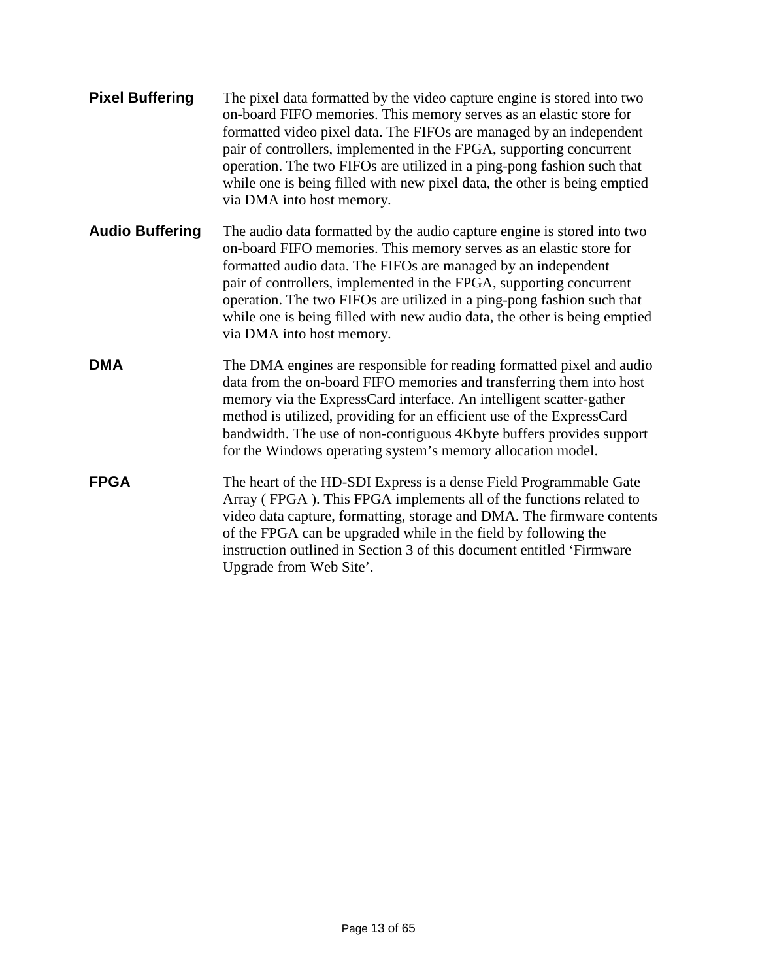| <b>Pixel Buffering</b> | The pixel data formatted by the video capture engine is stored into two<br>on-board FIFO memories. This memory serves as an elastic store for<br>formatted video pixel data. The FIFOs are managed by an independent<br>pair of controllers, implemented in the FPGA, supporting concurrent<br>operation. The two FIFOs are utilized in a ping-pong fashion such that<br>while one is being filled with new pixel data, the other is being emptied<br>via DMA into host memory. |
|------------------------|---------------------------------------------------------------------------------------------------------------------------------------------------------------------------------------------------------------------------------------------------------------------------------------------------------------------------------------------------------------------------------------------------------------------------------------------------------------------------------|
| <b>Audio Buffering</b> | The audio data formatted by the audio capture engine is stored into two<br>on-board FIFO memories. This memory serves as an elastic store for<br>formatted audio data. The FIFOs are managed by an independent<br>pair of controllers, implemented in the FPGA, supporting concurrent<br>operation. The two FIFOs are utilized in a ping-pong fashion such that<br>while one is being filled with new audio data, the other is being emptied<br>via DMA into host memory.       |
| <b>DMA</b>             | The DMA engines are responsible for reading formatted pixel and audio<br>data from the on-board FIFO memories and transferring them into host<br>memory via the ExpressCard interface. An intelligent scatter-gather<br>method is utilized, providing for an efficient use of the ExpressCard<br>bandwidth. The use of non-contiguous 4Kbyte buffers provides support<br>for the Windows operating system's memory allocation model.                                            |
| <b>FPGA</b>            | The heart of the HD-SDI Express is a dense Field Programmable Gate<br>Array (FPGA). This FPGA implements all of the functions related to<br>video data capture, formatting, storage and DMA. The firmware contents<br>of the FPGA can be upgraded while in the field by following the<br>instruction outlined in Section 3 of this document entitled 'Firmware<br>Upgrade from Web Site'.                                                                                       |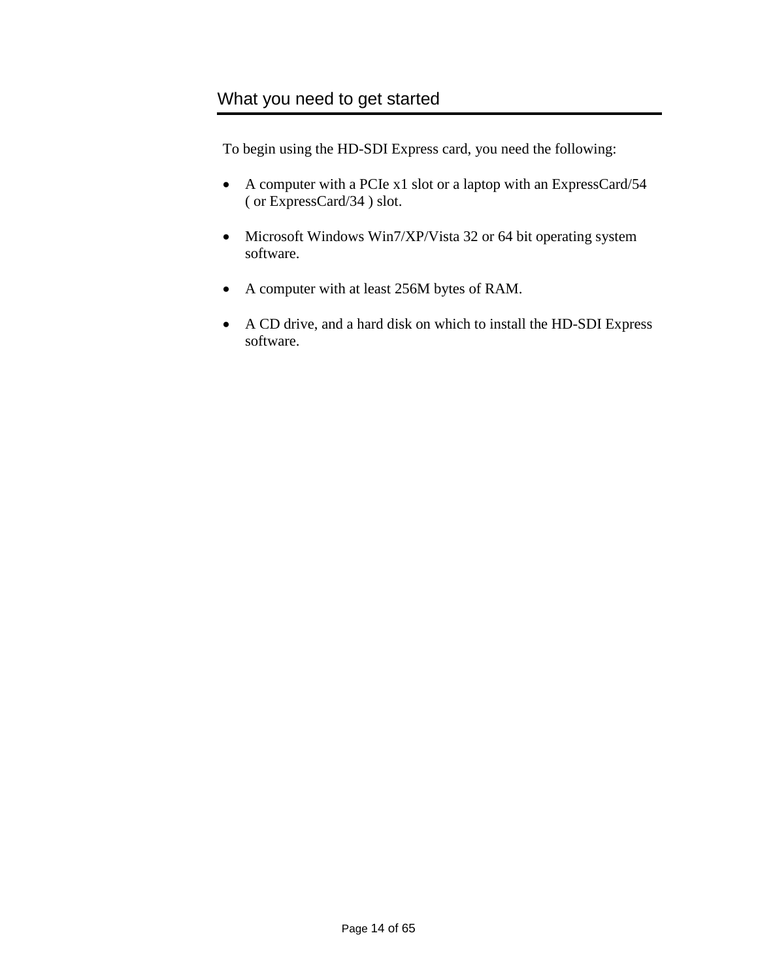<span id="page-13-0"></span>To begin using the HD-SDI Express card, you need the following:

- A computer with a PCIe x1 slot or a laptop with an ExpressCard/54 ( or ExpressCard/34 ) slot.
- Microsoft Windows Win7/XP/Vista 32 or 64 bit operating system software.
- A computer with at least 256M bytes of RAM.
- A CD drive, and a hard disk on which to install the HD-SDI Express software.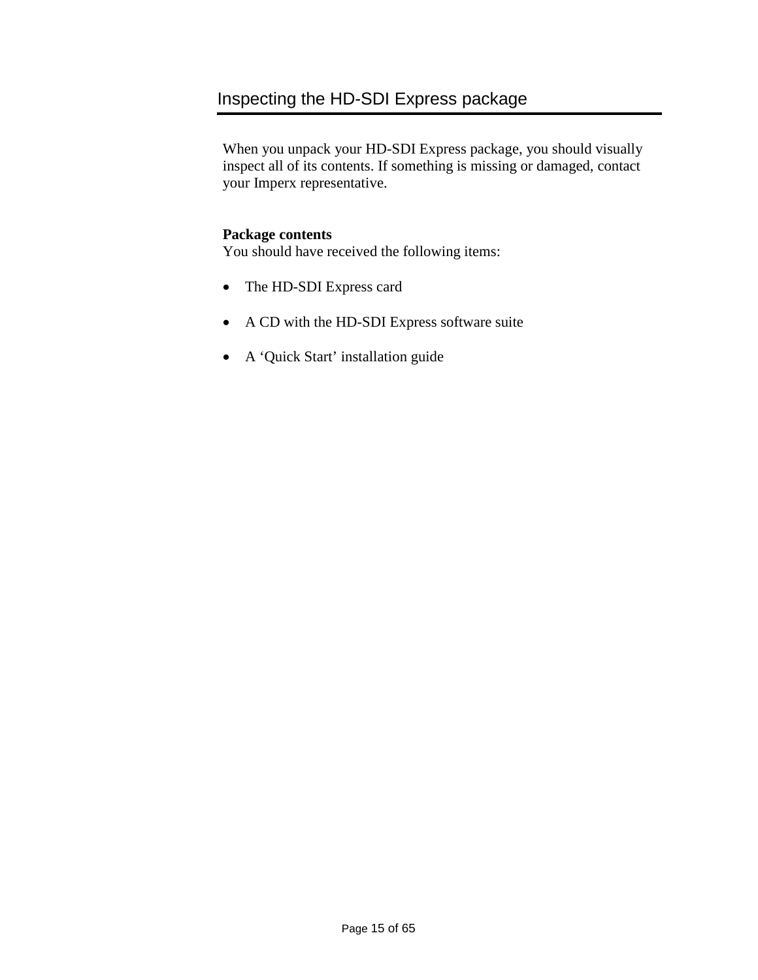### <span id="page-14-0"></span>Inspecting the HD-SDI Express package

When you unpack your HD-SDI Express package, you should visually inspect all of its contents. If something is missing or damaged, contact your Imperx representative.

#### **Package contents**

You should have received the following items:

- The HD-SDI Express card
- A CD with the HD-SDI Express software suite
- A 'Quick Start' installation guide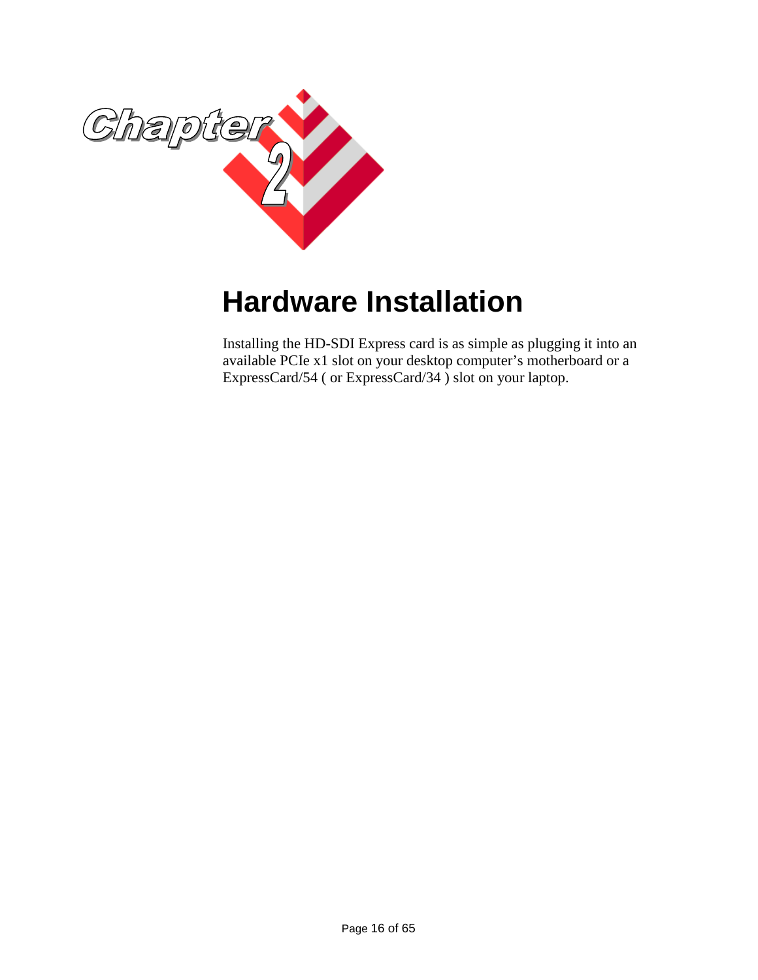

# <span id="page-15-0"></span>**Hardware Installation**

Installing the HD-SDI Express card is as simple as plugging it into an available PCIe x1 slot on your desktop computer's motherboard or a ExpressCard/54 ( or ExpressCard/34 ) slot on your laptop.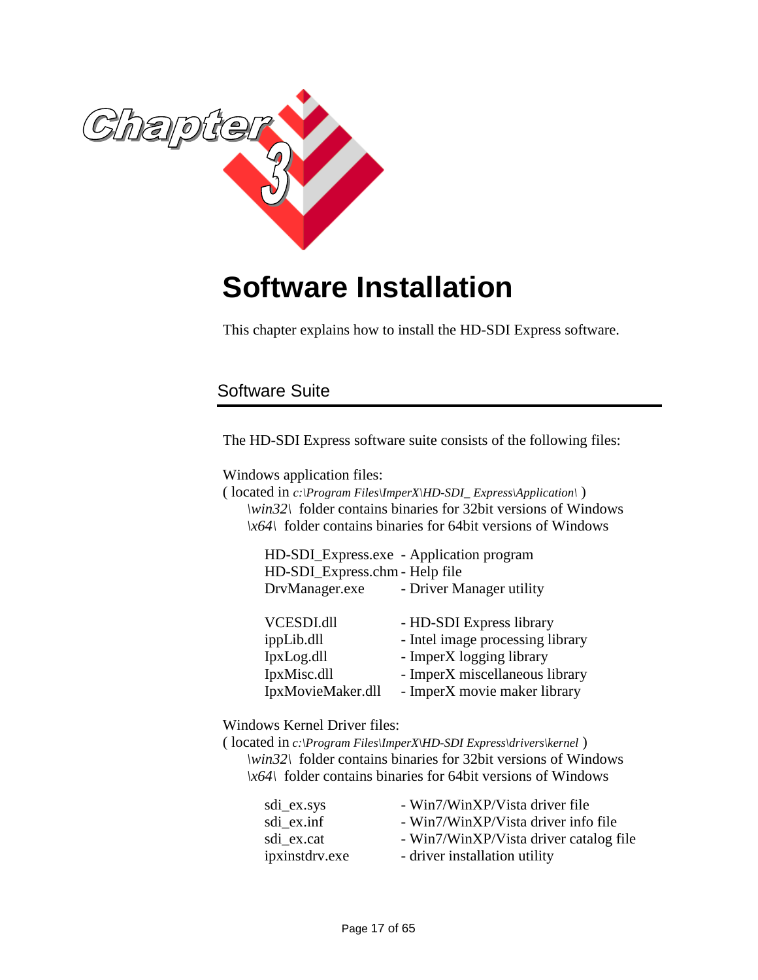![](_page_16_Picture_0.jpeg)

# <span id="page-16-0"></span>**Software Installation**

This chapter explains how to install the HD-SDI Express software.

### <span id="page-16-1"></span>Software Suite

The HD-SDI Express software suite consists of the following files:

Windows application files:

( located in *c:\Program Files\ImperX\HD-SDI\_ Express\Application\* ) *\win32\* folder contains binaries for 32bit versions of Windows *\x64\* folder contains binaries for 64bit versions of Windows

|                                | HD-SDI_Express.exe - Application program |
|--------------------------------|------------------------------------------|
| HD-SDI_Express.chm - Help file |                                          |
| DrvManager.exe                 | - Driver Manager utility                 |
|                                |                                          |
| VCESDI.dll                     | - HD-SDI Express library                 |
| ippLib.dll                     | - Intel image processing library         |
| IpxLog.dll                     | - ImperX logging library                 |
| IpxMisc.dll                    | - ImperX miscellaneous library           |
| IpxMovieMaker.dll              | - ImperX movie maker library             |

Windows Kernel Driver files:

( located in *c:\Program Files\ImperX\HD-SDI Express\drivers\kernel* ) *\win32\* folder contains binaries for 32bit versions of Windows *\x64\* folder contains binaries for 64bit versions of Windows

| sdi_ex.sys     | - Win7/WinXP/Vista driver file         |
|----------------|----------------------------------------|
| sdi_ex.inf     | - Win7/WinXP/Vista driver info file    |
| sdi ex.cat     | - Win7/WinXP/Vista driver catalog file |
| ipxinstdrv.exe | - driver installation utility          |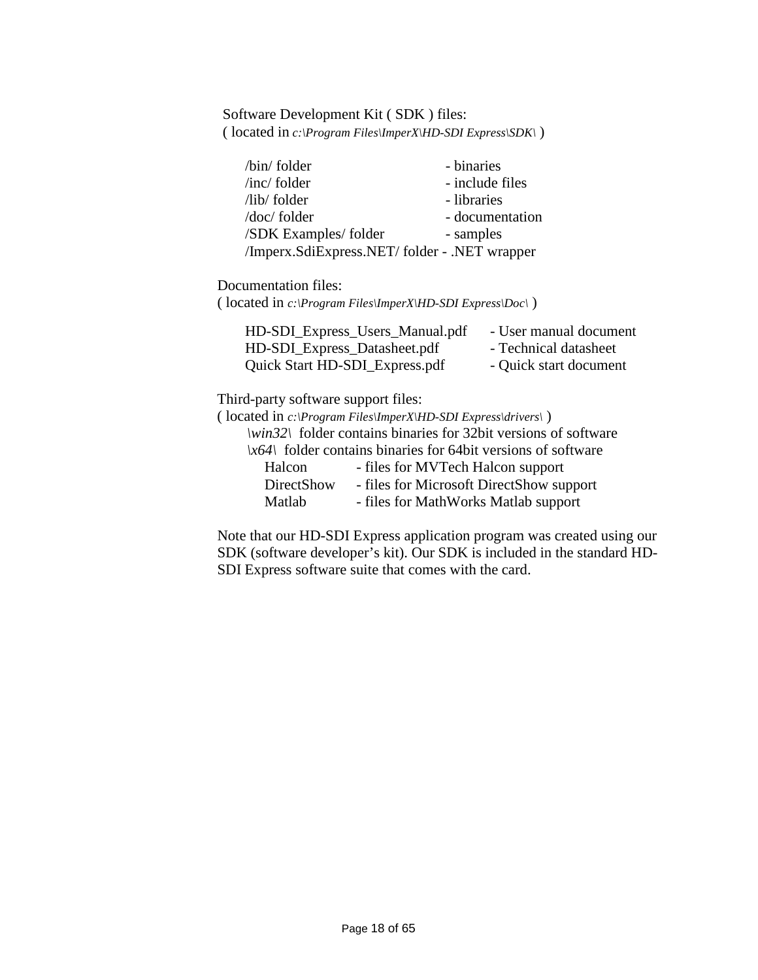Software Development Kit ( SDK ) files: ( located in *c:\Program Files\ImperX\HD-SDI Express\SDK\* )

| /bin/ folder                                 | - binaries      |
|----------------------------------------------|-----------------|
| $/inc/$ folder                               | - include files |
| $\frac{1}{1}$ hb/ folder                     | - libraries     |
| /doc/ folder                                 | - documentation |
| /SDK Examples/folder                         | - samples       |
| /Imperx.SdiExpress.NET/folder - .NET wrapper |                 |

Documentation files:

( located in *c:\Program Files\ImperX\HD-SDI Express\Doc\* )

| HD-SDI_Express_Users_Manual.pdf | - User manual document |
|---------------------------------|------------------------|
| HD-SDI_Express_Datasheet.pdf    | - Technical datasheet  |
| Quick Start HD-SDI_Express.pdf  | - Quick start document |

Third-party software support files:

( located in *c:\Program Files\ImperX\HD-SDI Express\drivers\* ) *\win32\* folder contains binaries for 32bit versions of software *\x64\* folder contains binaries for 64bit versions of software Halcon - files for MVTech Halcon support DirectShow - files for Microsoft DirectShow support Matlab - files for MathWorks Matlab support

Note that our HD-SDI Express application program was created using our SDK (software developer's kit). Our SDK is included in the standard HD-SDI Express software suite that comes with the card.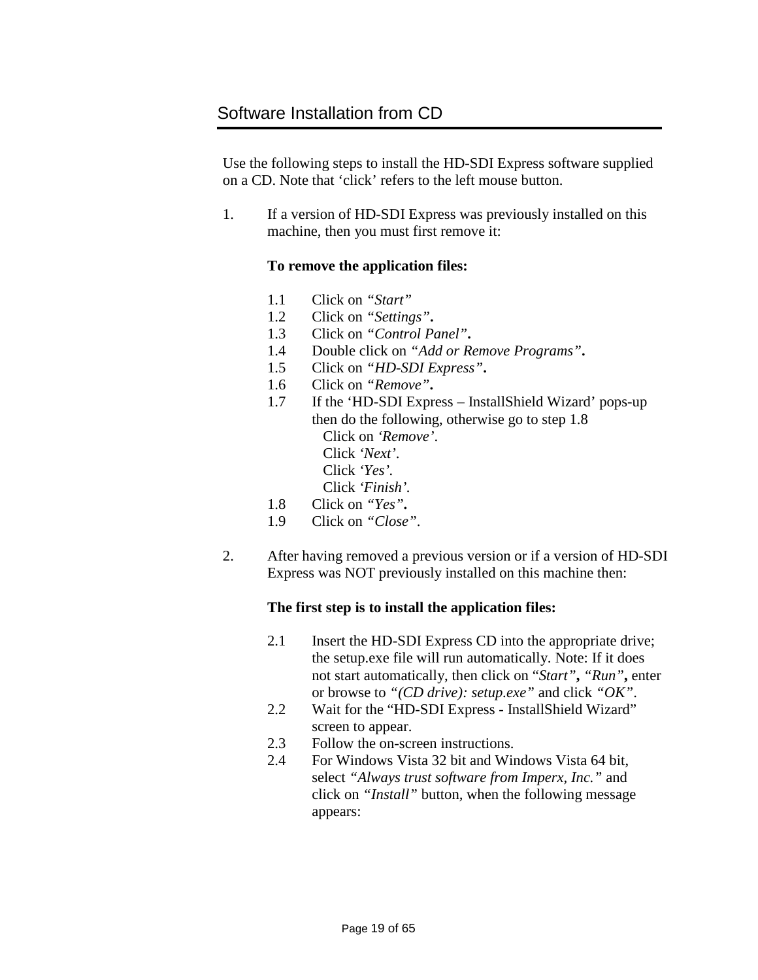<span id="page-18-0"></span>Use the following steps to install the HD-SDI Express software supplied on a CD. Note that 'click' refers to the left mouse button.

1. If a version of HD-SDI Express was previously installed on this machine, then you must first remove it:

#### **To remove the application files:**

- 1.1 Click on *"Start"*
- 1.2 Click on *"Settings"***.**
- 1.3 Click on *"Control Panel"***.**
- 1.4 Double click on *"Add or Remove Programs"***.**
- 1.5 Click on *"HD-SDI Express"***.**
- 1.6 Click on *"Remove"***.**
- 1.7 If the 'HD-SDI Express InstallShield Wizard' pops-up then do the following, otherwise go to step 1.8 Click on *'Remove'*. Click *'Next'*. Click *'Yes'.* Click *'Finish'.* 1.8 Click on *"Yes"***.**
- 1.9 Click on *"Close"*.
- 2. After having removed a previous version or if a version of HD-SDI Express was NOT previously installed on this machine then:

#### **The first step is to install the application files:**

- 2.1 Insert the HD-SDI Express CD into the appropriate drive; the setup.exe file will run automatically. Note: If it does not start automatically, then click on "*Start"***,** *"Run"***,** enter or browse to *"(CD drive): setup.exe"* and click *"OK"*.
- 2.2 Wait for the "HD-SDI Express InstallShield Wizard" screen to appear.
- 2.3 Follow the on-screen instructions.
- 2.4 For Windows Vista 32 bit and Windows Vista 64 bit, select *"Always trust software from Imperx, Inc."* and click on *"Install"* button*,* when the following message appears: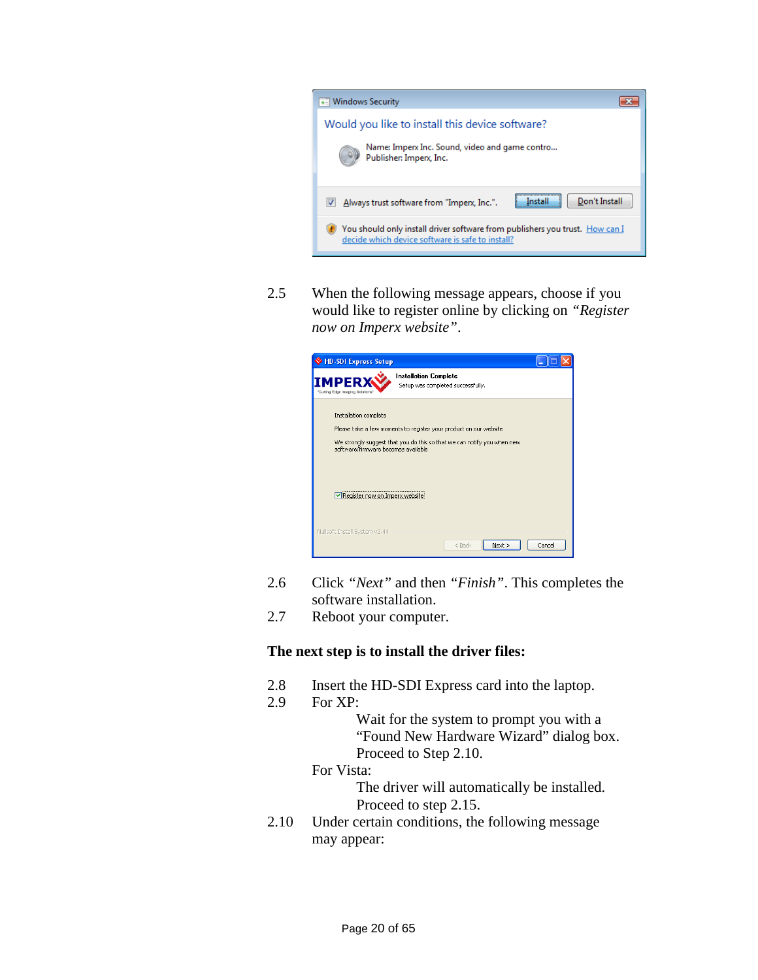![](_page_19_Picture_0.jpeg)

2.5 When the following message appears, choose if you would like to register online by clicking on *"Register now on Imperx website"*.

![](_page_19_Picture_2.jpeg)

- 2.6 Click *"Next"* and then *"Finish"*. This completes the software installation.
- 2.7 Reboot your computer.

#### **The next step is to install the driver files:**

- 2.8 Insert the HD-SDI Express card into the laptop.
- 2.9 For XP:

Wait for the system to prompt you with a "Found New Hardware Wizard" dialog box. Proceed to Step 2.10.

For Vista:

The driver will automatically be installed. Proceed to step 2.15.

2.10 Under certain conditions, the following message may appear: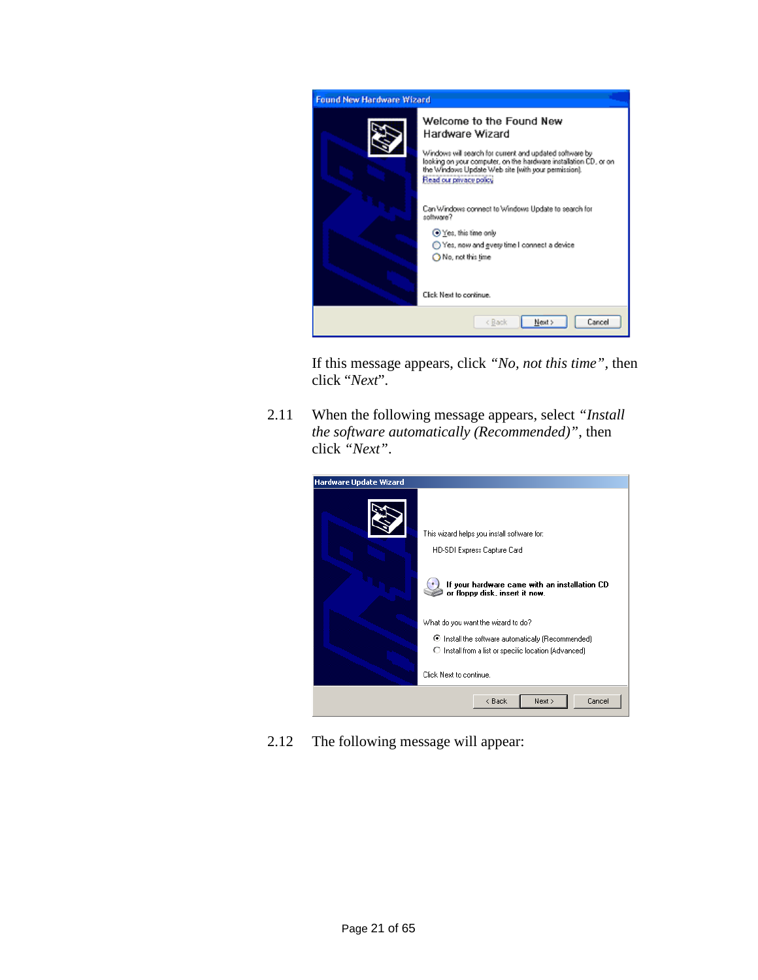![](_page_20_Picture_0.jpeg)

If this message appears, click *"No, not this time",* then click "*Next*".

2.11 When the following message appears, select *"Install the software automatically (Recommended)"*, then click *"Next"*.

![](_page_20_Picture_3.jpeg)

2.12 The following message will appear: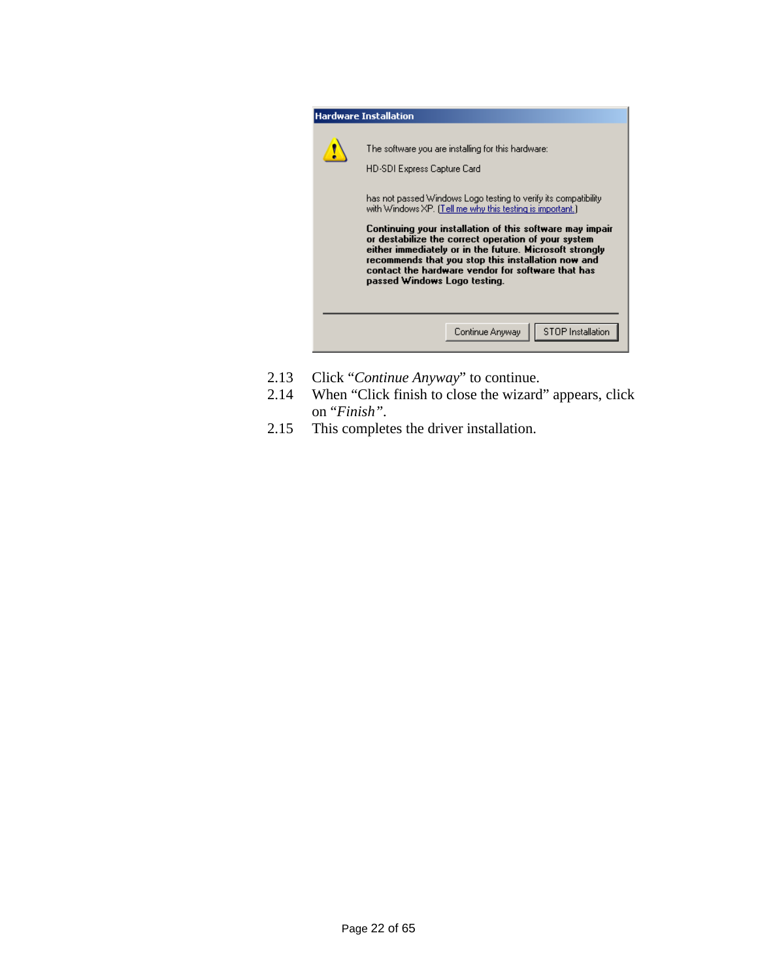![](_page_21_Picture_0.jpeg)

- 2.13 Click "*Continue Anyway*" to continue.
- 2.14 When "Click finish to close the wizard" appears, click on "*Finish".*
- 2.15 This completes the driver installation.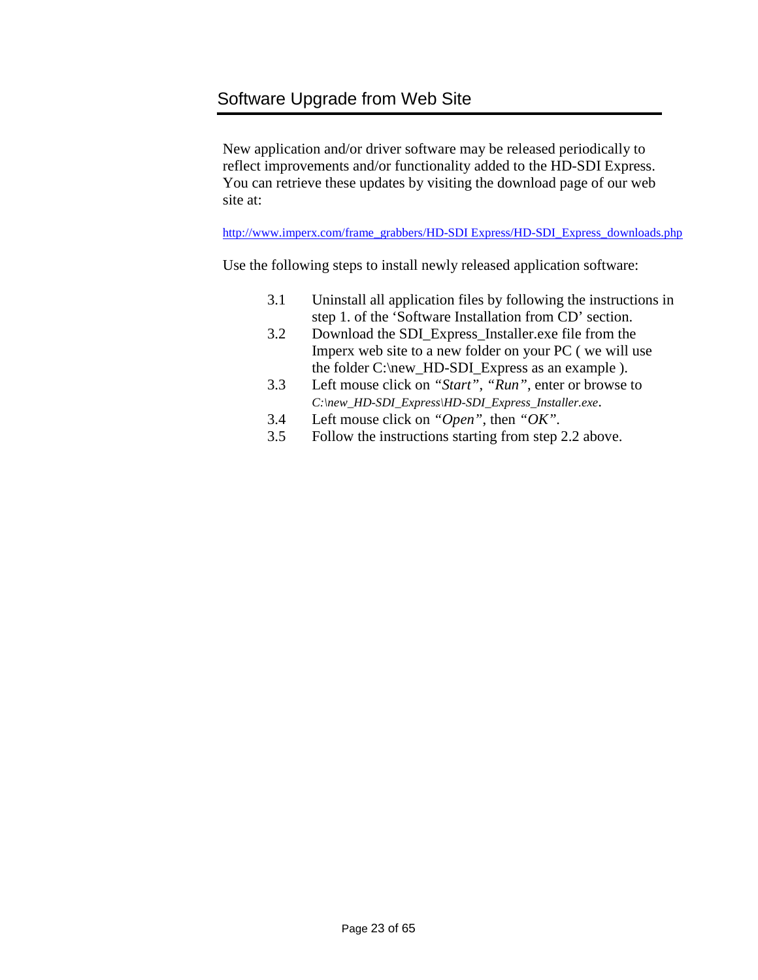### <span id="page-22-0"></span>Software Upgrade from Web Site

New application and/or driver software may be released periodically to reflect improvements and/or functionality added to the HD-SDI Express. You can retrieve these updates by visiting the download page of our web site at:

[http://www.imperx.com/frame\\_grabbers/HD-SDI Express/HD-SDI\\_Express\\_downloads.php](http://www.imperx.com/frame_grabbers/camera_link/FrameLink_downloads.php)

Use the following steps to install newly released application software:

- 3.1 Uninstall all application files by following the instructions in step 1. of the 'Software Installation from CD' section.
- 3.2 Download the SDI\_Express\_Installer.exe file from the Imperx web site to a new folder on your PC ( we will use the folder C:\new\_HD-SDI\_Express as an example ).
- 3.3 Left mouse click on *"Start"*, *"Run"*, enter or browse to *C:\new\_HD-SDI\_Express\HD-SDI\_Express\_Installer.exe*.
- 3.4 Left mouse click on *"Open"*, then *"OK".*
- 3.5 Follow the instructions starting from step 2.2 above.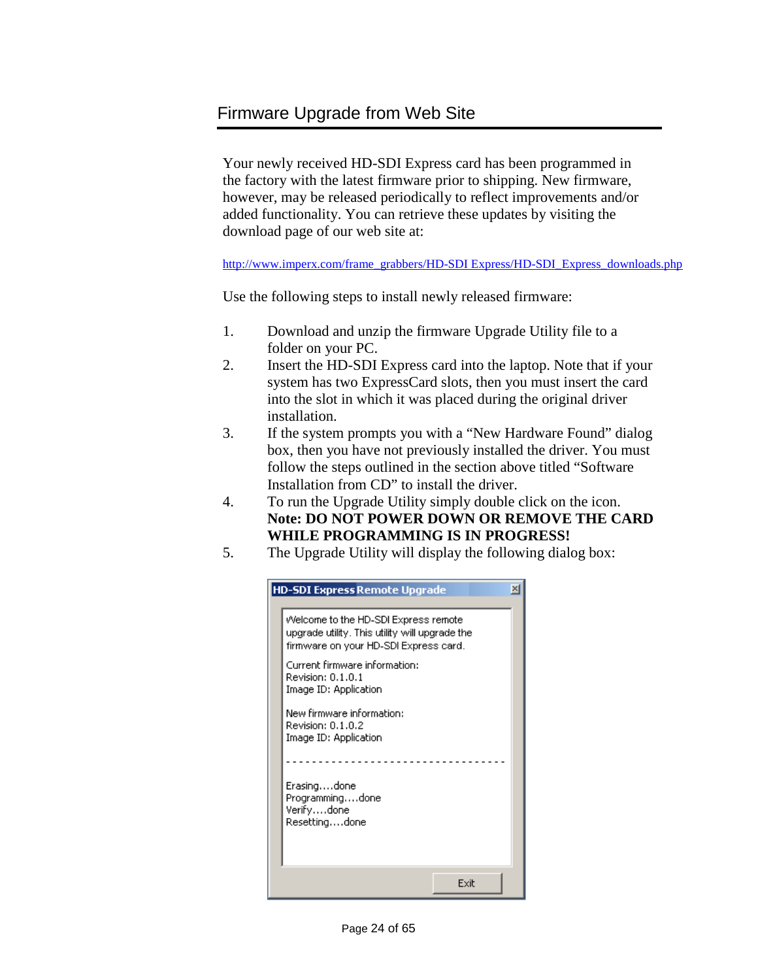### <span id="page-23-0"></span>Firmware Upgrade from Web Site

Your newly received HD-SDI Express card has been programmed in the factory with the latest firmware prior to shipping. New firmware, however, may be released periodically to reflect improvements and/or added functionality. You can retrieve these updates by visiting the download page of our web site at:

[http://www.imperx.com/frame\\_grabbers/HD-SDI Express/HD-SDI\\_Express\\_downloads.php](http://www.imperx.com/frame_grabbers/camera_link/FrameLink_downloads.php)

Use the following steps to install newly released firmware:

- 1. Download and unzip the firmware Upgrade Utility file to a folder on your PC.
- 2. Insert the HD-SDI Express card into the laptop. Note that if your system has two ExpressCard slots, then you must insert the card into the slot in which it was placed during the original driver installation.
- 3. If the system prompts you with a "New Hardware Found" dialog box, then you have not previously installed the driver. You must follow the steps outlined in the section above titled "Software Installation from CD" to install the driver.
- 4. To run the Upgrade Utility simply double click on the icon. **Note: DO NOT POWER DOWN OR REMOVE THE CARD WHILE PROGRAMMING IS IN PROGRESS!**
- 5. The Upgrade Utility will display the following dialog box:

| <b>HD-SDI Express Remote Upgrade</b>                                                                                            | $\vert x \vert$ |
|---------------------------------------------------------------------------------------------------------------------------------|-----------------|
| Welcome to the HD-SDI Express remote<br>upgrade utility. This utility will upgrade the<br>firmware on your HD-SDI Express card. |                 |
| Current firmware information:<br>Revision: 0.1.0.1<br>Image ID: Application                                                     |                 |
| New firmware information:<br>Revision: 0.1.0.2<br>Image ID: Application                                                         |                 |
|                                                                                                                                 |                 |
| Erasingdone<br>Programmingdone<br>Verifydone<br>Resettingdone                                                                   |                 |
| Exit                                                                                                                            |                 |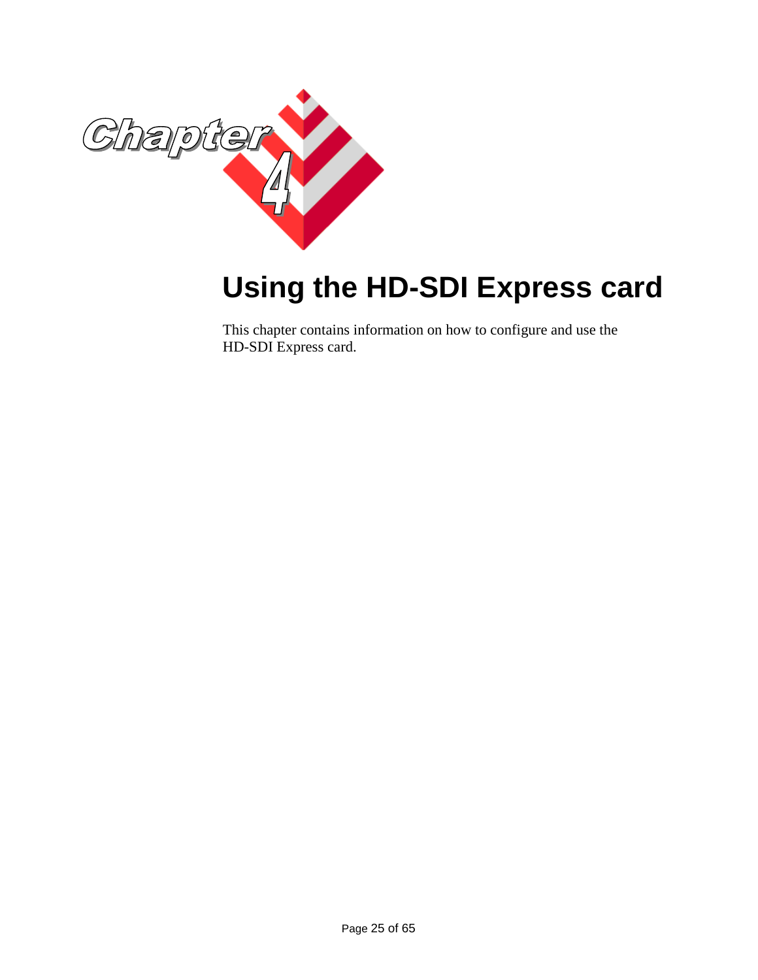![](_page_24_Picture_0.jpeg)

# <span id="page-24-0"></span>**Using the HD-SDI Express card**

This chapter contains information on how to configure and use the HD-SDI Express card.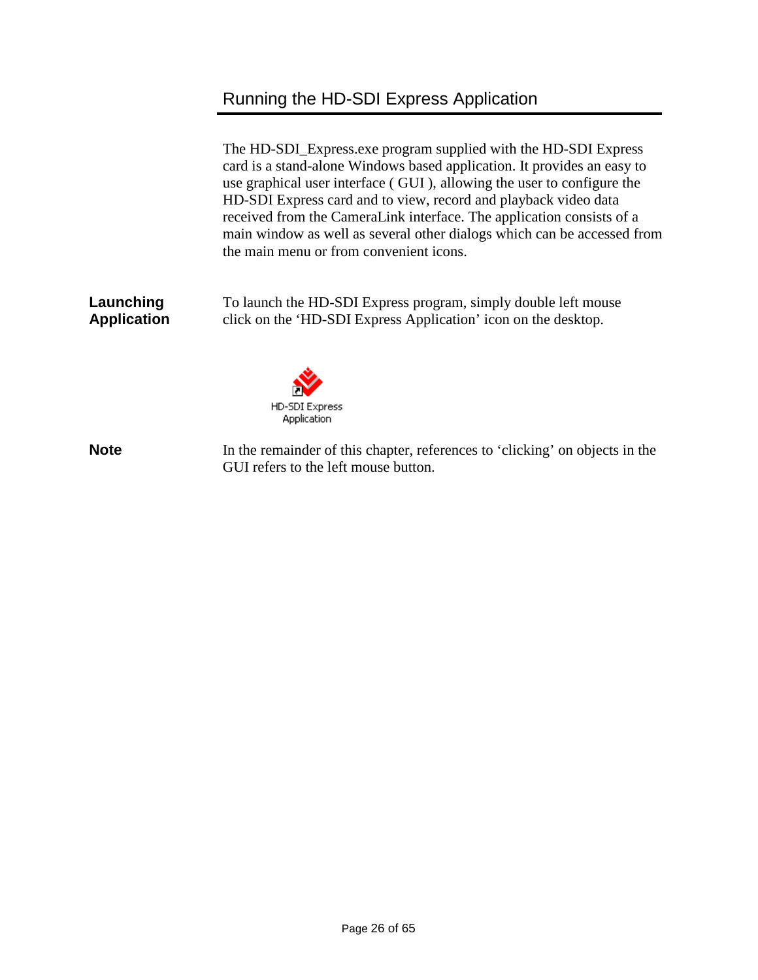# Running the HD-SDI Express Application

<span id="page-25-0"></span>

|                                 | The HD-SDI_Express.exe program supplied with the HD-SDI Express<br>card is a stand-alone Windows based application. It provides an easy to<br>use graphical user interface (GUI), allowing the user to configure the<br>HD-SDI Express card and to view, record and playback video data<br>received from the CameraLink interface. The application consists of a<br>main window as well as several other dialogs which can be accessed from<br>the main menu or from convenient icons. |  |  |  |
|---------------------------------|----------------------------------------------------------------------------------------------------------------------------------------------------------------------------------------------------------------------------------------------------------------------------------------------------------------------------------------------------------------------------------------------------------------------------------------------------------------------------------------|--|--|--|
| Launching<br><b>Application</b> | To launch the HD-SDI Express program, simply double left mouse<br>click on the 'HD-SDI Express Application' icon on the desktop.                                                                                                                                                                                                                                                                                                                                                       |  |  |  |
|                                 | HD-SDI Express<br>Application                                                                                                                                                                                                                                                                                                                                                                                                                                                          |  |  |  |
| <b>Note</b>                     | In the remainder of this chapter, references to 'clicking' on objects in the<br>GUI refers to the left mouse button.                                                                                                                                                                                                                                                                                                                                                                   |  |  |  |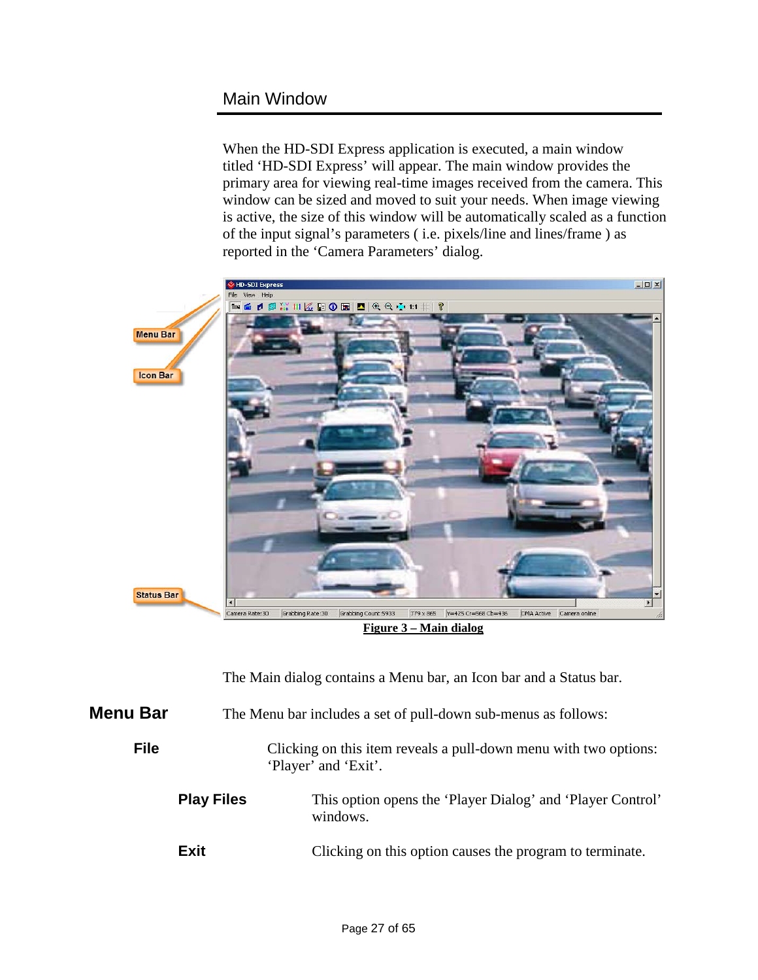### <span id="page-26-0"></span>Main Window

When the HD-SDI Express application is executed, a main window titled 'HD-SDI Express' will appear. The main window provides the primary area for viewing real-time images received from the camera. This window can be sized and moved to suit your needs. When image viewing is active, the size of this window will be automatically scaled as a function of the input signal's parameters ( i.e. pixels/line and lines/frame ) as reported in the 'Camera Parameters' dialog.

![](_page_26_Picture_2.jpeg)

**Figure 3 – Main dialog**

The Main dialog contains a Menu bar, an Icon bar and a Status bar.

<span id="page-26-1"></span>

| <b>Menu Bar</b> | The Menu bar includes a set of pull-down sub-menus as follows: |                                                                                          |  |
|-----------------|----------------------------------------------------------------|------------------------------------------------------------------------------------------|--|
| <b>File</b>     |                                                                | Clicking on this item reveals a pull-down menu with two options:<br>'Player' and 'Exit'. |  |
|                 | <b>Play Files</b>                                              | This option opens the 'Player Dialog' and 'Player Control'<br>windows.                   |  |
|                 | Exit                                                           | Clicking on this option causes the program to terminate.                                 |  |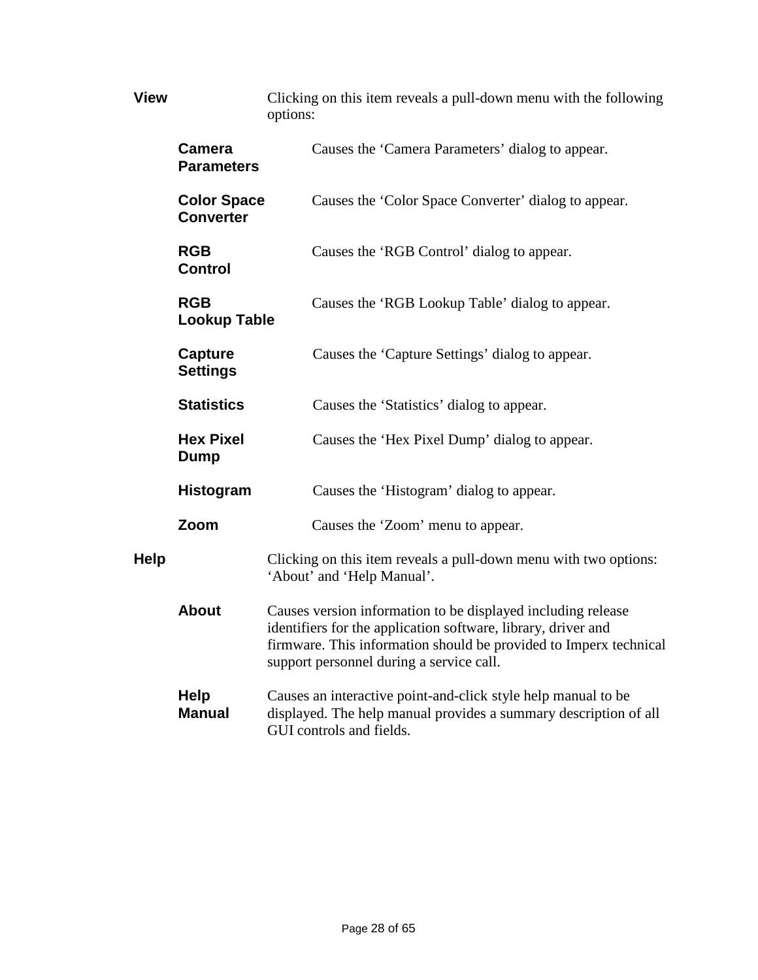| <b>View</b>       |                                        | Clicking on this item reveals a pull-down menu with the following<br>options:                                                                                                                                                                  |  |  |
|-------------------|----------------------------------------|------------------------------------------------------------------------------------------------------------------------------------------------------------------------------------------------------------------------------------------------|--|--|
|                   | Camera<br><b>Parameters</b>            | Causes the 'Camera Parameters' dialog to appear.                                                                                                                                                                                               |  |  |
|                   | <b>Color Space</b><br><b>Converter</b> | Causes the 'Color Space Converter' dialog to appear.                                                                                                                                                                                           |  |  |
|                   | <b>RGB</b><br><b>Control</b>           | Causes the 'RGB Control' dialog to appear.                                                                                                                                                                                                     |  |  |
|                   | <b>RGB</b><br><b>Lookup Table</b>      | Causes the 'RGB Lookup Table' dialog to appear.                                                                                                                                                                                                |  |  |
|                   | Capture<br><b>Settings</b>             | Causes the 'Capture Settings' dialog to appear.                                                                                                                                                                                                |  |  |
| <b>Statistics</b> |                                        | Causes the 'Statistics' dialog to appear.                                                                                                                                                                                                      |  |  |
|                   | <b>Hex Pixel</b><br>Dump               | Causes the 'Hex Pixel Dump' dialog to appear.                                                                                                                                                                                                  |  |  |
|                   | <b>Histogram</b>                       | Causes the 'Histogram' dialog to appear.                                                                                                                                                                                                       |  |  |
|                   | Zoom                                   | Causes the 'Zoom' menu to appear.                                                                                                                                                                                                              |  |  |
| <b>Help</b>       |                                        | Clicking on this item reveals a pull-down menu with two options:<br>'About' and 'Help Manual'.                                                                                                                                                 |  |  |
|                   | <b>About</b>                           | Causes version information to be displayed including release<br>identifiers for the application software, library, driver and<br>firmware. This information should be provided to Imperx technical<br>support personnel during a service call. |  |  |
|                   | <b>Help</b><br><b>Manual</b>           | Causes an interactive point-and-click style help manual to be<br>displayed. The help manual provides a summary description of all<br>GUI controls and fields.                                                                                  |  |  |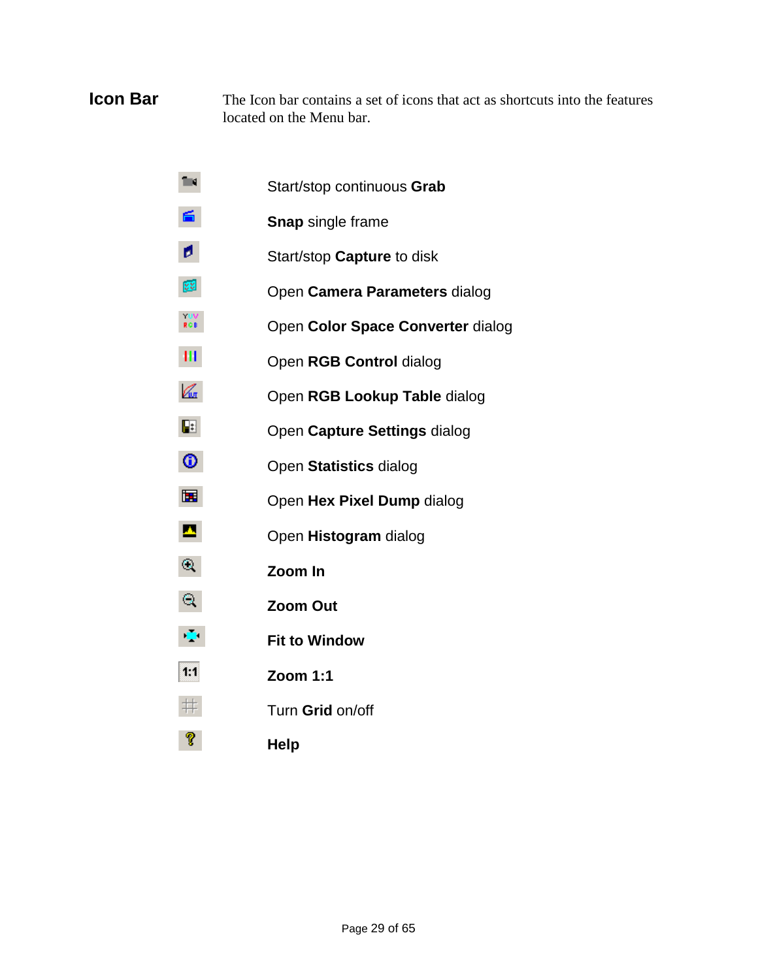#### **Icon Bar** The Icon bar contains a set of icons that act as shortcuts into the features located on the Menu bar.

- Ting. Start/stop continuous **Grab**
- 6. **Snap** single frame
- ø. Start/stop **Capture** to disk
- **VS** Open **Camera Parameters** dialog
- $\frac{10V}{RGB}$ Open **Color Space Converter** dialog
- HI. Open **RGB Control** dialog
- $\mathbb{Z}$ Open **RGB Lookup Table** dialog
- $\overline{\mathbf{E}}$ Open **Capture Settings** dialog
- ⊕ Open **Statistics** dialog
- 圛 Open **Hex Pixel Dump** dialog
- $\mathbf{A}$ Open **Histogram** dialog
- $\odot$ **Zoom In**
- $\mathbf{Q}$ **Zoom Out**
- $\mathbb{C}^{\mathbb{Z}^2}$ **Fit to Window**
- $1:1$ **Zoom 1:1**
- $\;\;\#$ Turn **Grid** on/off
- ଙ୍ **Help**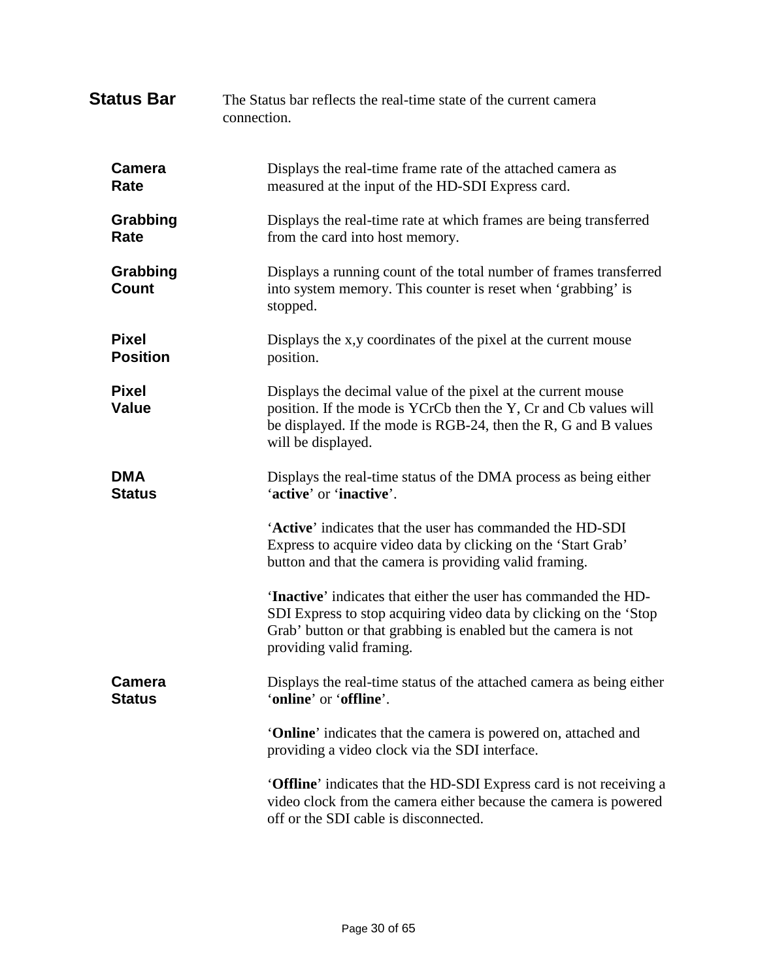| <b>Status Bar</b>               | The Status bar reflects the real-time state of the current camera<br>connection.                                                                                                                                                          |  |  |
|---------------------------------|-------------------------------------------------------------------------------------------------------------------------------------------------------------------------------------------------------------------------------------------|--|--|
| <b>Camera</b><br>Rate           | Displays the real-time frame rate of the attached camera as<br>measured at the input of the HD-SDI Express card.                                                                                                                          |  |  |
| Grabbing<br>Rate                | Displays the real-time rate at which frames are being transferred<br>from the card into host memory.                                                                                                                                      |  |  |
| Grabbing<br><b>Count</b>        | Displays a running count of the total number of frames transferred<br>into system memory. This counter is reset when 'grabbing' is<br>stopped.                                                                                            |  |  |
| <b>Pixel</b><br><b>Position</b> | Displays the x,y coordinates of the pixel at the current mouse<br>position.                                                                                                                                                               |  |  |
| <b>Pixel</b><br><b>Value</b>    | Displays the decimal value of the pixel at the current mouse<br>position. If the mode is YCrCb then the Y, Cr and Cb values will<br>be displayed. If the mode is RGB-24, then the R, G and B values<br>will be displayed.                 |  |  |
| <b>DMA</b><br><b>Status</b>     | Displays the real-time status of the DMA process as being either<br>'active' or 'inactive'.                                                                                                                                               |  |  |
|                                 | 'Active' indicates that the user has commanded the HD-SDI<br>Express to acquire video data by clicking on the 'Start Grab'<br>button and that the camera is providing valid framing.                                                      |  |  |
|                                 | <b>Thactive</b> ' indicates that either the user has commanded the HD-<br>SDI Express to stop acquiring video data by clicking on the 'Stop<br>Grab' button or that grabbing is enabled but the camera is not<br>providing valid framing. |  |  |
| <b>Camera</b><br><b>Status</b>  | Displays the real-time status of the attached camera as being either<br>'online' or 'offline'.                                                                                                                                            |  |  |
|                                 | <b>Online</b> ' indicates that the camera is powered on, attached and<br>providing a video clock via the SDI interface.                                                                                                                   |  |  |
|                                 | <b>Offline</b> ' indicates that the HD-SDI Express card is not receiving a<br>video clock from the camera either because the camera is powered<br>off or the SDI cable is disconnected.                                                   |  |  |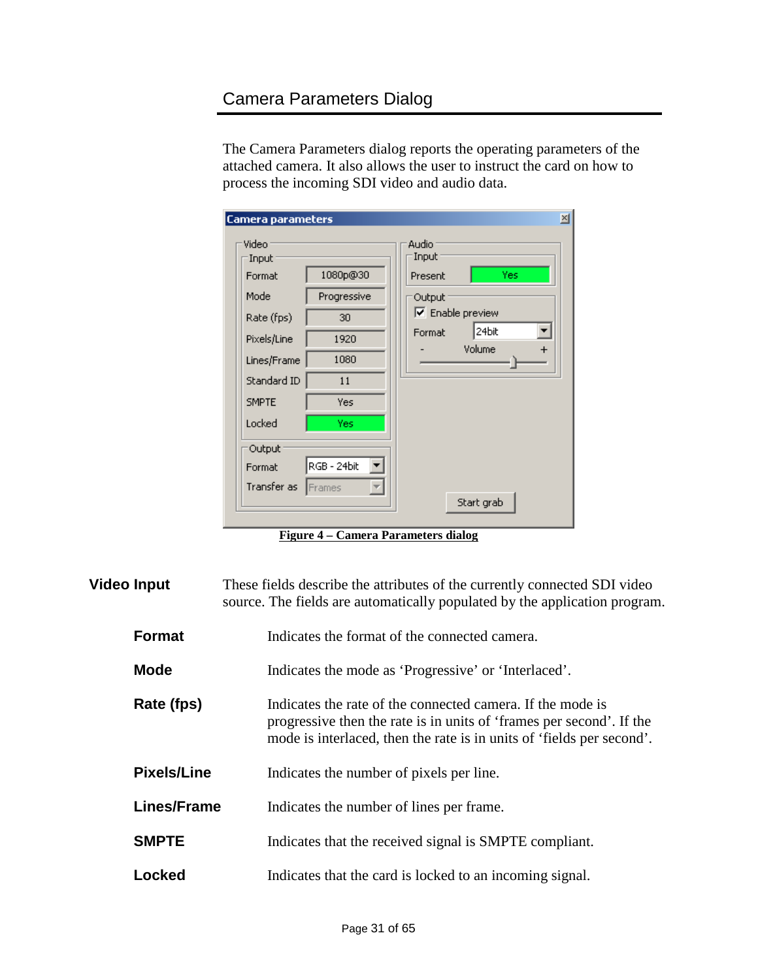# <span id="page-30-0"></span>Camera Parameters Dialog

The Camera Parameters dialog reports the operating parameters of the attached camera. It also allows the user to instruct the card on how to process the incoming SDI video and audio data.

| <b>Camera parameters</b>                                                                                              |                                                                    | $\vert x \vert$                                                                                           |
|-----------------------------------------------------------------------------------------------------------------------|--------------------------------------------------------------------|-----------------------------------------------------------------------------------------------------------|
| Video<br>Input<br>Format<br>Mode<br>Rate (fps)<br>Pixels/Line<br>Lines/Frame<br>Standard ID<br><b>SMPTE</b><br>Locked | 1080p@30<br>Progressive<br>30<br>1920<br>1080<br>11<br>Yes<br>Yes: | <b>Audio</b><br>Input<br>Present<br>Yes<br>Output<br>$\nabla$ Enable preview<br>24bit<br>Format<br>Volume |
| Output<br>Format<br>Transfer as Frames                                                                                | RGB - 24bit<br>$\overline{\mathcal{M}}$                            | Start grab                                                                                                |

**Figure 4 – Camera Parameters dialog**

<span id="page-30-1"></span>

| <b>Video Input</b> | These fields describe the attributes of the currently connected SDI video<br>source. The fields are automatically populated by the application program.                                                     |  |  |
|--------------------|-------------------------------------------------------------------------------------------------------------------------------------------------------------------------------------------------------------|--|--|
| <b>Format</b>      | Indicates the format of the connected camera.                                                                                                                                                               |  |  |
| <b>Mode</b>        | Indicates the mode as 'Progressive' or 'Interlaced'.                                                                                                                                                        |  |  |
| Rate (fps)         | Indicates the rate of the connected camera. If the mode is<br>progressive then the rate is in units of 'frames per second'. If the<br>mode is interlaced, then the rate is in units of 'fields per second'. |  |  |
| <b>Pixels/Line</b> | Indicates the number of pixels per line.                                                                                                                                                                    |  |  |
| <b>Lines/Frame</b> | Indicates the number of lines per frame.                                                                                                                                                                    |  |  |
| <b>SMPTE</b>       | Indicates that the received signal is SMPTE compliant.                                                                                                                                                      |  |  |
| Locked             | Indicates that the card is locked to an incoming signal.                                                                                                                                                    |  |  |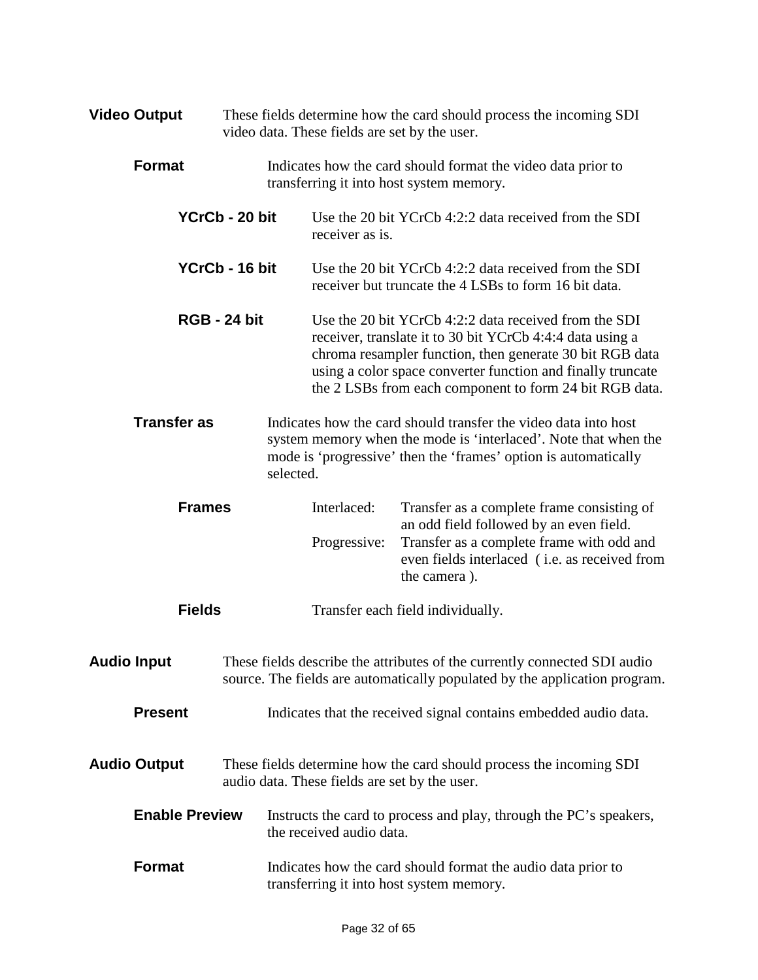| <b>Video Output</b>             |                     | These fields determine how the card should process the incoming SDI<br>video data. These fields are set by the user.                                                                                                                                                                                                               |                                                                                                                                                                                                                                                                                                          |  |  |
|---------------------------------|---------------------|------------------------------------------------------------------------------------------------------------------------------------------------------------------------------------------------------------------------------------------------------------------------------------------------------------------------------------|----------------------------------------------------------------------------------------------------------------------------------------------------------------------------------------------------------------------------------------------------------------------------------------------------------|--|--|
| <b>Format</b>                   |                     | Indicates how the card should format the video data prior to<br>transferring it into host system memory.                                                                                                                                                                                                                           |                                                                                                                                                                                                                                                                                                          |  |  |
| YCrCb - 20 bit                  |                     | receiver as is.                                                                                                                                                                                                                                                                                                                    | Use the 20 bit YCrCb 4:2:2 data received from the SDI                                                                                                                                                                                                                                                    |  |  |
|                                 | YCrCb - 16 bit      |                                                                                                                                                                                                                                                                                                                                    | Use the 20 bit YCrCb 4:2:2 data received from the SDI<br>receiver but truncate the 4 LSBs to form 16 bit data.                                                                                                                                                                                           |  |  |
|                                 | <b>RGB - 24 bit</b> |                                                                                                                                                                                                                                                                                                                                    | Use the 20 bit YCrCb 4:2:2 data received from the SDI<br>receiver, translate it to 30 bit YCrCb 4:4:4 data using a<br>chroma resampler function, then generate 30 bit RGB data<br>using a color space converter function and finally truncate<br>the 2 LSBs from each component to form 24 bit RGB data. |  |  |
| <b>Transfer as</b><br>selected. |                     | Indicates how the card should transfer the video data into host<br>system memory when the mode is 'interlaced'. Note that when the<br>mode is 'progressive' then the 'frames' option is automatically                                                                                                                              |                                                                                                                                                                                                                                                                                                          |  |  |
| <b>Frames</b>                   |                     | Interlaced:                                                                                                                                                                                                                                                                                                                        | Transfer as a complete frame consisting of                                                                                                                                                                                                                                                               |  |  |
|                                 |                     | Progressive:                                                                                                                                                                                                                                                                                                                       | an odd field followed by an even field.<br>Transfer as a complete frame with odd and<br>even fields interlaced (i.e. as received from<br>the camera).                                                                                                                                                    |  |  |
| <b>Fields</b>                   |                     |                                                                                                                                                                                                                                                                                                                                    | Transfer each field individually.                                                                                                                                                                                                                                                                        |  |  |
| <b>Audio Input</b>              |                     | These fields describe the attributes of the currently connected SDI audio<br>source. The fields are automatically populated by the application program.                                                                                                                                                                            |                                                                                                                                                                                                                                                                                                          |  |  |
| <b>Present</b>                  |                     | Indicates that the received signal contains embedded audio data.                                                                                                                                                                                                                                                                   |                                                                                                                                                                                                                                                                                                          |  |  |
| <b>Audio Output</b>             |                     | These fields determine how the card should process the incoming SDI<br>audio data. These fields are set by the user.<br>Instructs the card to process and play, through the PC's speakers,<br>the received audio data.<br>Indicates how the card should format the audio data prior to<br>transferring it into host system memory. |                                                                                                                                                                                                                                                                                                          |  |  |
| <b>Enable Preview</b>           |                     |                                                                                                                                                                                                                                                                                                                                    |                                                                                                                                                                                                                                                                                                          |  |  |
| <b>Format</b>                   |                     |                                                                                                                                                                                                                                                                                                                                    |                                                                                                                                                                                                                                                                                                          |  |  |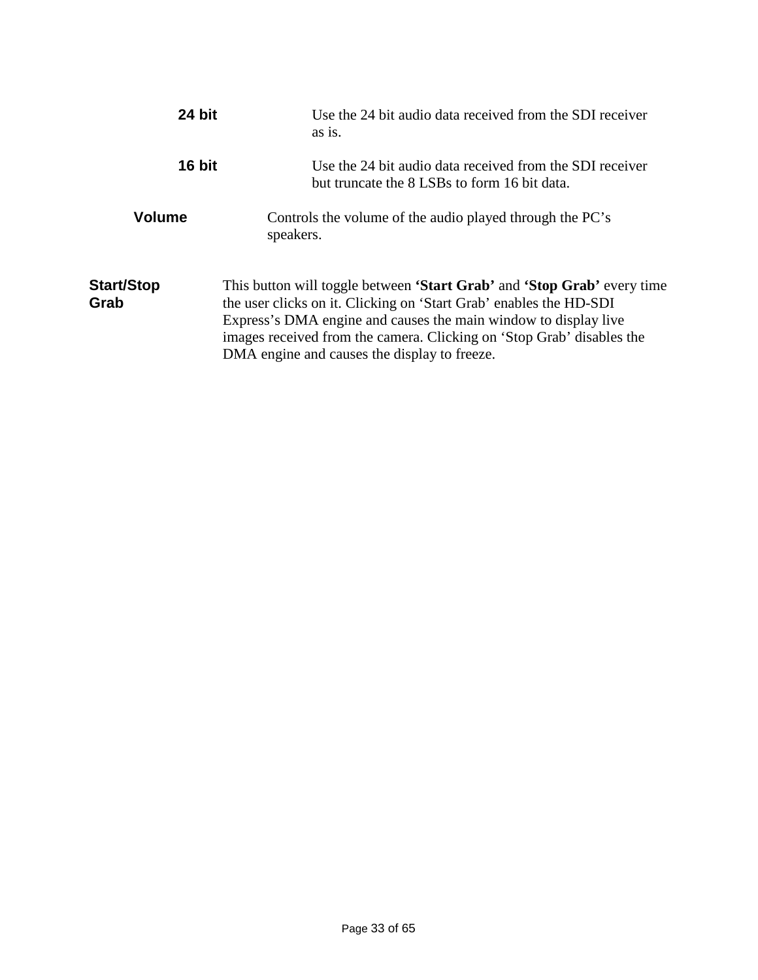| 24 bit             | Use the 24 bit audio data received from the SDI receiver<br>as is.                                                                                                                                                                                                                                                                        |
|--------------------|-------------------------------------------------------------------------------------------------------------------------------------------------------------------------------------------------------------------------------------------------------------------------------------------------------------------------------------------|
| 16 bit             | Use the 24 bit audio data received from the SDI receiver<br>but truncate the 8 LSBs to form 16 bit data.                                                                                                                                                                                                                                  |
| <b>Volume</b>      | Controls the volume of the audio played through the PC's<br>speakers.                                                                                                                                                                                                                                                                     |
| Start/Stop<br>Grab | This button will toggle between 'Start Grab' and 'Stop Grab' every time<br>the user clicks on it. Clicking on 'Start Grab' enables the HD-SDI<br>Express's DMA engine and causes the main window to display live<br>images received from the camera. Clicking on 'Stop Grab' disables the<br>DMA engine and causes the display to freeze. |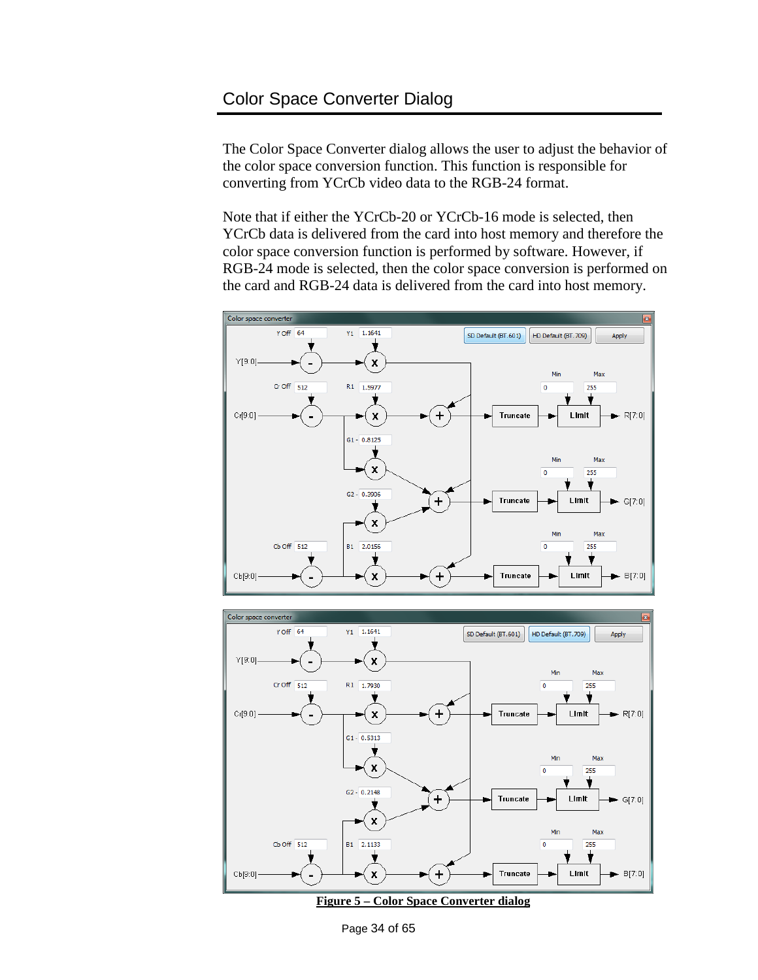<span id="page-33-0"></span>The Color Space Converter dialog allows the user to adjust the behavior of the color space conversion function. This function is responsible for converting from YCrCb video data to the RGB-24 format.

Note that if either the YCrCb-20 or YCrCb-16 mode is selected, then YCrCb data is delivered from the card into host memory and therefore the color space conversion function is performed by software. However, if RGB-24 mode is selected, then the color space conversion is performed on the card and RGB-24 data is delivered from the card into host memory.

![](_page_33_Figure_3.jpeg)

![](_page_33_Figure_4.jpeg)

<span id="page-33-1"></span>Page 34 of 65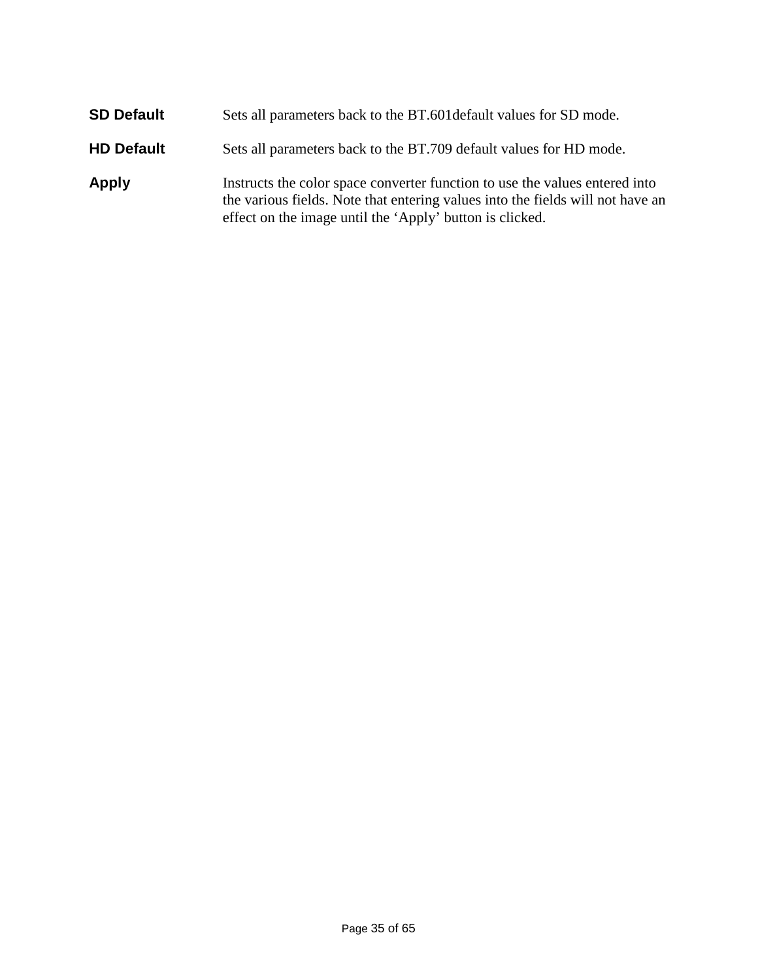| <b>SD Default</b> | Sets all parameters back to the BT.601 default values for SD mode.                                                                                                                                                        |
|-------------------|---------------------------------------------------------------------------------------------------------------------------------------------------------------------------------------------------------------------------|
| <b>HD Default</b> | Sets all parameters back to the BT.709 default values for HD mode.                                                                                                                                                        |
| <b>Apply</b>      | Instructs the color space converter function to use the values entered into<br>the various fields. Note that entering values into the fields will not have an<br>effect on the image until the 'Apply' button is clicked. |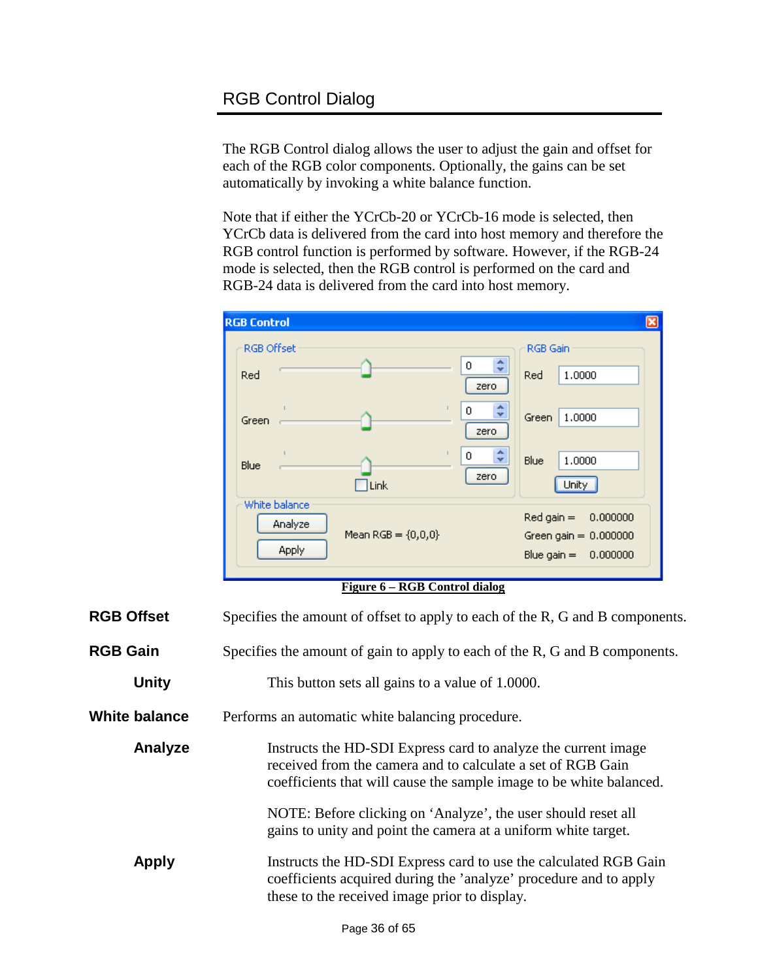### <span id="page-35-0"></span>RGB Control Dialog

The RGB Control dialog allows the user to adjust the gain and offset for each of the RGB color components. Optionally, the gains can be set automatically by invoking a white balance function.

Note that if either the YCrCb-20 or YCrCb-16 mode is selected, then YCrCb data is delivered from the card into host memory and therefore the RGB control function is performed by software. However, if the RGB-24 mode is selected, then the RGB control is performed on the card and RGB-24 data is delivered from the card into host memory.

| <b>RGB Control</b> |                                            |                                           | ⊠                                                                                  |
|--------------------|--------------------------------------------|-------------------------------------------|------------------------------------------------------------------------------------|
| RGB Offset<br>Red  |                                            | ٠<br>0<br>v<br>zero                       | RGB Gain<br>1,0000<br>Red.                                                         |
| Green              |                                            | ≎<br>0<br>zero                            | 1,0000<br>Green                                                                    |
| <b>Blue</b>        | Link                                       | $\hat{\mathbf{v}}$<br>$\mathbf 0$<br>zero | Blue<br>1,0000<br>Unity                                                            |
| White balance      | Analyze<br>Mean $RGB = \{0,0,0\}$<br>Apply |                                           | $Red$ gain $=$<br>0.000000<br>Green gain $= 0.000000$<br>Blue gain $=$<br>0.000000 |

**Figure 6 – RGB Control dialog**

<span id="page-35-1"></span>

| <b>RGB Offset</b>    | Specifies the amount of offset to apply to each of the R, G and B components.                                                                                                                        |  |
|----------------------|------------------------------------------------------------------------------------------------------------------------------------------------------------------------------------------------------|--|
| <b>RGB Gain</b>      | Specifies the amount of gain to apply to each of the R, G and B components.                                                                                                                          |  |
| <b>Unity</b>         | This button sets all gains to a value of 1.0000.                                                                                                                                                     |  |
| <b>White balance</b> | Performs an automatic white balancing procedure.                                                                                                                                                     |  |
| Analyze              | Instructs the HD-SDI Express card to analyze the current image<br>received from the camera and to calculate a set of RGB Gain<br>coefficients that will cause the sample image to be white balanced. |  |
|                      | NOTE: Before clicking on 'Analyze', the user should reset all<br>gains to unity and point the camera at a uniform white target.                                                                      |  |
| <b>Apply</b>         | Instructs the HD-SDI Express card to use the calculated RGB Gain<br>coefficients acquired during the 'analyze' procedure and to apply<br>these to the received image prior to display.               |  |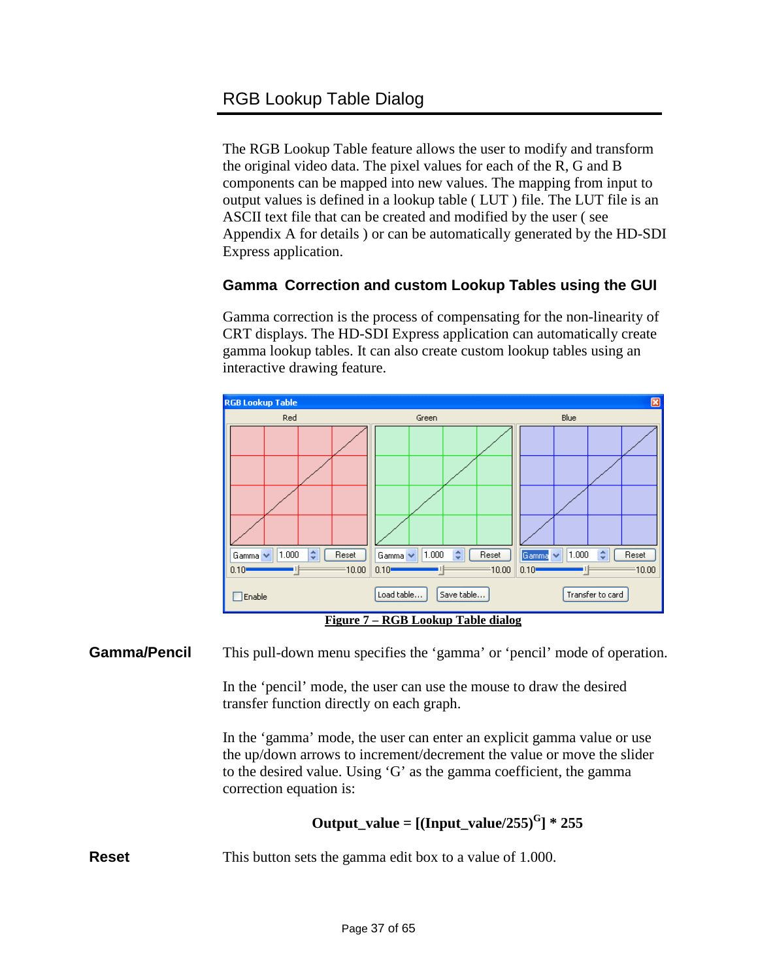<span id="page-36-0"></span>The RGB Lookup Table feature allows the user to modify and transform the original video data. The pixel values for each of the R, G and B components can be mapped into new values. The mapping from input to output values is defined in a lookup table ( LUT ) file. The LUT file is an ASCII text file that can be created and modified by the user ( see Appendix A for details ) or can be automatically generated by the HD-SDI Express application.

#### **Gamma Correction and custom Lookup Tables using the GUI**

Gamma correction is the process of compensating for the non-linearity of CRT displays. The HD-SDI Express application can automatically create gamma lookup tables. It can also create custom lookup tables using an interactive drawing feature.

![](_page_36_Figure_4.jpeg)

<span id="page-36-1"></span>**Gamma/Pencil** This pull-down menu specifies the 'gamma' or 'pencil' mode of operation.

In the 'pencil' mode, the user can use the mouse to draw the desired transfer function directly on each graph.

In the 'gamma' mode, the user can enter an explicit gamma value or use the up/down arrows to increment/decrement the value or move the slider to the desired value. Using 'G' as the gamma coefficient, the gamma correction equation is:

#### **Output\_value =**  $[(Input_value/255)^G] * 255$

**Reset** This button sets the gamma edit box to a value of 1.000.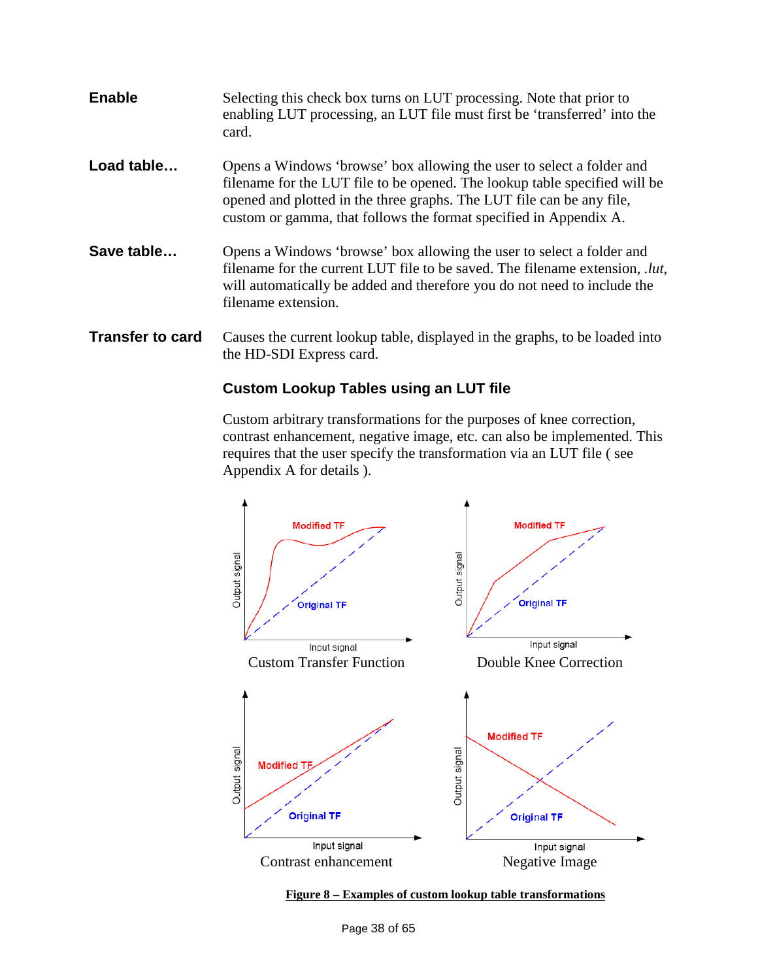- **Enable** Selecting this check box turns on LUT processing. Note that prior to enabling LUT processing, an LUT file must first be 'transferred' into the card.
- **Load table…** Opens a Windows 'browse' box allowing the user to select a folder and filename for the LUT file to be opened. The lookup table specified will be opened and plotted in the three graphs. The LUT file can be any file, custom or gamma, that follows the format specified in Appendix A.
- **Save table…** Opens a Windows 'browse' box allowing the user to select a folder and filename for the current LUT file to be saved. The filename extension, *.lut*, will automatically be added and therefore you do not need to include the filename extension.
- **Transfer to card** Causes the current lookup table, displayed in the graphs, to be loaded into the HD-SDI Express card.

#### **Custom Lookup Tables using an LUT file**

Custom arbitrary transformations for the purposes of knee correction, contrast enhancement, negative image, etc. can also be implemented. This requires that the user specify the transformation via an LUT file ( see Appendix A for details ).

![](_page_37_Figure_6.jpeg)

<span id="page-37-0"></span>![](_page_37_Figure_7.jpeg)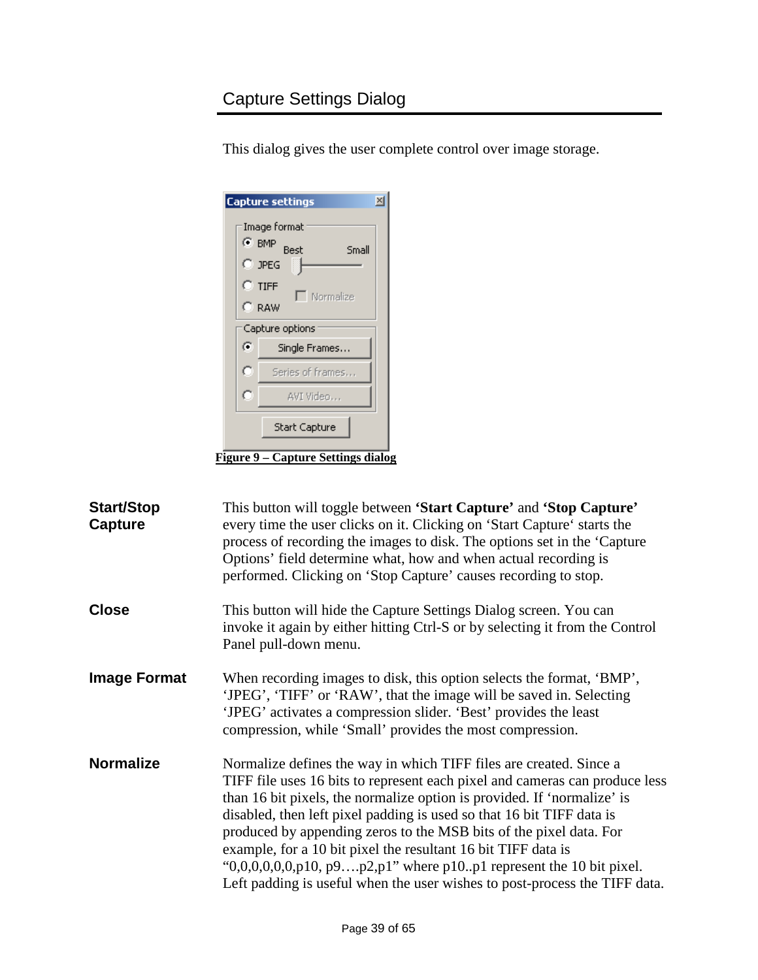# <span id="page-38-0"></span>Capture Settings Dialog

This dialog gives the user complete control over image storage.

|   | $\overline{\mathbf{x}}$<br><b>Capture settings</b>                                                           |
|---|--------------------------------------------------------------------------------------------------------------|
|   | Image format<br>$\odot$ BMP<br><b>Best</b><br>Small<br>$\degree$ JPEG<br>$C$ TIFF<br>Normalize<br>$\cap$ raw |
|   | Capture options                                                                                              |
| G | Single Frames                                                                                                |
| о | Series of frames                                                                                             |
| ō | AVI Video                                                                                                    |
|   | Start Capture                                                                                                |

**Figure 9 – Capture Settings dialog**

<span id="page-38-1"></span>

| <b>Start/Stop</b><br><b>Capture</b> | This button will toggle between 'Start Capture' and 'Stop Capture'<br>every time the user clicks on it. Clicking on 'Start Capture' starts the<br>process of recording the images to disk. The options set in the 'Capture'<br>Options' field determine what, how and when actual recording is<br>performed. Clicking on 'Stop Capture' causes recording to stop.                                                                                                                                                                                                                                      |
|-------------------------------------|--------------------------------------------------------------------------------------------------------------------------------------------------------------------------------------------------------------------------------------------------------------------------------------------------------------------------------------------------------------------------------------------------------------------------------------------------------------------------------------------------------------------------------------------------------------------------------------------------------|
| <b>Close</b>                        | This button will hide the Capture Settings Dialog screen. You can<br>invoke it again by either hitting Ctrl-S or by selecting it from the Control<br>Panel pull-down menu.                                                                                                                                                                                                                                                                                                                                                                                                                             |
| <b>Image Format</b>                 | When recording images to disk, this option selects the format, 'BMP',<br>'JPEG', 'TIFF' or 'RAW', that the image will be saved in. Selecting<br>'JPEG' activates a compression slider. 'Best' provides the least<br>compression, while 'Small' provides the most compression.                                                                                                                                                                                                                                                                                                                          |
| <b>Normalize</b>                    | Normalize defines the way in which TIFF files are created. Since a<br>TIFF file uses 16 bits to represent each pixel and cameras can produce less<br>than 16 bit pixels, the normalize option is provided. If 'normalize' is<br>disabled, then left pixel padding is used so that 16 bit TIFF data is<br>produced by appending zeros to the MSB bits of the pixel data. For<br>example, for a 10 bit pixel the resultant 16 bit TIFF data is<br>" $0,0,0,0,0,0,0,10, p9p2,p1$ " where p10.p1 represent the 10 bit pixel.<br>Left padding is useful when the user wishes to post-process the TIFF data. |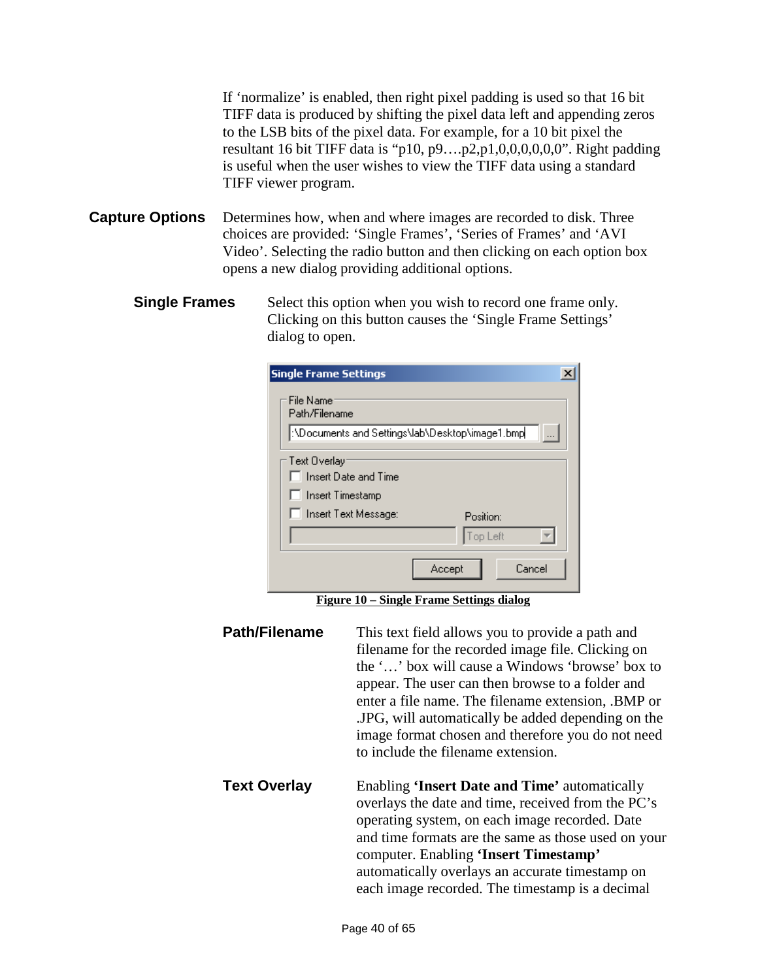If 'normalize' is enabled, then right pixel padding is used so that 16 bit TIFF data is produced by shifting the pixel data left and appending zeros to the LSB bits of the pixel data. For example, for a 10 bit pixel the resultant 16 bit TIFF data is "p10, p9….p2,p1,0,0,0,0,0,0". Right padding is useful when the user wishes to view the TIFF data using a standard TIFF viewer program.

- **Capture Options** Determines how, when and where images are recorded to disk. Three choices are provided: 'Single Frames', 'Series of Frames' and 'AVI Video'. Selecting the radio button and then clicking on each option box opens a new dialog providing additional options.
	- **Single Frames** Select this option when you wish to record one frame only. Clicking on this button causes the 'Single Frame Settings' dialog to open.

| <b>Single Frame Settings</b>                   |
|------------------------------------------------|
| File Name<br>Path/Filename                     |
| NDocuments and Settings\lab\Desktop\image1.bmp |
| – Text Overlay                                 |
| Insert Date and Time                           |
| <b>Insert Timestamp</b>                        |
| <b>Insert Text Message:</b><br>Position:       |
| Top Left                                       |
| Cancel<br>Accept                               |

**Figure 10 – Single Frame Settings dialog**

<span id="page-39-0"></span>

| Path/Filename | This text field allows you to provide a path and<br>filename for the recorded image file. Clicking on<br>the '' box will cause a Windows 'browse' box to<br>appear. The user can then browse to a folder and<br>enter a file name. The filename extension, .BMP or<br>.JPG, will automatically be added depending on the<br>image format chosen and therefore you do not need<br>to include the filename extension. |
|---------------|---------------------------------------------------------------------------------------------------------------------------------------------------------------------------------------------------------------------------------------------------------------------------------------------------------------------------------------------------------------------------------------------------------------------|
| Text Overlay  | Enabling <b>Insert Date and Time'</b> automatically<br>overlays the date and time, received from the PC's<br>operating system, on each image recorded. Date<br>and time formats are the same as those used on your<br>computer. Enabling 'Insert Timestamp'<br>automatically overlays an accurate timestamp on<br>each image recorded. The timestamp is a decimal                                                   |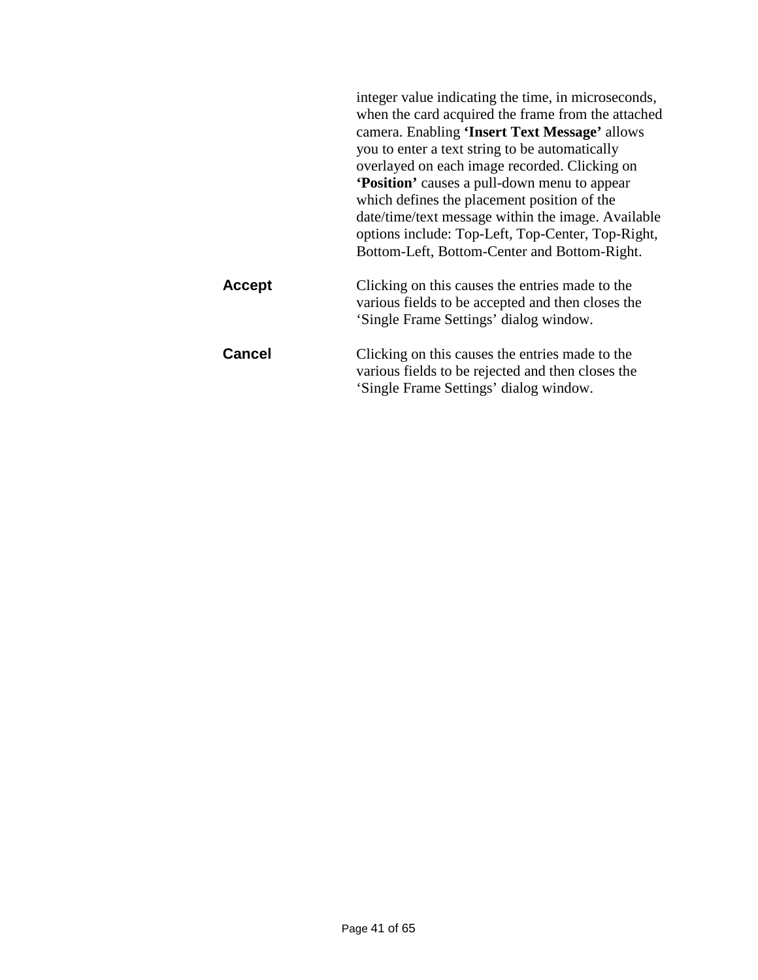|               | integer value indicating the time, in microseconds,<br>when the card acquired the frame from the attached<br>camera. Enabling 'Insert Text Message' allows<br>you to enter a text string to be automatically<br>overlayed on each image recorded. Clicking on<br><b>Position'</b> causes a pull-down menu to appear<br>which defines the placement position of the<br>date/time/text message within the image. Available<br>options include: Top-Left, Top-Center, Top-Right,<br>Bottom-Left, Bottom-Center and Bottom-Right. |
|---------------|-------------------------------------------------------------------------------------------------------------------------------------------------------------------------------------------------------------------------------------------------------------------------------------------------------------------------------------------------------------------------------------------------------------------------------------------------------------------------------------------------------------------------------|
| <b>Accept</b> | Clicking on this causes the entries made to the<br>various fields to be accepted and then closes the<br>'Single Frame Settings' dialog window.                                                                                                                                                                                                                                                                                                                                                                                |
| <b>Cancel</b> | Clicking on this causes the entries made to the<br>various fields to be rejected and then closes the<br>'Single Frame Settings' dialog window.                                                                                                                                                                                                                                                                                                                                                                                |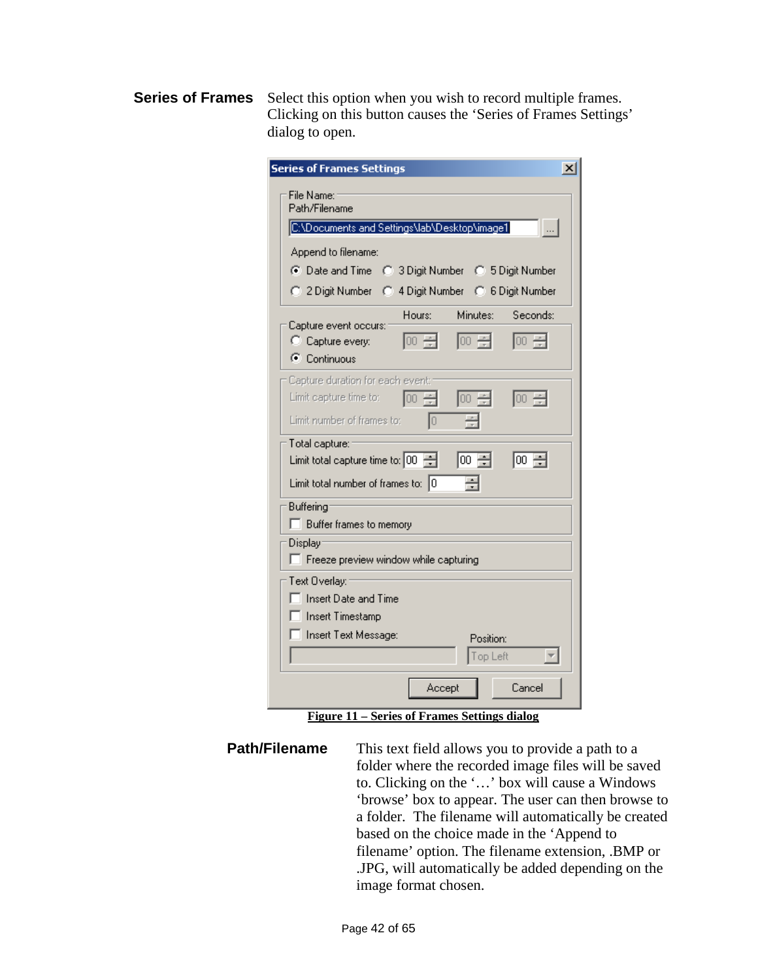**Series of Frames** Select this option when you wish to record multiple frames. Clicking on this button causes the 'Series of Frames Settings' dialog to open.

| <b>Series of Frames Settings</b><br>$\boldsymbol{\mathsf{x}}$                                          |
|--------------------------------------------------------------------------------------------------------|
| File Name:<br>Path/Filename                                                                            |
| C:\Documents and Settings\lab\Desktop\image1<br>$\Box$                                                 |
| Append to filename:                                                                                    |
| C Date and Time C 3 Digit Number C 5 Digit Number                                                      |
| C 2 Digit Number C 4 Digit Number C 6 Digit Number                                                     |
| Minutes: I<br>Hours:<br>Seconds:                                                                       |
| Capture event occurs:                                                                                  |
| $ 00 - \frac{1}{r} $<br>100 중<br>$\boxed{00}$ $\rightleftharpoons$<br>C Capture every:<br>C Continuous |
| Capture duration for each event:                                                                       |
| Limit capture time to: $\begin{bmatrix} 00 & \frac{\pi}{2} \end{bmatrix}$<br>100 승<br>100              |
| Limit number of frames to:<br>ю                                                                        |
| Total capture:                                                                                         |
| 100 引<br>Limit total capture time to: $ 00\rangle$<br> 00 필                                            |
| Limit total number of frames to: $ 0 $                                                                 |
| Buffering                                                                                              |
| □ Buffer frames to memory                                                                              |
| Display:<br>F Freeze preview window while capturing                                                    |
| Text Overlay:                                                                                          |
| Insert Date and Time                                                                                   |
| □ Insert Timestamp                                                                                     |
| <b>Insert Text Message:</b><br>Position:                                                               |
| Top Left                                                                                               |
| Cancel<br>Accept                                                                                       |

**Figure 11 – Series of Frames Settings dialog**

<span id="page-41-0"></span>**Path/Filename** This text field allows you to provide a path to a folder where the recorded image files will be saved to. Clicking on the '…' box will cause a Windows 'browse' box to appear. The user can then browse to a folder. The filename will automatically be created based on the choice made in the 'Append to filename' option. The filename extension, .BMP or .JPG, will automatically be added depending on the image format chosen.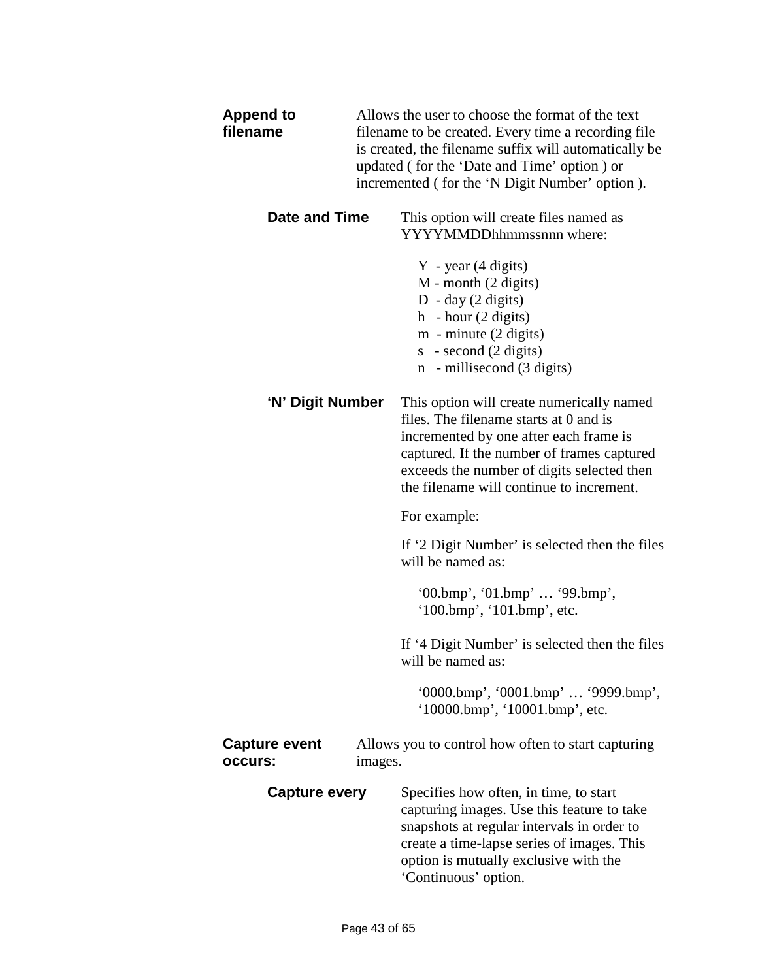| <b>Append to</b><br>filename    | Allows the user to choose the format of the text<br>filename to be created. Every time a recording file.<br>is created, the filename suffix will automatically be<br>updated (for the 'Date and Time' option) or<br>incremented (for the 'N Digit Number' option). |                                                                                                                                                                                                                                                                       |
|---------------------------------|--------------------------------------------------------------------------------------------------------------------------------------------------------------------------------------------------------------------------------------------------------------------|-----------------------------------------------------------------------------------------------------------------------------------------------------------------------------------------------------------------------------------------------------------------------|
| Date and Time                   |                                                                                                                                                                                                                                                                    | This option will create files named as<br>YYYYMMDDhhmmssnnn where:                                                                                                                                                                                                    |
|                                 |                                                                                                                                                                                                                                                                    | $Y - year (4 digits)$<br>M - month (2 digits)<br>D - day $(2 \text{ digits})$<br>h - hour $(2 \text{ digits})$<br>$m$ - minute $(2 \text{ digits})$<br>$s - second (2 digits)$<br>n - millisecond (3 digits)                                                          |
| 'N' Digit Number                |                                                                                                                                                                                                                                                                    | This option will create numerically named<br>files. The filename starts at 0 and is<br>incremented by one after each frame is<br>captured. If the number of frames captured<br>exceeds the number of digits selected then<br>the filename will continue to increment. |
|                                 |                                                                                                                                                                                                                                                                    | For example:                                                                                                                                                                                                                                                          |
|                                 |                                                                                                                                                                                                                                                                    | If '2 Digit Number' is selected then the files<br>will be named as:                                                                                                                                                                                                   |
|                                 |                                                                                                                                                                                                                                                                    | $'00.bmp', '01.bmp' \ldots '99.bmp',$<br>(100.bmp, 101.bmp, etc.                                                                                                                                                                                                      |
|                                 |                                                                                                                                                                                                                                                                    | If '4 Digit Number' is selected then the files<br>will be named as:                                                                                                                                                                                                   |
|                                 |                                                                                                                                                                                                                                                                    | '0000.bmp', '0001.bmp'  '9999.bmp',<br>'10000.bmp', '10001.bmp', etc.                                                                                                                                                                                                 |
| <b>Capture event</b><br>occurs: | images.                                                                                                                                                                                                                                                            | Allows you to control how often to start capturing                                                                                                                                                                                                                    |
| <b>Capture every</b>            |                                                                                                                                                                                                                                                                    | Specifies how often, in time, to start<br>capturing images. Use this feature to take<br>snapshots at regular intervals in order to<br>create a time-lapse series of images. This<br>option is mutually exclusive with the<br>'Continuous' option.                     |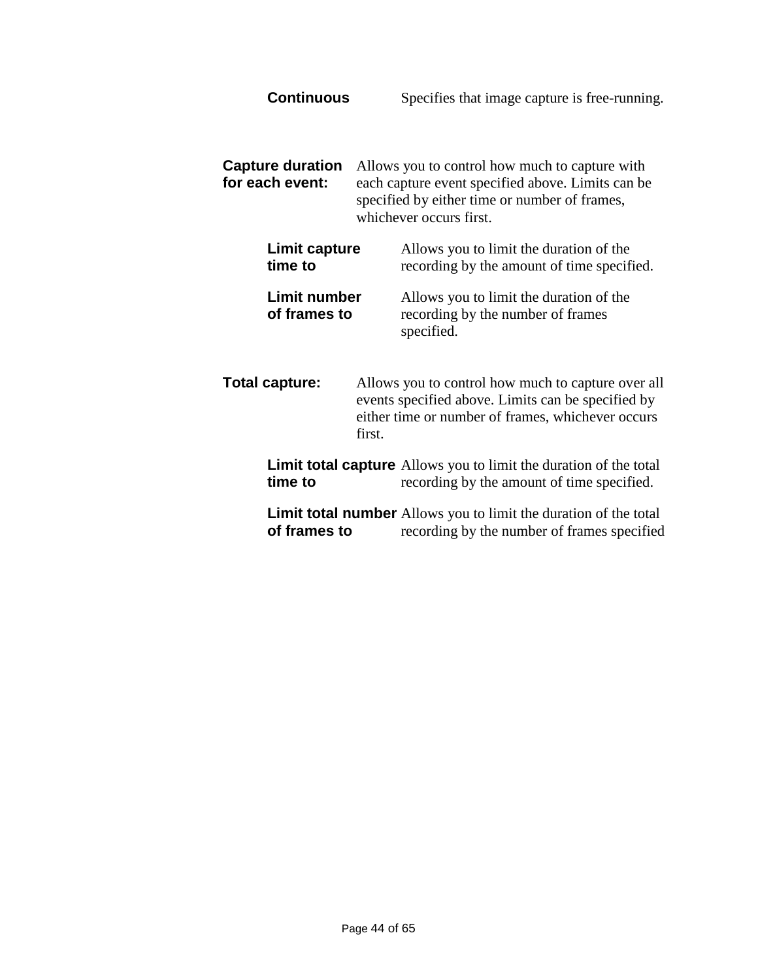**Continuous** Specifies that image capture is free-running.

**Capture duration** Allows you to control how much to capture with **for each event:** each capture event specified above. Limits can be specified by either time or number of frames, whichever occurs first.

| <b>Limit capture</b>         | Allows you to limit the duration of the                                                    |
|------------------------------|--------------------------------------------------------------------------------------------|
| time to                      | recording by the amount of time specified.                                                 |
| Limit number<br>of frames to | Allows you to limit the duration of the<br>recording by the number of frames<br>specified. |

- **Total capture:** Allows you to control how much to capture over all events specified above. Limits can be specified by either time or number of frames, whichever occurs first. **Limit total capture** Allows you to limit the duration of the total<br>time to recording by the amount of time specified. recording by the amount of time specified.
	- **Limit total number** Allows you to limit the duration of the total<br>of frames to recording by the number of frames specified recording by the number of frames specified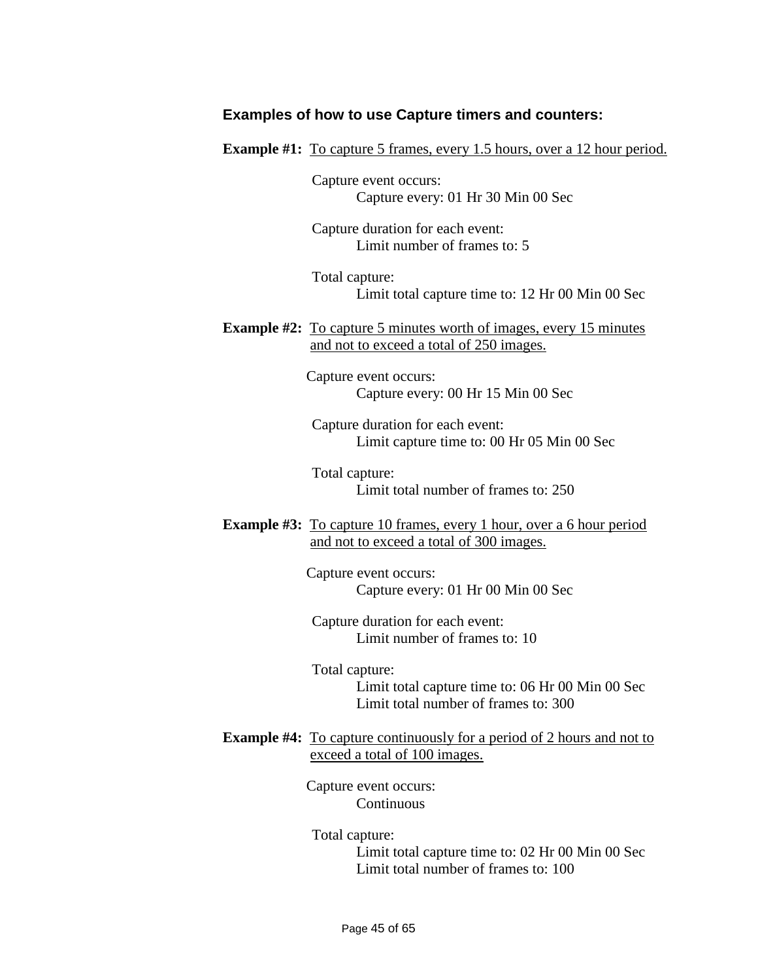#### **Examples of how to use Capture timers and counters:**

**Example #1:** To capture 5 frames, every 1.5 hours, over a 12 hour period.

Capture event occurs: Capture every: 01 Hr 30 Min 00 Sec

Capture duration for each event: Limit number of frames to: 5

Total capture: Limit total capture time to: 12 Hr 00 Min 00 Sec

**Example #2:** To capture 5 minutes worth of images, every 15 minutes and not to exceed a total of 250 images.

> Capture event occurs: Capture every: 00 Hr 15 Min 00 Sec

Capture duration for each event: Limit capture time to: 00 Hr 05 Min 00 Sec

Total capture: Limit total number of frames to: 250

**Example #3:** To capture 10 frames, every 1 hour, over a 6 hour period and not to exceed a total of 300 images.

> Capture event occurs: Capture every: 01 Hr 00 Min 00 Sec

Capture duration for each event: Limit number of frames to: 10

Total capture: Limit total capture time to: 06 Hr 00 Min 00 Sec Limit total number of frames to: 300

**Example #4:** To capture continuously for a period of 2 hours and not to exceed a total of 100 images.

> Capture event occurs: Continuous

Total capture: Limit total capture time to: 02 Hr 00 Min 00 Sec Limit total number of frames to: 100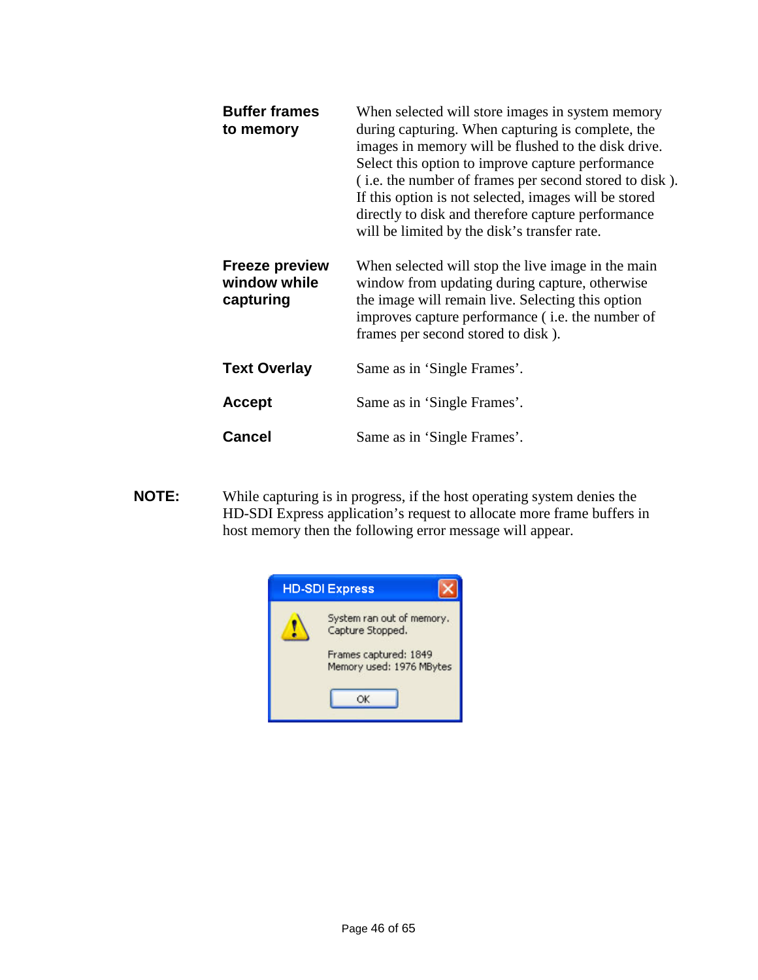| <b>Buffer frames</b><br>to memory                  | When selected will store images in system memory<br>during capturing. When capturing is complete, the<br>images in memory will be flushed to the disk drive.<br>Select this option to improve capture performance<br>(i.e. the number of frames per second stored to disk).<br>If this option is not selected, images will be stored<br>directly to disk and therefore capture performance<br>will be limited by the disk's transfer rate. |
|----------------------------------------------------|--------------------------------------------------------------------------------------------------------------------------------------------------------------------------------------------------------------------------------------------------------------------------------------------------------------------------------------------------------------------------------------------------------------------------------------------|
| <b>Freeze preview</b><br>window while<br>capturing | When selected will stop the live image in the main<br>window from updating during capture, otherwise<br>the image will remain live. Selecting this option<br>improves capture performance ( <i>i.e.</i> the number of<br>frames per second stored to disk).                                                                                                                                                                                |
| <b>Text Overlay</b>                                | Same as in 'Single Frames'.                                                                                                                                                                                                                                                                                                                                                                                                                |
| <b>Accept</b>                                      | Same as in 'Single Frames'.                                                                                                                                                                                                                                                                                                                                                                                                                |
| <b>Cancel</b>                                      | Same as in 'Single Frames'.                                                                                                                                                                                                                                                                                                                                                                                                                |

**NOTE:** While capturing is in progress, if the host operating system denies the HD-SDI Express application's request to allocate more frame buffers in host memory then the following error message will appear.

![](_page_45_Picture_2.jpeg)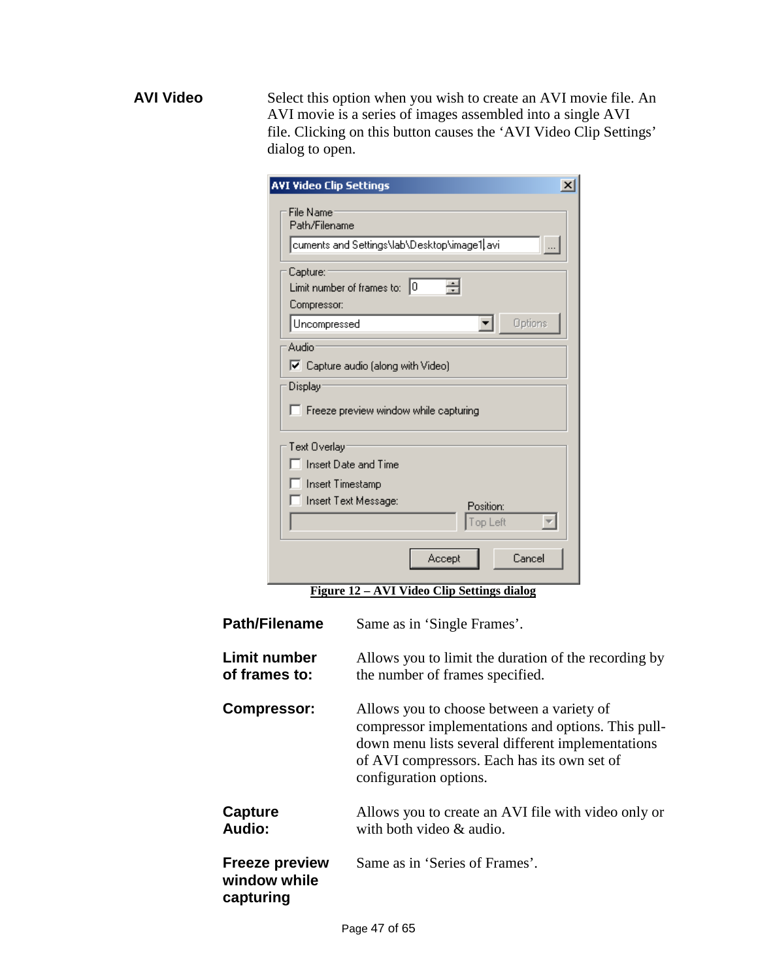**AVI Video** Select this option when you wish to create an AVI movie file. An AVI movie is a series of images assembled into a single AVI file. Clicking on this button causes the 'AVI Video Clip Settings' dialog to open.

| <b>AVI Video Clip Settings</b>       | $\vert x \vert$                                                                         |  |
|--------------------------------------|-----------------------------------------------------------------------------------------|--|
| File Name:                           |                                                                                         |  |
| Path/Filename                        |                                                                                         |  |
|                                      | cuments and Settings\lab\Desktop\image1 avi<br>$\ldots$                                 |  |
| Capture:<br>Compressor:              | Limit number of frames to: $ 0 $                                                        |  |
| Uncompressed                         | Options<br>▼                                                                            |  |
| Audio <sup>-</sup>                   |                                                                                         |  |
|                                      | $\nabla$ Capture audio (along with Video)                                               |  |
| Display-                             | $\Box$ Freeze preview window while capturing                                            |  |
| Text Overlay                         |                                                                                         |  |
|                                      | □ Insert Date and Time                                                                  |  |
| □ Insert Timestamp                   |                                                                                         |  |
|                                      | □ Insert Text Message:<br>Position:<br>Top Left                                         |  |
|                                      | Cancel<br>Accept                                                                        |  |
|                                      | <u> Figure 12 – AVI Video Clip Settings dialog</u>                                      |  |
| <b>Path/Filename</b>                 | Same as in 'Single Frames'.                                                             |  |
| <b>Limit number</b><br>of frames to: | Allows you to limit the duration of the recording by<br>the number of frames specified. |  |

<span id="page-46-0"></span>

| <b>Compressor:</b>                                 | Allows you to choose between a variety of<br>compressor implementations and options. This pull-<br>down menu lists several different implementations<br>of AVI compressors. Each has its own set of<br>configuration options. |
|----------------------------------------------------|-------------------------------------------------------------------------------------------------------------------------------------------------------------------------------------------------------------------------------|
| Capture<br><b>Audio:</b>                           | Allows you to create an AVI file with video only or<br>with both video & audio.                                                                                                                                               |
| <b>Freeze preview</b><br>window while<br>capturing | Same as in 'Series of Frames'.                                                                                                                                                                                                |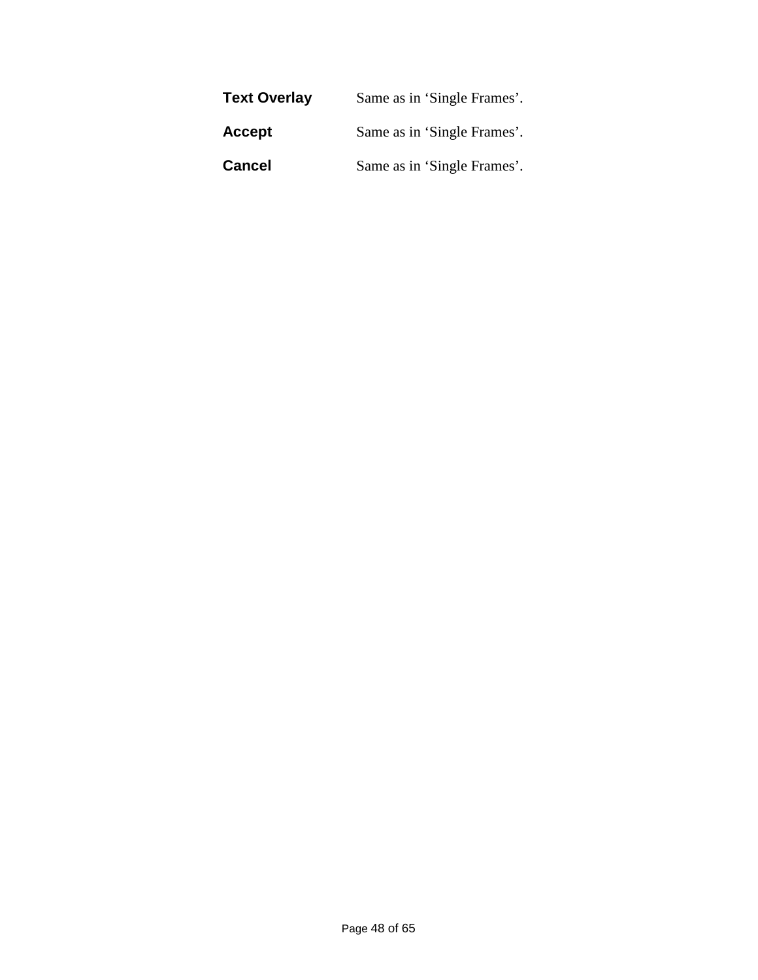| <b>Text Overlay</b> | Same as in 'Single Frames'. |
|---------------------|-----------------------------|
| Accept              | Same as in 'Single Frames'. |
| <b>Cancel</b>       | Same as in 'Single Frames'. |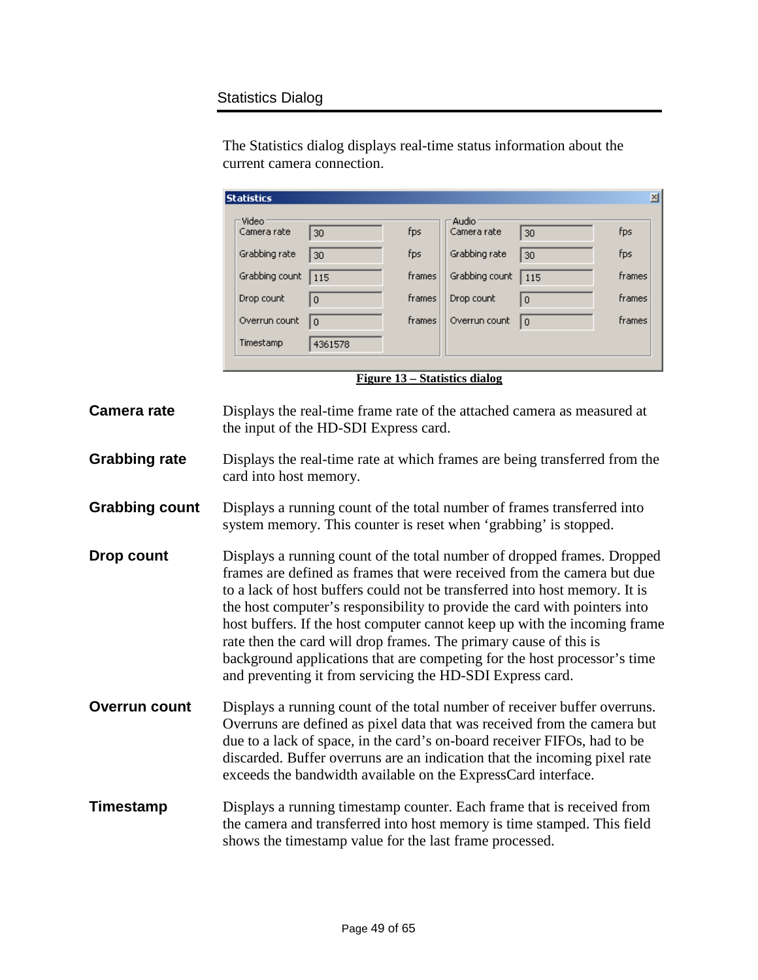#### Statistics Dialog

The Statistics dialog displays real-time status information about the current camera connection.

| <b>Statistics</b> |                |        |                |              | 쯰      |
|-------------------|----------------|--------|----------------|--------------|--------|
| Video             |                |        | Audio          |              |        |
| Camera rate       | 30             | fps    | Camera rate    | 30           | fps    |
| Grabbing rate     | 30             | fps    | Grabbing rate  | 30           | fps    |
| Grabbing count    | 115            | frames | Grabbing count | 115          | frames |
| Drop count        | $\theta$       | frames | Drop count     | $\Omega$     | frames |
| Overrun count     | $\overline{0}$ | frames | Overrun count  | $\mathbf{0}$ | frames |
| Timestamp         | 4361578        |        |                |              |        |
|                   |                |        |                |              |        |

**Figure 13 – Statistics dialog**

- <span id="page-48-0"></span>**Camera rate Displays the real-time frame rate of the attached camera as measured at** the input of the HD-SDI Express card.
- **Grabbing rate** Displays the real-time rate at which frames are being transferred from the card into host memory.
- **Grabbing count** Displays a running count of the total number of frames transferred into system memory. This counter is reset when 'grabbing' is stopped.
- **Drop count Displays a running count of the total number of dropped frames. Dropped** frames are defined as frames that were received from the camera but due to a lack of host buffers could not be transferred into host memory. It is the host computer's responsibility to provide the card with pointers into host buffers. If the host computer cannot keep up with the incoming frame rate then the card will drop frames. The primary cause of this is background applications that are competing for the host processor's time and preventing it from servicing the HD-SDI Express card.
- **Overrun count** Displays a running count of the total number of receiver buffer overruns. Overruns are defined as pixel data that was received from the camera but due to a lack of space, in the card's on-board receiver FIFOs, had to be discarded. Buffer overruns are an indication that the incoming pixel rate exceeds the bandwidth available on the ExpressCard interface.
- **Timestamp** Displays a running timestamp counter. Each frame that is received from the camera and transferred into host memory is time stamped. This field shows the timestamp value for the last frame processed.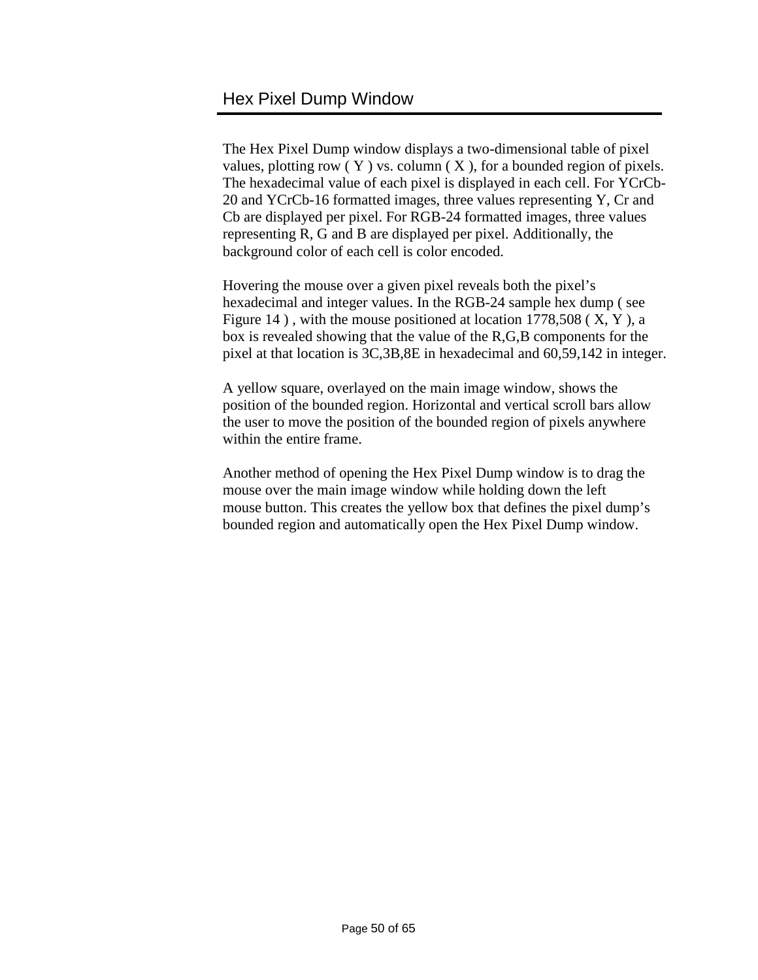<span id="page-49-0"></span>The Hex Pixel Dump window displays a two-dimensional table of pixel values, plotting row  $(Y)$  vs. column  $(X)$ , for a bounded region of pixels. The hexadecimal value of each pixel is displayed in each cell. For YCrCb-20 and YCrCb-16 formatted images, three values representing Y, Cr and Cb are displayed per pixel. For RGB-24 formatted images, three values representing R, G and B are displayed per pixel. Additionally, the background color of each cell is color encoded.

Hovering the mouse over a given pixel reveals both the pixel's hexadecimal and integer values. In the RGB-24 sample hex dump ( see Figure 14 ) , with the mouse positioned at location 1778,508 ( X, Y ), a box is revealed showing that the value of the R,G,B components for the pixel at that location is 3C,3B,8E in hexadecimal and 60,59,142 in integer.

A yellow square, overlayed on the main image window, shows the position of the bounded region. Horizontal and vertical scroll bars allow the user to move the position of the bounded region of pixels anywhere within the entire frame.

Another method of opening the Hex Pixel Dump window is to drag the mouse over the main image window while holding down the left mouse button. This creates the yellow box that defines the pixel dump's bounded region and automatically open the Hex Pixel Dump window.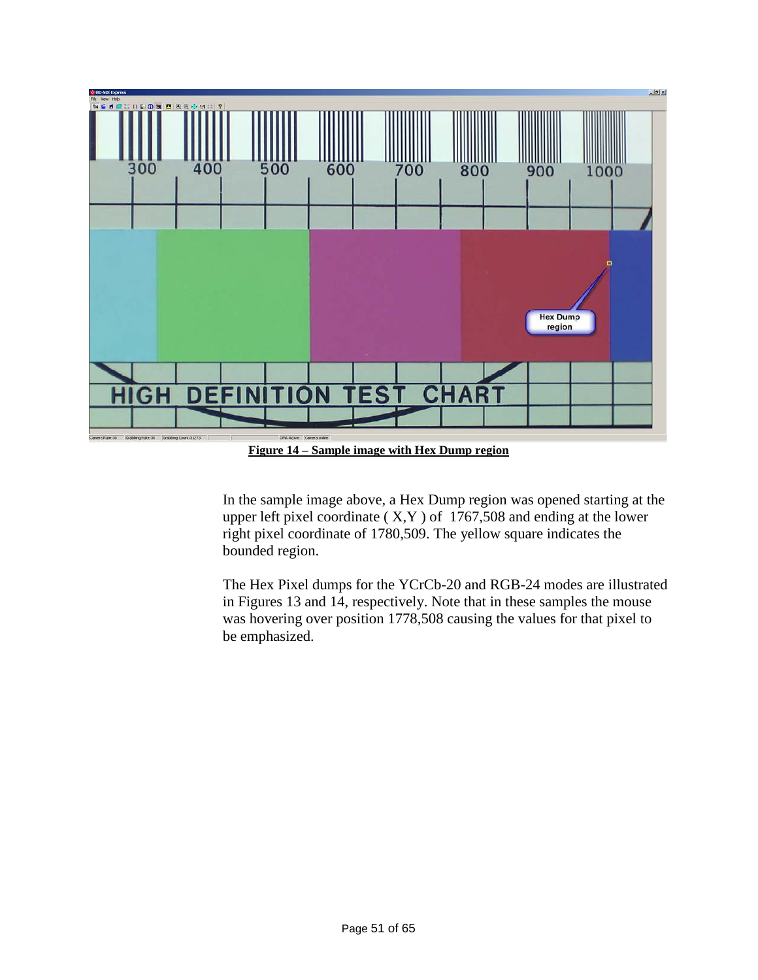![](_page_50_Figure_0.jpeg)

**Figure 14 – Sample image with Hex Dump region**

<span id="page-50-0"></span>In the sample image above, a Hex Dump region was opened starting at the upper left pixel coordinate  $(X, Y)$  of 1767,508 and ending at the lower right pixel coordinate of 1780,509. The yellow square indicates the bounded region.

The Hex Pixel dumps for the YCrCb-20 and RGB-24 modes are illustrated in Figures 13 and 14, respectively. Note that in these samples the mouse was hovering over position 1778,508 causing the values for that pixel to be emphasized.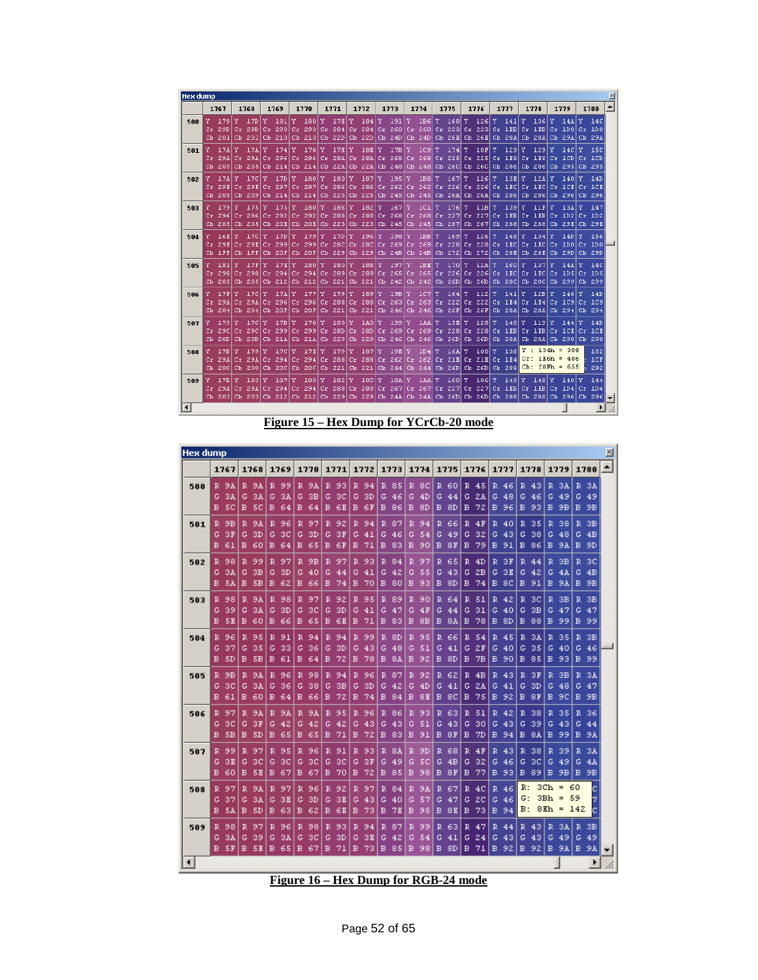| <b>Hex dump</b> |                                         |    |                                         |          |                                           |              |                                      |   |                                            |    |                              |   |                                           |                     |                                   |     |                               |            |                                                                               |          |                                                                                               |              |                                |   |                                                         |          |                                 | ⊠                        |
|-----------------|-----------------------------------------|----|-----------------------------------------|----------|-------------------------------------------|--------------|--------------------------------------|---|--------------------------------------------|----|------------------------------|---|-------------------------------------------|---------------------|-----------------------------------|-----|-------------------------------|------------|-------------------------------------------------------------------------------|----------|-----------------------------------------------------------------------------------------------|--------------|--------------------------------|---|---------------------------------------------------------|----------|---------------------------------|--------------------------|
|                 | 1767                                    |    | 1768                                    |          | 1769                                      |              | 1770                                 |   | 1771                                       |    | 1772                         |   | 1773                                      |                     | 1774                              |     | 1775                          |            | 1776                                                                          |          | 1777                                                                                          |              | 1778                           |   | 1779                                                    |          | 1780                            | $\blacktriangle$         |
| 500             | 179<br>29D<br>Cb 201                    |    | Y 17D Y<br>$Cr$ 29 $D$<br>Cb 2011       | Cr.      | 181<br>293<br>Cb 2131                     | Y            | - 180<br>$Cr$ 293<br>Cb 2131         |   | $Y = 17E$<br>$Cr$ 284<br>CD <sub>22D</sub> |    | Y 184<br>$Cr$ 284<br>Cb 22D  | Y | - 191<br>Cr <sub>260</sub><br>$Ch$ 24 $D$ | Y                   | IB6 Y                             |     |                               |            | Cr 260 Cr 223 Cr 223                                                          |          | - 168 Y - 126 Y - 141 Y - 136<br>$Cr$ IEB $ Cr$ IEB $ $<br>Cb 24D Cb 26E Cb 26E Cb 28A Cb 28A |              |                                | Y | 14 <sub>A</sub><br>$Cr$ 1DO<br>Cb 29A                   | Y        | 14C<br>$Cr$ 1D0<br>Cb 29A       |                          |
| 501             | 17A<br>$Cr$ 29A $Cr$ 29A<br>Cb 2051     | Y  | 17 <sub>A</sub><br>$\overline{c}$ b 205 | Y<br>cr  | 174<br>-2961<br>$Cb$ 214                  | Y            | 178<br>$Cr$ 296<br>CD <sub>214</sub> | Y | $17E$ $Y$<br>Cb 22A                        |    | 18E Y<br>Cb 22A              |   | 17B<br>$Cb$ 248                           | Y                   | 1C9                               | Y   | $174$ Y<br>Cb 248 Cb 26C      |            | 10F<br>Cr 28A Cr 28A Cr 268 Cr 268 Cr 225 Cr 2251<br>Cb 26C                   | Y        | 129<br>$Cr$ 1E8 $Cr$ 1E8<br>Cb 2861                                                           | Y            | 129<br>Cb 286                  | Y | 14C<br>$Cr$ $1CD$<br>Cb 295                             | Y        | 15C<br>$Cr$ $1CD$<br>Cb 295     |                          |
| 502             | 17A<br>Cr 29E Cr 29E <br>Cb 2091        | Y  | 17C<br>Cb 209                           | Y<br>Cr. | 17D<br>297<br>CD <sub>214</sub>           | Y            | 180<br>$Cr$ 297<br>$CD$ 214          | Y | 180 <sup>1</sup><br>$Cr$ 286<br>Cb 225     | Y  | 187<br>$Cr$ 286<br>Cb 225    | Y | -195<br>Cr 2621<br>$\mathbb{C}$ b 245     | Y                   | 1B8 Y                             |     | 167<br>Cr 262 Cr 226          | Y          | -1261<br> Cr 226 <br>Cb 245 Cb 26A Cb 26A                                     | Y        | 13E Y<br>Cr IEC<br>$\mathbb{C}$ b 286                                                         |              | 12A<br>Cr 1EC Cr 1CE<br>Cb 286 | Y | 140<br>Cb 296                                           | Y        | 14D<br>$Cr$ $ICE$<br>Cb 296     |                          |
| 503             | 1791<br>296<br>Cb 205 Cb 205            | Y  | 175<br>$Cr$ 296                         | Y<br>Cr  | 175<br>292<br>Cb 20E Cb 20E Cb 223 Cb 223 | Y            | 180<br>$Cr$ 292                      | Y | 186<br>$Cr$ 288                            | Y  | 182                          | Y | 167<br>Cr 288 Cr 268                      | Y<br>Cr.            | 1C1                               | Y   | 176<br>268 Cr 227             | l Y<br>Cr. | 11B<br>2271<br>Cb 245 Cb 245 Cb 267 Cb 267                                    | Y        | 139<br>$Cr$ IEB $Cr$<br>Cb 288 Cb 288                                                         | <b>Y</b>     | 11F<br> 1EB                    | Y | 13 <sub>A</sub><br>$Cr$ $1D2$<br>CD 29E                 | Y<br>Cr  | 147<br>1D2<br>CD <sub>29E</sub> |                          |
| 504             | 16E<br>Cb IFF                           | Y  | 17C<br>29E Cr 29E<br>Cb IFF             | Y<br>Cr. | 17D<br>299<br>CD 20F                      | Y            | 179<br>$Cr$ 299<br>CD 20F            | Y | 17D<br>$Cr$ 280<br>Cb 229                  | Y. | 196<br>$Cr$ 280<br>Cb 229    | Y | 198<br>$Cb$ 24B                           | Y<br>Cb.            | 1BB<br>24B                        | ΙY. | $169$ Y<br>Cb 272             |            | 126<br>Cr 269 Cr 269 Cr 228 Cr 228<br>Cb 272                                  | Y<br>Cr. | $148$ Y<br>-1ECI<br>Cb 28E                                                                    | Cr           | 134<br>1EC<br>Cb 28E           | Y | 14D<br>$Cr$ 1D0<br>$CD$ 29 $D$                          | Y<br>Cr. | 156<br>1D0<br>Cb 29D            |                          |
| 505             | 181<br>Cr 298 Cr 298<br>Cb 205          | Y. | 17F<br>Cb 205                           | Y<br>Cr. | 17E<br>294<br>Cb 212                      | $\mathbf{v}$ | 180<br>$Cr$ 294<br>Cb 212            | Y | $-180$<br>$Cr$ 289<br>Cb 221               | Y  | 18B<br>$Cr$ 289<br>Cb 221    | Y | $-197$<br>$Cr$ 265<br>$Cb$ 242            | $\mathbf{v}$<br>cr  | 1B <sub>E</sub>                   | Y   | 170<br>265 Cr 226             | ١Y.        | 12A<br>$Cr$ 226<br>Cb 242 Cb 26D Cb 26D                                       | Y        | 160<br>$Cr$ $ BC $<br>Cb 28C                                                                  | $\mathbf{v}$ | 137<br>$Cr$ $ BC $<br>Cb 28C   | Y | 14A<br>$Cr$ $1DS$<br>Cb 299                             | Y        | 14C<br>$Cr$ $1D5$<br>Cb 299     |                          |
| 506             | 17F<br>Cr 29A Cr 29A<br>Cb 204 Cb 204   | Y  | 17C                                     | Y<br>Cr. | 17A<br>296<br>CD 20F CD 20F               | Y            | 177<br>$Cr$ 296                      | Y | 179<br>Cb 221                              | Y. | 189<br>Cb 221                | Y | 19B<br>$\mathbb{C}$ b 246                 | Y                   | $1C7$ $Y$                         |     | $164$ Y                       |            | $112$ $\overline{Y}$<br>Cb 246 Cb 26F Cb 26F                                  |          | 141<br>Cr 288 Cr 288 Cr 263 Cr 263 Cr 222 Cr 222 Cr 1E4 Cr<br>Cb 28A Cb 28A                   | Y            | 12B<br> 1E4                    | Y | 146<br>$Cr$ $1C9$<br>Cb 294                             | Y        | 14D<br>$Cr$ $1C9$<br>$CD$ 294   |                          |
| 507             | 179<br>29C<br>CD 20D                    | Y  | 17C<br>$Cr$ 29 $C$<br>Cb 20D            | Y<br>Cr. | 17B<br>299<br>Cb 21A                      | Y            | 178<br>$Cr$ 299<br>Cb 21A            | Y | 180<br>$Cr$ 28 $D$<br>$Cb$ 229             | Y  | 1AO<br>$Cr$ 28 $D$<br>Cb 229 | Y | 199<br>$Cr$ 269<br>Cb 246                 | Y<br>Cr             | 1AAI<br>$\mathbb{C}$ b 246        | Y   | 15E<br>269 Cr 228<br>CD 26D   | ΙY.        | 128<br>$Cr$ 228<br>CD 26D                                                     | Y        | $148$ Y<br>$Cr$ IEB $Cr$ IEB<br>Cb 28A                                                        |              | 119<br>Cb 28A                  | Y | 144<br>$Cr$ $1CR$<br>Cb 298                             | Y<br>Cr  | 14D<br>LCE.<br>Cb 298           |                          |
| 508             | 17B<br>29A<br>Cb 2001                   | Y  | 179<br>$Cr$ 29 $A$<br>Cb 2001           | Y<br>Cr. | 17C<br>294<br>CD <sub>20C</sub>           | Y            | 17E<br>$Cr$ 294<br>$CD$ 200          | Y | 179<br>$Cr$ 288<br>$CD$ 221                | Y  | 187<br>$Cr$ 288<br>Cb 221    | Y | 19R<br>$Cr$ 262<br>$Cb$ 244               | Y<br>c <sub>r</sub> | 1D4                               | Y   | <b>16A Y</b>                  |            | 100 X<br>262 Cr 21E Cr 21E<br>$CD$ 244 $CD$ 26D $CD$ 26D                      |          | 138<br>$Cr$ $1E4$<br>Cb 288                                                                   |              |                                |   | $Y: 134h = 308$<br>$Cr: 1E6h = 486$<br>$Cb: 28Fh = 655$ |          | 152<br>1CF<br>292               |                          |
| 509             | 17B Y<br>Cr 29A Cr 29A<br>Cb 203 Cb 203 |    | 183                                     | Cr.      | 187<br>294<br>Cb 212                      | Y            | 183<br>$Cr$ 294<br>$Cb$ 212          | Y | 1821<br>Cb 229                             | Y  | 18C<br>Cb 229                | Y | 18 <sub>A</sub><br>Cb 24A                 | Y                   | <b>IAA</b> Y<br>CD <sub>24A</sub> |     | $160l$ Y<br>CD <sub>26D</sub> |            | 106 X<br>Cr. 288 Cr. 288 Cr. 267 Cr. 267 Cr. 227 Cr. 227<br>CD <sub>26D</sub> |          | 149<br>Cr 1EB Cr 1EB<br>Cb 288 Cb 288                                                         | Y            | 148                            | Y | 140<br>$Cr$ 1D4<br>Cb 296                               | Y        | 144<br>$Cr$ $1D4$<br>$Cb$ 296   | $\overline{\phantom{a}}$ |
| $\blacksquare$  |                                         |    |                                         |          |                                           |              |                                      |   |                                            |    |                              |   |                                           |                     |                                   |     |                               |            |                                                                               |          |                                                                                               |              |                                |   |                                                         |          | $\overline{ }$                  |                          |

**Figure 15 – Hex Dump for YCrCb-20 mode**

<span id="page-51-0"></span>

| <b>Hex dump</b>        |                                       |                                                 |                                  |                                |                                 |                                 |                                    |                                 |                                  |                                                         |                                           |                                                            |                                  | × |
|------------------------|---------------------------------------|-------------------------------------------------|----------------------------------|--------------------------------|---------------------------------|---------------------------------|------------------------------------|---------------------------------|----------------------------------|---------------------------------------------------------|-------------------------------------------|------------------------------------------------------------|----------------------------------|---|
|                        | 1767                                  | 1768                                            | 1769                             | 1770                           | 1771                            | 1772                            | 1773                               | 1774                            | 1775                             | 1776                                                    | 1777<br>1778                              | 1779                                                       | 1780                             |   |
| 500                    | $R$ 9A<br>3A<br>G.<br>в<br>50         | 9A<br>R.<br>G<br>ЗA<br>в<br>50                  | R 99<br>G<br>3A<br>в<br>64       | R 9A<br>G<br>зв<br>в<br>64     | R 93<br>G<br>зс<br>в<br>6E      | R 94<br>G<br>ЗD<br>в<br>-6F     | R 85<br>G<br>46<br>B 86            | R.<br>-8C<br>G<br>4D<br>в<br>8D | R 60<br>G<br>44<br>в<br>-8D      | R.<br>45<br>G<br>2A<br>G<br>72<br>в<br>в                | R 46<br>R.<br>G<br>48<br>96<br>в          | R.<br>43<br>3A<br>G<br>46<br>49<br>93<br>9B<br>в           | R 3A<br>G.<br>-49<br>в.<br>9B    |   |
| 501                    | R.<br>9B<br>ЗF<br>G<br>B.<br>-61      | 9A<br>R.<br>G<br>3D<br>B.<br>60                 | 96<br>R.<br>G<br>зс<br>в<br>-64  | R<br>97<br>G<br>3D<br>в<br>65  | 92<br>R.<br>G.<br>зв<br>в<br>6F | 94<br>R<br>¢<br>41<br>в<br>-71  | 87<br>R.<br>G.<br>46<br>в<br>-83   | 94<br>R<br>Ġ<br>54<br>в<br>90   | R.<br>66<br>G<br>-49<br>в<br>8F  | R<br>4F<br>R<br>G<br>32<br>G<br>79<br>в<br>в            | 40<br>R<br>G<br>43<br>-91<br>в            | 35<br>$\mathbb{R}$<br>38<br>G<br>38<br>48<br>86<br>в<br>9Å | R.<br>3B<br>G.<br>4B<br>B.<br>9D |   |
| 502                    | 98<br>R.<br>3A<br>G<br>в.<br>5A       | 99<br>R.<br>зв<br>G<br>в<br>5B                  | R.<br>97<br>ЗD<br>G<br>в.<br>62  | R<br>9B<br>G<br>40<br>B 66     | 97<br>R<br>c<br>44<br>74<br>в   | R<br>93<br>G<br>41<br>в<br>70   | R.<br>84<br>42<br>G<br>в<br>- 80   | R<br>97<br>c<br>55<br>93<br>в   | R.<br>65<br>G<br>43<br>в<br>-8D  | $\mathbb{R}$<br>4D<br>R<br>G<br>2B<br>G<br>74<br>в<br>в | ЗF<br>$\mathbb{R}$<br>ЗЕ<br>G<br>-8C<br>в | $\mathbb{R}$<br>зв<br>44<br>42<br>G<br>4A<br>91<br>в<br>9A | R 3C<br>4B<br>G.<br>в.<br>9B     |   |
| 503                    | 98<br>R.<br>39<br>G<br><b>SE</b><br>в | 9A<br>R.<br>G<br>3A<br>в<br>60                  | R.<br>98<br>G<br>3D<br>в<br>66   | R 97<br>G<br>зс<br>в<br>65     | 92<br>R.<br>G<br>3D<br>в<br>6E  | R<br>95<br>G<br>41<br>в<br>71   | 89<br>R.<br>G<br>47<br>в<br>83     | R<br>90<br>G<br>4F<br>в<br>8Β   | R<br>64<br>G<br>44<br>в<br>8A    | R<br>R<br>51<br>G<br>31<br>G<br>в<br>78<br>в            | 42<br>R<br>G<br>40<br>8D<br>в             | R<br>зс<br>зв<br>зв<br>G<br>47<br>88<br>в<br>99            | R.<br>зв<br>47<br>G<br>в.<br>-99 |   |
| 504                    | 96<br>R.<br>37<br>G<br>в<br>-5D       | $\mathbb{R}$<br>95<br>35<br>G<br><b>SB</b><br>в | 91<br>R.<br>G<br>33<br>в.<br>-61 | R<br>94<br>36<br>G<br>в<br>-64 | 94<br>R.<br>G<br>3D<br>72<br>в  | R.<br>-99<br>G<br>43<br>78<br>в | R.<br>8D<br>G<br>48<br>-8A<br>в    | 95<br>R<br>G<br>51<br>92<br>в   | R.<br>66<br>G<br>41<br>в<br>-8D  | $\mathbb{R}$<br>54<br>R<br>G<br>2F<br>G<br>в<br>7B<br>в | 45<br>R<br>G<br>40<br>90<br>в             | $\mathbb{R}$<br>3A<br>35<br>35<br>G<br>40<br>85<br>в<br>93 | R.<br>3В<br>46<br>G<br>-99<br>B. |   |
| 505                    | 9B<br>R.<br>G<br>зс<br>в.<br>-61      | 9A<br>R.<br>G<br>3A<br>в<br>60                  | 96<br>R.<br>G<br>36<br>в<br>64   | 98<br>R<br>38<br>G<br>в<br>66  | R.<br>94<br>G<br>зв<br>в<br>72  | R.<br>96<br>G<br>ЗD<br>в<br>74  | R 87<br>G<br>42<br>84<br>в         | 92<br>R<br>G<br>4D<br>в<br>8E   | R.<br>62<br>G<br>41<br>в<br>-8C  | R<br>4B<br>R<br>G<br>ZА<br>G<br>в<br>75<br>в            | 43<br>R<br>41<br>G<br>92<br>в             | ЗЕ<br>R<br>зв<br>G<br>3D<br>48<br>8F<br>в<br>90            | R.<br>3A<br>G<br>47<br>в<br>9B   |   |
| 506                    | 97<br>R.<br>30<br>G<br>в<br>-5B       | 9A<br>R.<br>3F<br>G<br><b>SD</b><br>в           | 9A<br>R.<br>G<br>42<br>в.<br>65  | 9A<br>R<br>G<br>42<br>в<br>-65 | 95<br>R<br>G<br>42<br>71<br>в   | Ŕ<br>96<br>G<br>43<br>в<br>72   | R.<br>86<br>G<br>43<br><b>B</b> 83 | 93<br>R<br>G<br>51<br>в<br>91   | R.<br>63<br>G<br>43<br>в<br>-8F  | R<br>51<br>Ŕ<br>G<br>30<br>G<br>в<br>7D<br>в            | 42<br>R<br>43<br>G<br>-94<br>в            | 38<br>R<br>35<br>39<br>G<br>43<br>в<br>8A<br>99            | R.<br>36<br>G<br>44<br>B 9A      |   |
| 507                    | R.<br>99<br>ЗЕ<br>G<br>в<br>60        | R.<br>97<br>G<br>30<br>в<br>5E                  | 95<br>R.<br>30<br>G.<br>в<br>67  | R<br>96<br>30<br>G<br>в<br>67  | 91<br>R<br>G<br>зс<br>70<br>в   | R 93<br>G<br>3F<br>в<br>72      | R.<br>8A<br>G.<br>49<br>в<br>85    | R<br>9D<br>G<br>50<br>в<br>98   | R.<br>68<br>G<br>4B<br>в<br>8F   | $\mathbb{R}$<br>R<br>4F<br>G<br>32<br>G<br>в<br>77<br>в | $\mathbb{R}$<br>43<br>46<br>G<br>93<br>в  | 38<br>$\mathbb{R}$<br>39<br>30<br>G<br>49<br>89<br>в<br>9B | 3A<br>R.<br>G<br>4A<br>B.<br>9B  |   |
| 508                    | 97<br>R.<br>G<br>-37<br>в.<br>-5A     | R<br>9A<br>G<br>ЗA<br>-SD<br>в                  | 97<br>R.<br>G<br>зв<br>в.<br>63  | R<br>-96<br>G<br>ЗD<br>в<br>62 | R.<br>92<br>G<br>зв<br>в<br>6E  | R<br>97<br>G<br>43<br>в<br>-73  | R<br>84<br>G<br>40<br>в<br>7E      | R<br>9A<br>G<br>57<br>в<br>95   | R.<br>67<br>G<br>47<br>в<br>8E   | R<br>4C<br>R<br>G<br>20<br>G<br>73<br>в<br>в            | R:<br>46<br>G:<br>46<br>B:<br>94          | $3Ch =$<br>$3Bh =$<br>$8Eh =$                              | c<br>60<br>59<br>7<br>142<br>c   |   |
| 509                    | R 98<br>3A<br>G<br><b>B 5F</b>        | 97<br>R<br>G<br>39<br>в<br>-5 E                 | 96<br>R.<br>G<br>3A<br>в<br>65   | 98<br>R<br>30<br>G<br>в<br>67  | 93<br>R.<br>G<br>3D<br>в<br>71  | 94<br>R<br>G<br>зв<br>в<br>73   | 87<br>R.<br>G<br>42<br>в<br>-85    | 99<br>R<br>G<br>54<br>в<br>98   | R.<br>63<br>G<br>-41<br>в<br>-8D | R<br>47<br>R<br>G<br>24<br>G<br>в<br>71<br>в            | 44<br>R<br>43<br>G<br>92<br>в             | 3A<br>43<br>R<br>G<br>43<br>49<br>в<br>-92<br>-9A          | R.<br>3В<br>G<br>49<br>в<br>9A   |   |
| $\left  \cdot \right $ |                                       |                                                 |                                  |                                |                                 |                                 |                                    |                                 |                                  |                                                         |                                           |                                                            | ۱                                |   |

<span id="page-51-1"></span>**Figure 16 – Hex Dump for RGB-24 mode**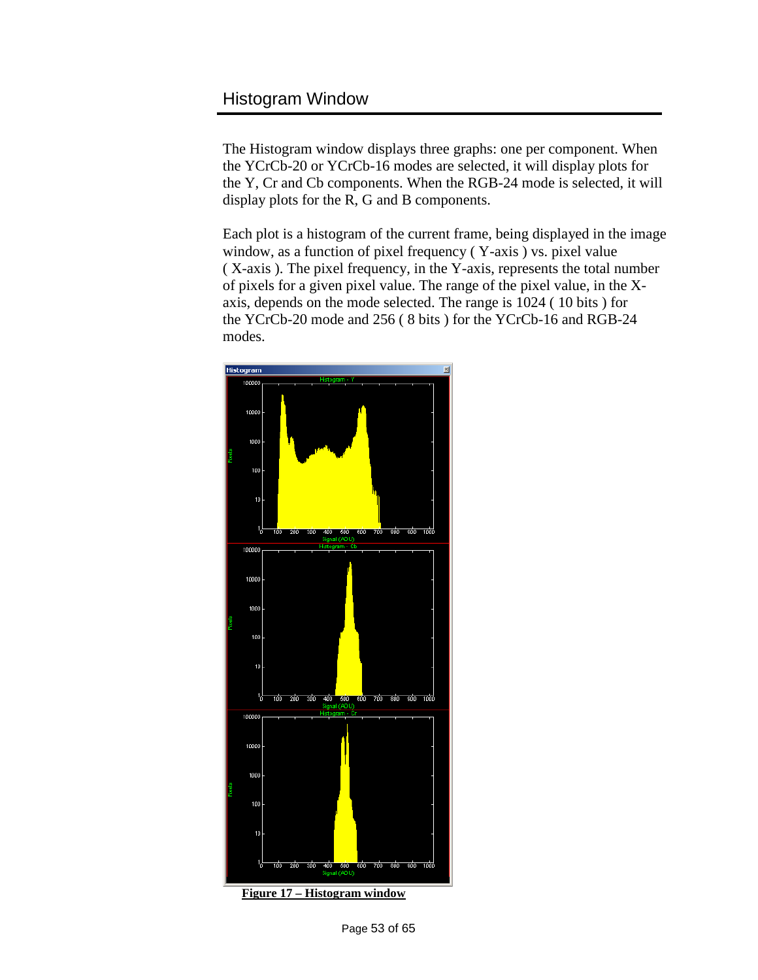### <span id="page-52-0"></span>Histogram Window

The Histogram window displays three graphs: one per component. When the YCrCb-20 or YCrCb-16 modes are selected, it will display plots for the Y, Cr and Cb components. When the RGB-24 mode is selected, it will display plots for the R, G and B components.

Each plot is a histogram of the current frame, being displayed in the image window, as a function of pixel frequency ( Y-axis ) vs. pixel value ( X-axis ). The pixel frequency, in the Y-axis, represents the total number of pixels for a given pixel value. The range of the pixel value, in the Xaxis, depends on the mode selected. The range is 1024 ( 10 bits ) for the YCrCb-20 mode and 256 ( 8 bits ) for the YCrCb-16 and RGB-24 modes.

<span id="page-52-1"></span>![](_page_52_Figure_3.jpeg)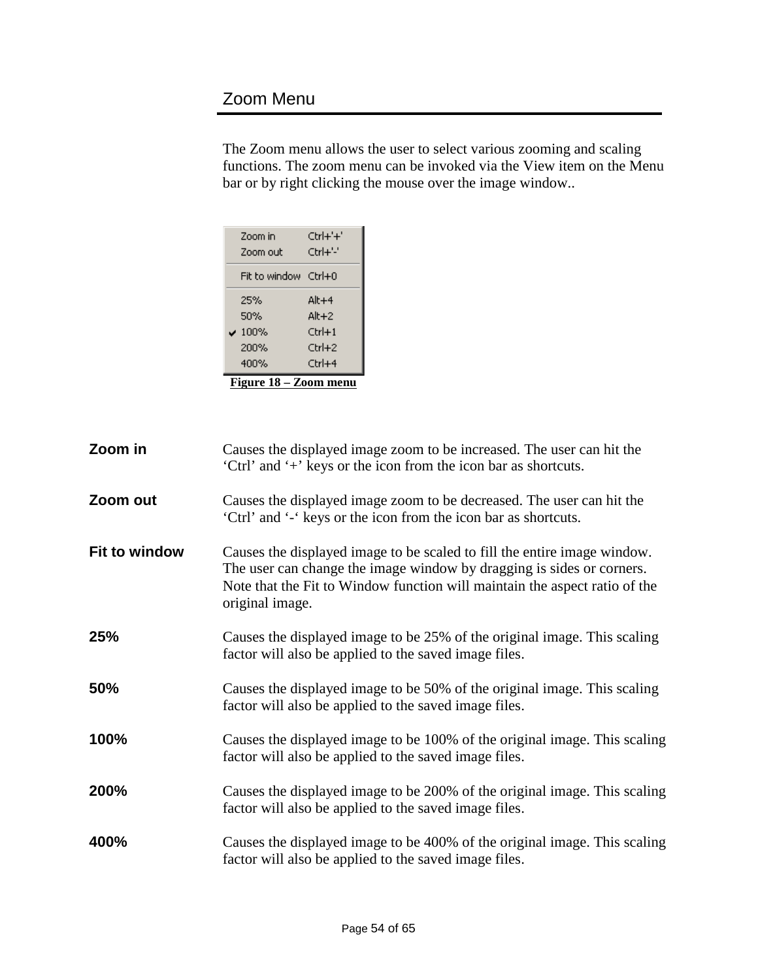## <span id="page-53-0"></span>Zoom Menu

The Zoom menu allows the user to select various zooming and scaling functions. The zoom menu can be invoked via the View item on the Menu bar or by right clicking the mouse over the image window..

| Zoom in<br>Zoom out   | Ctrl+'+'<br>Ctrl+'-' |  |  |  |  |
|-----------------------|----------------------|--|--|--|--|
| Fit to window Ctrl+0  |                      |  |  |  |  |
| 25%                   | Alt+4                |  |  |  |  |
| 50%                   | $Alt+2$              |  |  |  |  |
| $-100\%$              | $Ctrl + 1$           |  |  |  |  |
| 200%                  | Ctrl+2               |  |  |  |  |
| 400%                  | $C$ trl $+4$         |  |  |  |  |
| Figure 18 – Zoom menu |                      |  |  |  |  |

<span id="page-53-1"></span>

| Zoom in       | Causes the displayed image zoom to be increased. The user can hit the<br>'Ctrl' and '+' keys or the icon from the icon bar as shortcuts.                                                                                                           |
|---------------|----------------------------------------------------------------------------------------------------------------------------------------------------------------------------------------------------------------------------------------------------|
| Zoom out      | Causes the displayed image zoom to be decreased. The user can hit the<br>'Ctrl' and '-' keys or the icon from the icon bar as shortcuts.                                                                                                           |
| Fit to window | Causes the displayed image to be scaled to fill the entire image window.<br>The user can change the image window by dragging is sides or corners.<br>Note that the Fit to Window function will maintain the aspect ratio of the<br>original image. |
| 25%           | Causes the displayed image to be 25% of the original image. This scaling<br>factor will also be applied to the saved image files.                                                                                                                  |
| 50%           | Causes the displayed image to be 50% of the original image. This scaling<br>factor will also be applied to the saved image files.                                                                                                                  |
| 100%          | Causes the displayed image to be 100% of the original image. This scaling<br>factor will also be applied to the saved image files.                                                                                                                 |
| 200%          | Causes the displayed image to be 200% of the original image. This scaling<br>factor will also be applied to the saved image files.                                                                                                                 |
| 400%          | Causes the displayed image to be 400% of the original image. This scaling<br>factor will also be applied to the saved image files.                                                                                                                 |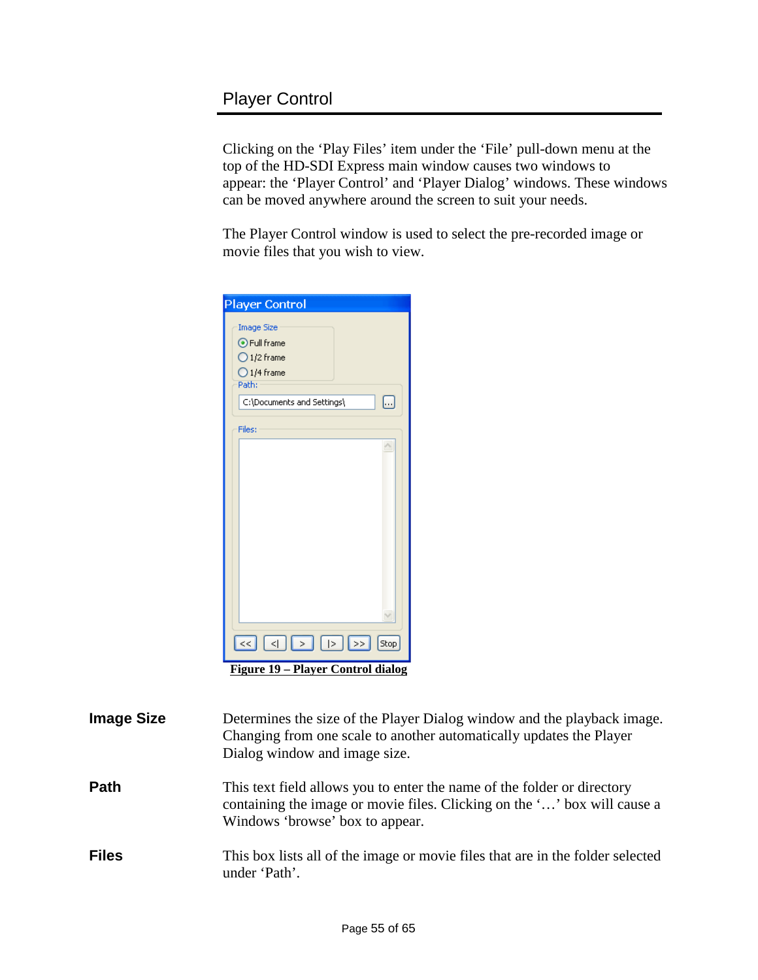<span id="page-54-0"></span>Clicking on the 'Play Files' item under the 'File' pull-down menu at the top of the HD-SDI Express main window causes two windows to appear: the 'Player Control' and 'Player Dialog' windows. These windows can be moved anywhere around the screen to suit your needs.

The Player Control window is used to select the pre-recorded image or movie files that you wish to view.

| <b>Player Control</b>                                                                                                                                                                                                                                                                                                                                                  |
|------------------------------------------------------------------------------------------------------------------------------------------------------------------------------------------------------------------------------------------------------------------------------------------------------------------------------------------------------------------------|
| <b>Image Size</b><br>⊙ Full frame<br>$\bigcirc$ 1/2 frame<br>$O$ 1/4 frame<br>Path:                                                                                                                                                                                                                                                                                    |
| C:\Documents and Settings\<br>Ш,                                                                                                                                                                                                                                                                                                                                       |
| Files:                                                                                                                                                                                                                                                                                                                                                                 |
|                                                                                                                                                                                                                                                                                                                                                                        |
|                                                                                                                                                                                                                                                                                                                                                                        |
| $\begin{picture}(4.4,10) \put(0,0){\line(1,0){10}} \put(15,0){\line(1,0){10}} \put(15,0){\line(1,0){10}} \put(15,0){\line(1,0){10}} \put(15,0){\line(1,0){10}} \put(15,0){\line(1,0){10}} \put(15,0){\line(1,0){10}} \put(15,0){\line(1,0){10}} \put(15,0){\line(1,0){10}} \put(15,0){\line(1,0){10}} \put(15,0){\line(1,0){10}} \put(15,0){\line($<br>Stop<br>$\prec$ |
| Figure 19 – Player Control dialog                                                                                                                                                                                                                                                                                                                                      |

<span id="page-54-1"></span>

| <b>Image Size</b> | Determines the size of the Player Dialog window and the playback image.<br>Changing from one scale to another automatically updates the Player<br>Dialog window and image size.        |
|-------------------|----------------------------------------------------------------------------------------------------------------------------------------------------------------------------------------|
| <b>Path</b>       | This text field allows you to enter the name of the folder or directory<br>containing the image or movie files. Clicking on the '' box will cause a<br>Windows 'browse' box to appear. |
| <b>Files</b>      | This box lists all of the image or movie files that are in the folder selected<br>under 'Path'.                                                                                        |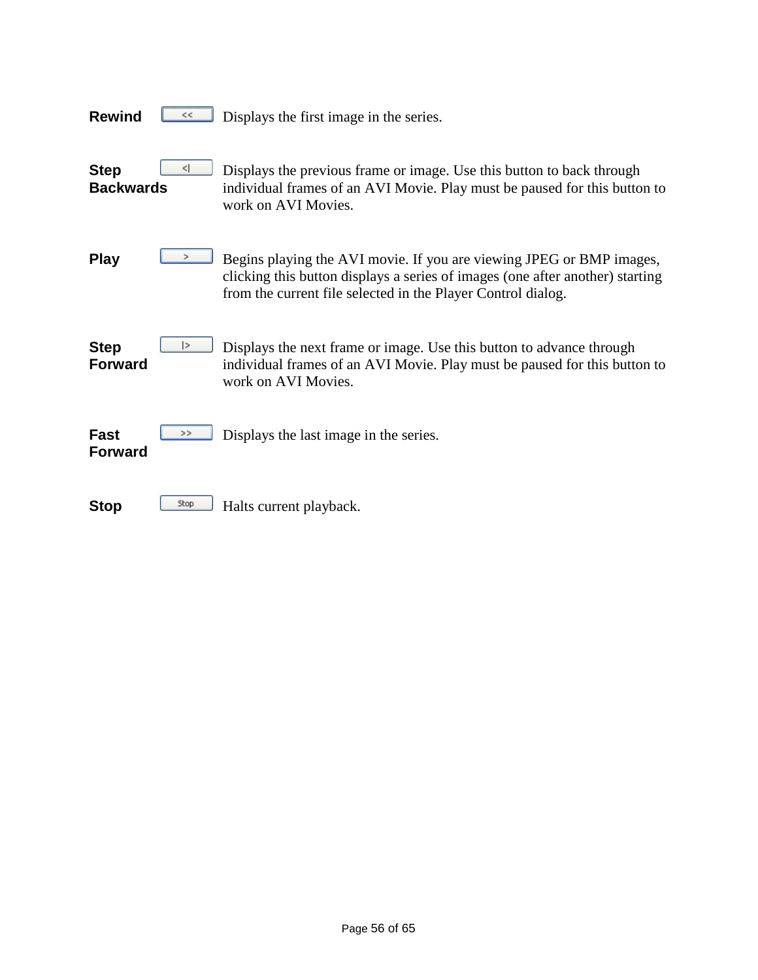| <b>Rewind</b><br><<                  | Displays the first image in the series.                                                                                                                                                                               |
|--------------------------------------|-----------------------------------------------------------------------------------------------------------------------------------------------------------------------------------------------------------------------|
| ⊲<br><b>Step</b><br><b>Backwards</b> | Displays the previous frame or image. Use this button to back through<br>individual frames of an AVI Movie. Play must be paused for this button to<br>work on AVI Movies.                                             |
| <b>Play</b>                          | Begins playing the AVI movie. If you are viewing JPEG or BMP images,<br>clicking this button displays a series of images (one after another) starting<br>from the current file selected in the Player Control dialog. |
| 1><br><b>Step</b><br><b>Forward</b>  | Displays the next frame or image. Use this button to advance through<br>individual frames of an AVI Movie. Play must be paused for this button to<br>work on AVI Movies.                                              |
| <b>Fast</b><br>><br><b>Forward</b>   | Displays the last image in the series.                                                                                                                                                                                |
| Stop<br><b>Stop</b>                  | Halts current playback.                                                                                                                                                                                               |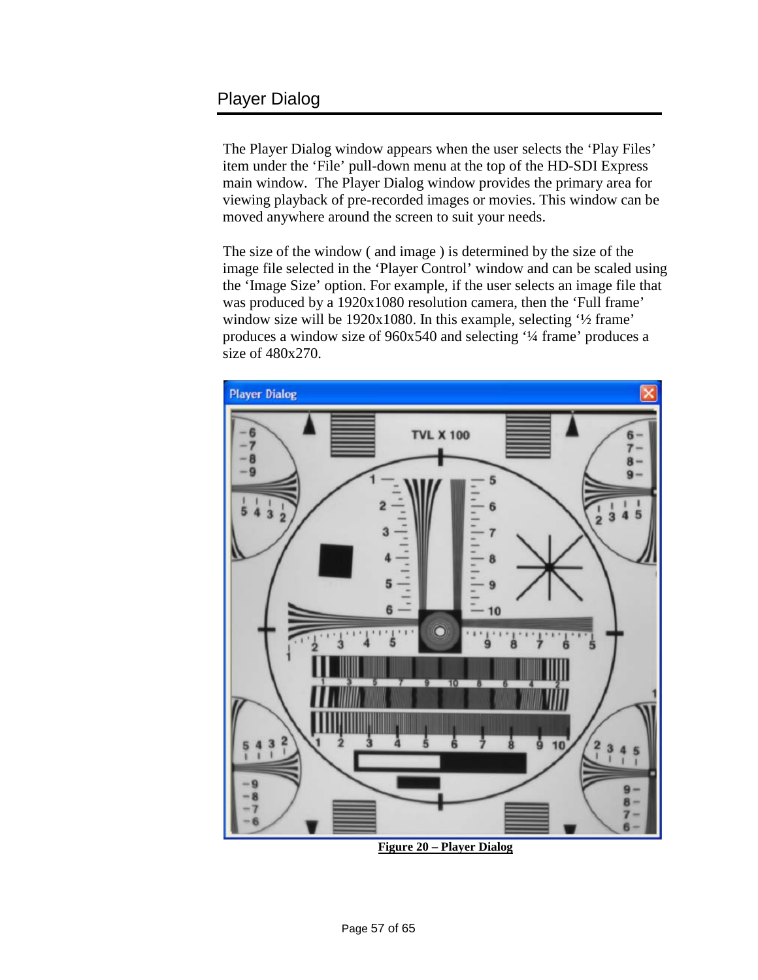### <span id="page-56-0"></span>Player Dialog

The Player Dialog window appears when the user selects the 'Play Files' item under the 'File' pull-down menu at the top of the HD-SDI Express main window. The Player Dialog window provides the primary area for viewing playback of pre-recorded images or movies. This window can be moved anywhere around the screen to suit your needs.

The size of the window ( and image ) is determined by the size of the image file selected in the 'Player Control' window and can be scaled using the 'Image Size' option. For example, if the user selects an image file that was produced by a 1920x1080 resolution camera, then the 'Full frame' window size will be 1920x1080. In this example, selecting '½ frame' produces a window size of 960x540 and selecting '¼ frame' produces a size of 480x270.

![](_page_56_Figure_3.jpeg)

<span id="page-56-1"></span>**Figure 20 – Player Dialog**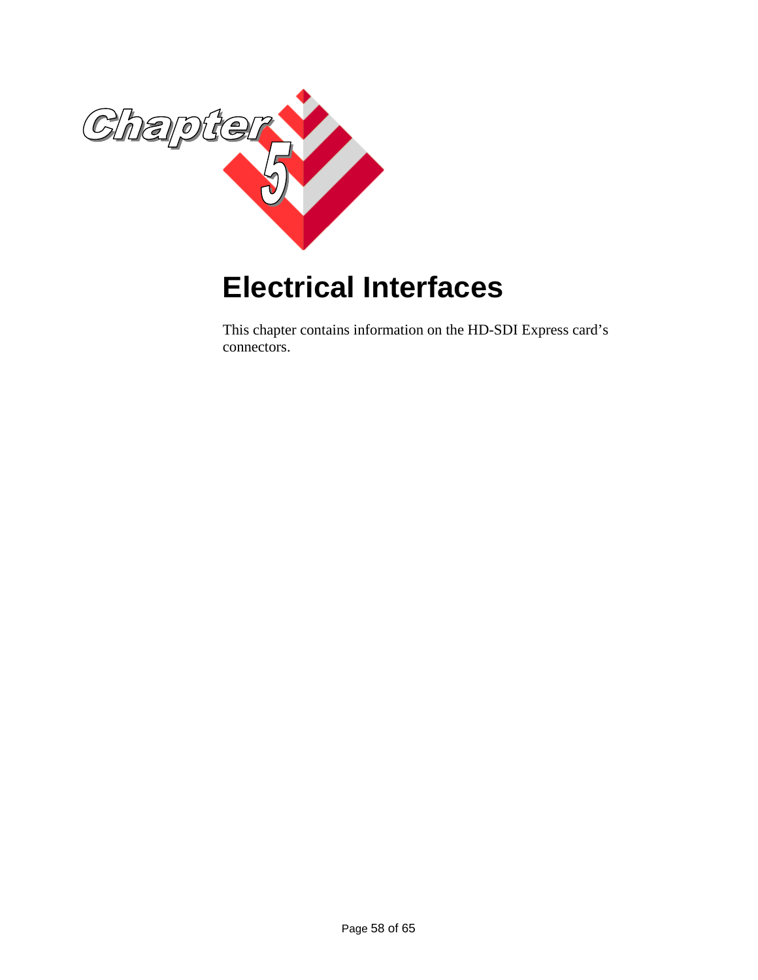![](_page_57_Picture_0.jpeg)

# <span id="page-57-0"></span>**Electrical Interfaces**

This chapter contains information on the HD-SDI Express card's connectors.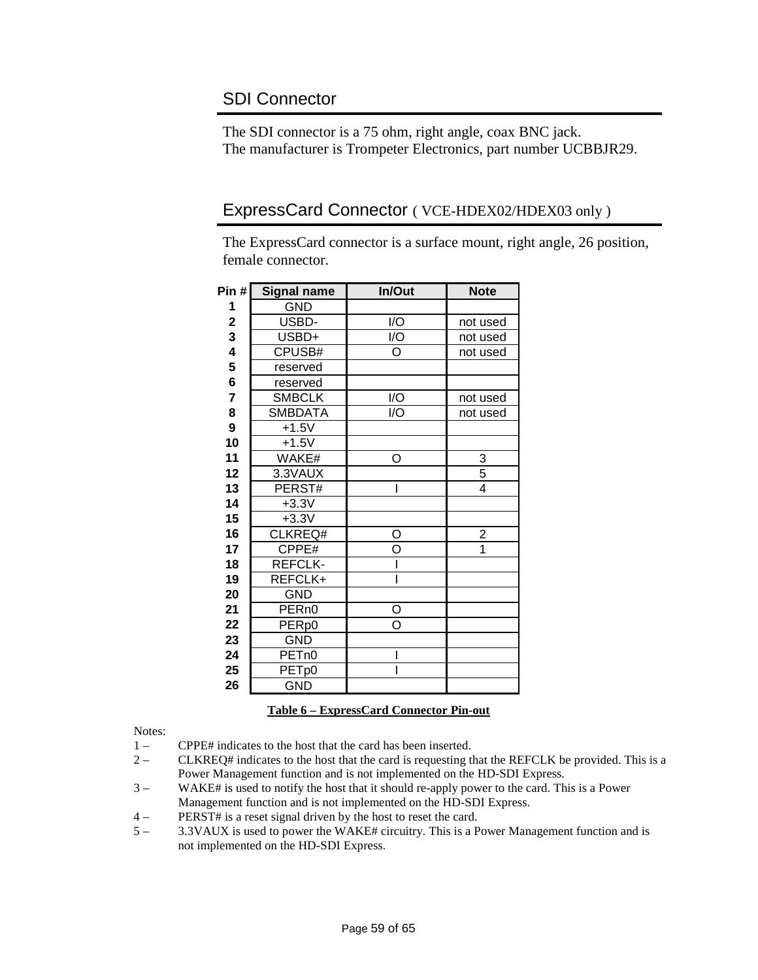### <span id="page-58-0"></span>SDI Connector

The SDI connector is a 75 ohm, right angle, coax BNC jack. The manufacturer is Trompeter Electronics, part number UCBBJR29.

#### <span id="page-58-1"></span>ExpressCard Connector ( VCE-HDEX02/HDEX03 only )

The ExpressCard connector is a surface mount, right angle, 26 position, female connector.

| Pin #       | <b>Signal name</b> | In/Out                      | <b>Note</b>             |
|-------------|--------------------|-----------------------------|-------------------------|
| 1           | <b>GND</b>         |                             |                         |
| $\mathbf 2$ | USBD-              | I/O                         | not used                |
| 3           | USBD+              | $\overline{1/\overline{O}}$ | not used                |
| 4           | CPUSB#             | $\Omega$                    | not used                |
| 5           | reserved           |                             |                         |
| 6           | reserved           |                             |                         |
| 7           | <b>SMBCLK</b>      | I/O                         | not used                |
| 8           | <b>SMBDATA</b>     | I/O                         | not used                |
| 9           | $+1.5V$            |                             |                         |
| 10          | $+1.5V$            |                             |                         |
| 11          | WAKE#              | O                           | $\frac{3}{5}$           |
| 12          | 3.3VAUX            |                             |                         |
| 13          | PERST#             | I                           | 4                       |
| 14          | $+3.3V$            |                             |                         |
| 15          | $+3.3V$            |                             |                         |
| 16          | CLKREQ#            | O                           | $\overline{\mathbf{c}}$ |
| 17          | CPPE#              | O                           | $\overline{1}$          |
| 18          | REFCLK-            |                             |                         |
| 19          | REFCLK+            | ı                           |                         |
| 20          | GND                |                             |                         |
| 21          | PER <sub>n0</sub>  | O                           |                         |
| 22          | PER <sub>p0</sub>  | $\overline{\circ}$          |                         |
| 23          | <b>GND</b>         |                             |                         |
| 24          | PET <sub>n0</sub>  | I                           |                         |
| 25          | PET <sub>p0</sub>  | I                           |                         |
| 26          | <b>GND</b>         |                             |                         |

#### **Table 6 – ExpressCard Connector Pin-out**

<span id="page-58-2"></span>Notes:

- 1 CPPE# indicates to the host that the card has been inserted.
- 2 CLKREQ# indicates to the host that the card is requesting that the REFCLK be provided. This is a Power Management function and is not implemented on the HD-SDI Express.
- 3 WAKE# is used to notify the host that it should re-apply power to the card. This is a Power Management function and is not implemented on the HD-SDI Express.
- 4 PERST# is a reset signal driven by the host to reset the card.
- 5 3.3VAUX is used to power the WAKE# circuitry. This is a Power Management function and is not implemented on the HD-SDI Express.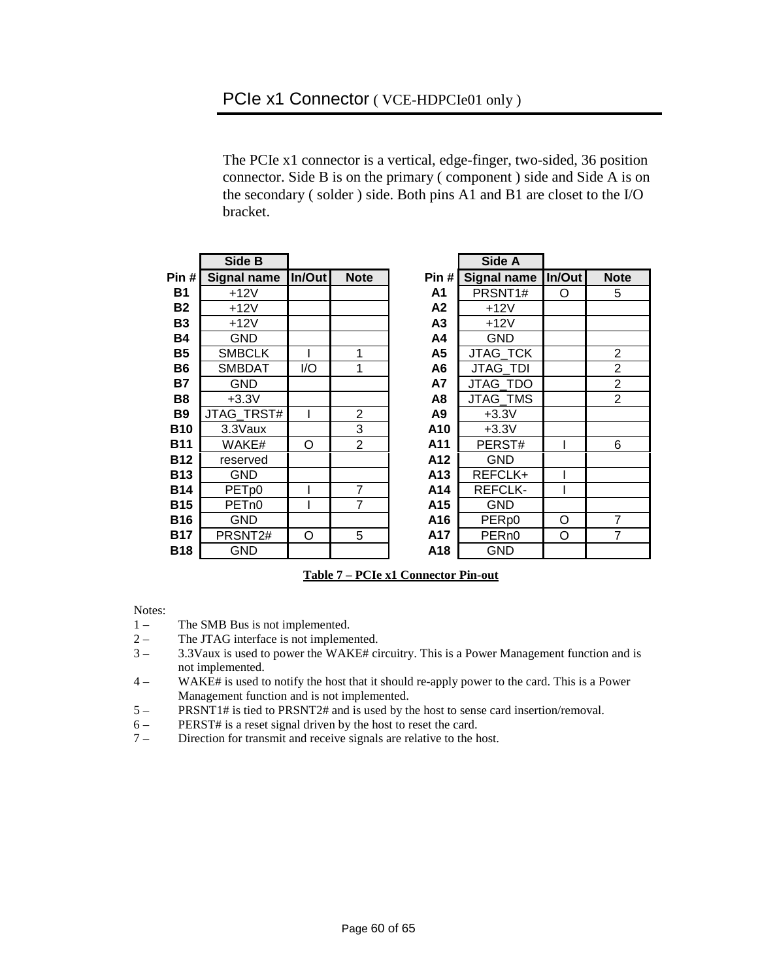<span id="page-59-0"></span>The PCIe x1 connector is a vertical, edge-finger, two-sided, 36 position connector. Side B is on the primary ( component ) side and Side A is on the secondary ( solder ) side. Both pins A1 and B1 are closet to the I/O bracket.

|            | Side B             |        |                |                | Side A             |        |                |
|------------|--------------------|--------|----------------|----------------|--------------------|--------|----------------|
| Pin#       | <b>Signal name</b> | In/Out | <b>Note</b>    | Pin#           | <b>Signal name</b> | In/Out | <b>Note</b>    |
| <b>B1</b>  | $+12V$             |        |                | A1             | PRSNT1#            | O      | 5              |
| <b>B2</b>  | $+12V$             |        |                | A2             | $+12V$             |        |                |
| <b>B3</b>  | +12V               |        |                | A3             | $+12V$             |        |                |
| <b>B4</b>  | <b>GND</b>         |        |                | A4             | GND                |        |                |
| <b>B5</b>  | <b>SMBCLK</b>      |        | 1              | A5             | <b>JTAG TCK</b>    |        | $\overline{2}$ |
| <b>B6</b>  | <b>SMBDAT</b>      | I/O    | 1              | A <sub>6</sub> | <b>JTAG TDI</b>    |        | $\overline{2}$ |
| <b>B7</b>  | <b>GND</b>         |        |                | <b>A7</b>      | <b>JTAG TDO</b>    |        | $\overline{2}$ |
| <b>B8</b>  | $+3.3V$            |        |                | A8             | <b>JTAG TMS</b>    |        | $\overline{2}$ |
| <b>B9</b>  | JTAG_TRST#         |        | $\overline{2}$ | A9             | $+3.3V$            |        |                |
| <b>B10</b> | 3.3Vaux            |        | 3              | A10            | $+3.3V$            |        |                |
| <b>B11</b> | WAKE#              | Ω      | $\overline{2}$ | A11            | PERST#             |        | 6              |
| <b>B12</b> | reserved           |        |                | A12            | GND                |        |                |
| <b>B13</b> | <b>GND</b>         |        |                | A13            | REFCLK+            |        |                |
| <b>B14</b> | PET <sub>p0</sub>  |        | 7              | A14            | <b>REFCLK-</b>     |        |                |
| <b>B15</b> | PET <sub>n0</sub>  |        | 7              | A15            | <b>GND</b>         |        |                |
| <b>B16</b> | <b>GND</b>         |        |                | A16            | PER <sub>p0</sub>  | O      | $\overline{7}$ |
| <b>B17</b> | PRSNT2#            | O      | 5              | A17            | PER <sub>n0</sub>  | O      | $\overline{7}$ |
| <b>B18</b> | GND                |        |                | A18            | GND                |        |                |

|      | Side A            |                    |                |
|------|-------------------|--------------------|----------------|
| in # | Signal name       | In/Out             | <b>Note</b>    |
| ۹1   | PRSNT1#           | O                  | 5              |
| ۹2   | $+12V$            |                    |                |
| 43   | $+12V$            |                    |                |
| ۹4   | <b>GND</b>        |                    |                |
| ۹5   | <b>JTAG TCK</b>   |                    |                |
| 46   | <b>JTAG TDI</b>   |                    | $\frac{2}{2}$  |
| 47   | <b>JTAG TDO</b>   |                    | $\overline{2}$ |
| ۹8   | JTAG TMS          |                    | $\overline{2}$ |
| ۹9   | $+3.3V$           |                    |                |
| ە1،  | $+3.3V$           |                    |                |
| 11،  | PERST#            | ı                  | 6              |
| 12،  | GND               |                    |                |
| 13،  | REFCLK+           | I                  |                |
| 14،  | REFCLK-           |                    |                |
| 15،  | GND               |                    |                |
| ە1،  | PER <sub>p0</sub> | O                  | $\overline{7}$ |
| 17   | PER <sub>n0</sub> | $\overline{\rm o}$ | $\overline{7}$ |
| 18،  | GND               |                    |                |

**Table 7 – PCIe x1 Connector Pin-out**

<span id="page-59-1"></span>Notes:

- 1 The SMB Bus is not implemented.
- 2 The JTAG interface is not implemented.<br> $3 3.3$ Vaux is used to power the WAKE# ci
- 3 3.3Vaux is used to power the WAKE# circuitry. This is a Power Management function and is not implemented.
- 4 WAKE# is used to notify the host that it should re-apply power to the card. This is a Power Management function and is not implemented.
- 5 PRSNT1# is tied to PRSNT2# and is used by the host to sense card insertion/removal.
- 6 PERST# is a reset signal driven by the host to reset the card.<br> $7 -$  Direction for transmit and receive signals are relative to the h
- Direction for transmit and receive signals are relative to the host.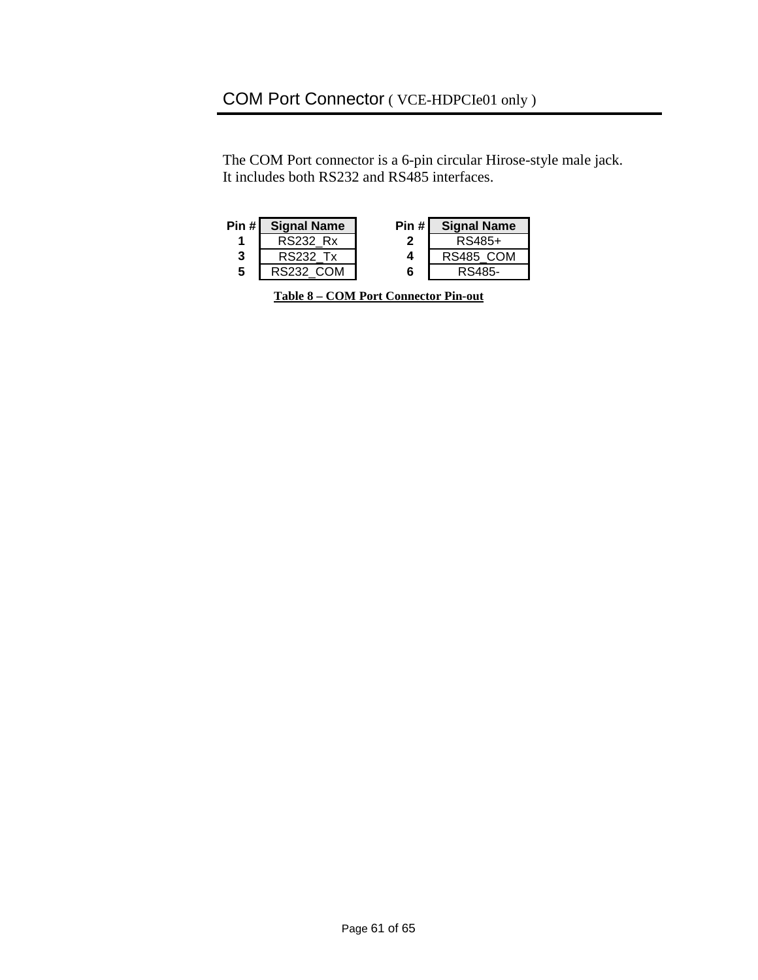# <span id="page-60-0"></span>COM Port Connector ( VCE-HDPCIe01 only )

The COM Port connector is a 6-pin circular Hirose-style male jack. It includes both RS232 and RS485 interfaces.

<span id="page-60-1"></span>

| <b>RS232 Rx</b>       | RS485+    |
|-----------------------|-----------|
|                       |           |
| <b>RS232 Tx</b><br>3  | RS485 COM |
| 5<br><b>RS232 COM</b> | RS485-    |

| <b>Table 8 – COM Port Connector Pin-out</b> |  |
|---------------------------------------------|--|
|---------------------------------------------|--|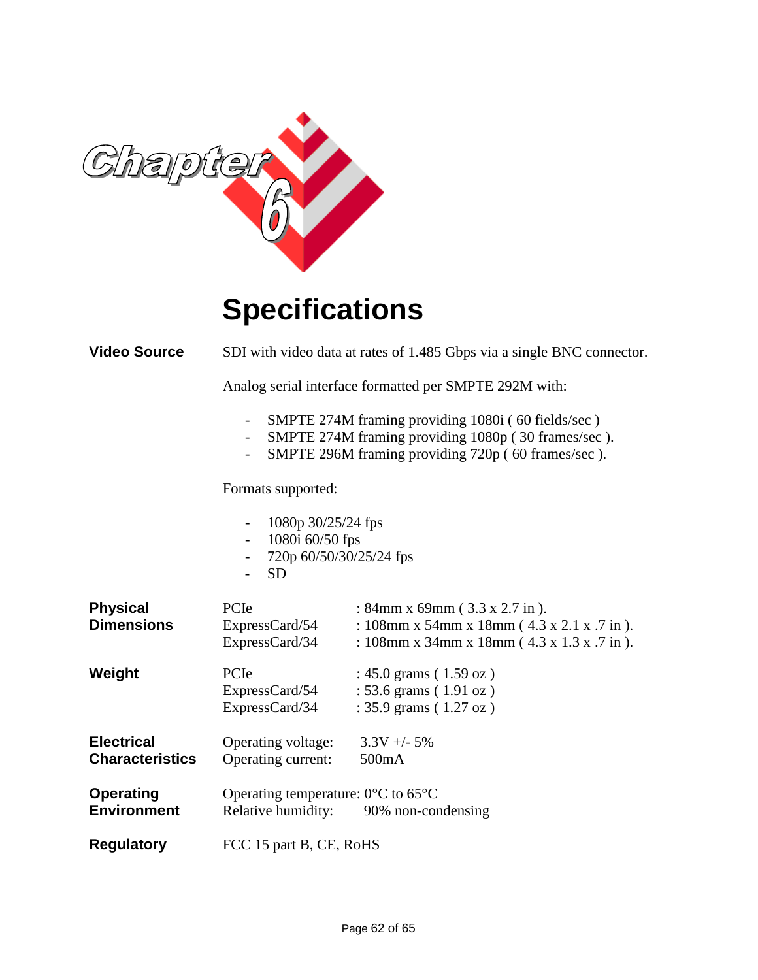![](_page_61_Picture_0.jpeg)

# **Specifications**

<span id="page-61-0"></span>**Video Source** SDI with video data at rates of 1.485 Gbps via a single BNC connector.

Analog serial interface formatted per SMPTE 292M with:

- SMPTE 274M framing providing 1080i ( 60 fields/sec )
- SMPTE 274M framing providing 1080p ( 30 frames/sec ).
- SMPTE 296M framing providing 720p ( 60 frames/sec ).

Formats supported:

|  | 1080p 30/25/24 fps |
|--|--------------------|
|--|--------------------|

- 1080i 60/50 fps
- 720p 60/50/30/25/24 fps
- SD

| <b>Physical</b><br><b>Dimensions</b>        | PCIe<br>ExpressCard/54<br>ExpressCard/34                                                              | : 84mm x 69mm $(3.3 x 2.7 in)$ .<br>: 108mm x 54mm x 18mm ( $4.3$ x 2.1 x .7 in).<br>: 108mm x 34mm x 18mm ( $4.3$ x 1.3 x .7 in). |  |  |
|---------------------------------------------|-------------------------------------------------------------------------------------------------------|------------------------------------------------------------------------------------------------------------------------------------|--|--|
| Weight                                      | <b>PC</b> Ie<br>ExpressCard/54<br>ExpressCard/34                                                      | : 45.0 grams $(1.59 \text{ oz})$<br>: 53.6 grams $(1.91 \text{ oz})$<br>: 35.9 grams $(1.27 \text{ oz})$                           |  |  |
| <b>Electrical</b><br><b>Characteristics</b> | Operating voltage:<br>Operating current:                                                              | $3.3V + - 5\%$<br>500 <sub>m</sub> A                                                                                               |  |  |
| <b>Operating</b><br><b>Environment</b>      | Operating temperature: $0^{\circ}$ C to 65 <sup>°</sup> C<br>Relative humidity:<br>90% non-condensing |                                                                                                                                    |  |  |
| <b>Regulatory</b>                           | FCC 15 part B, CE, RoHS                                                                               |                                                                                                                                    |  |  |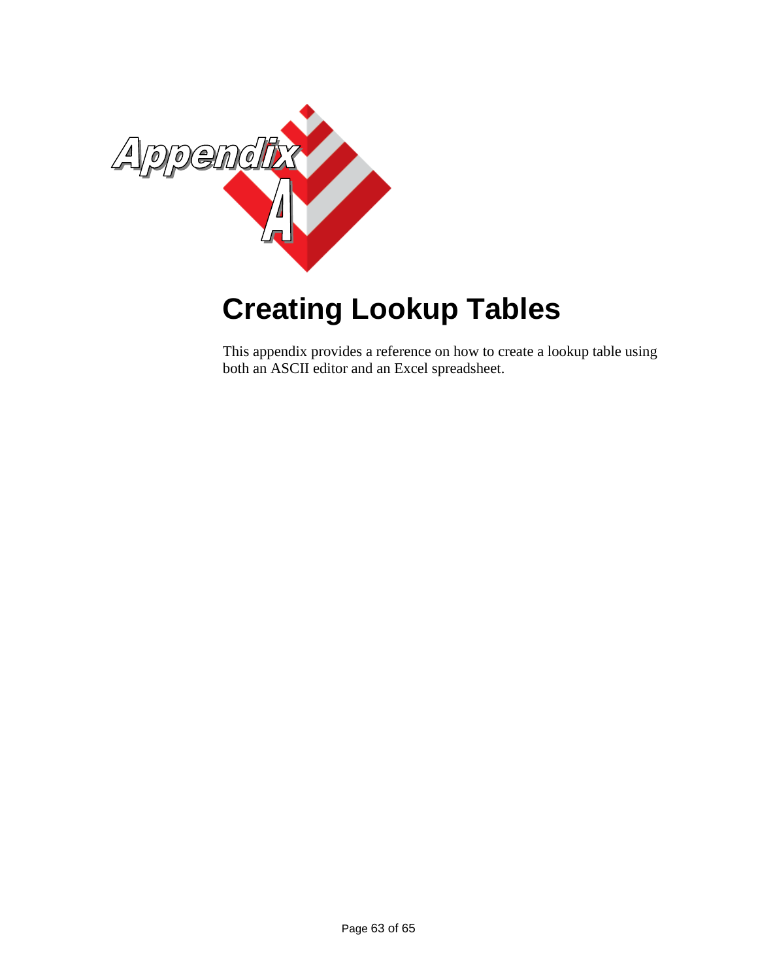![](_page_62_Picture_0.jpeg)

# <span id="page-62-0"></span>**Creating Lookup Tables**

This appendix provides a reference on how to create a lookup table using both an ASCII editor and an Excel spreadsheet.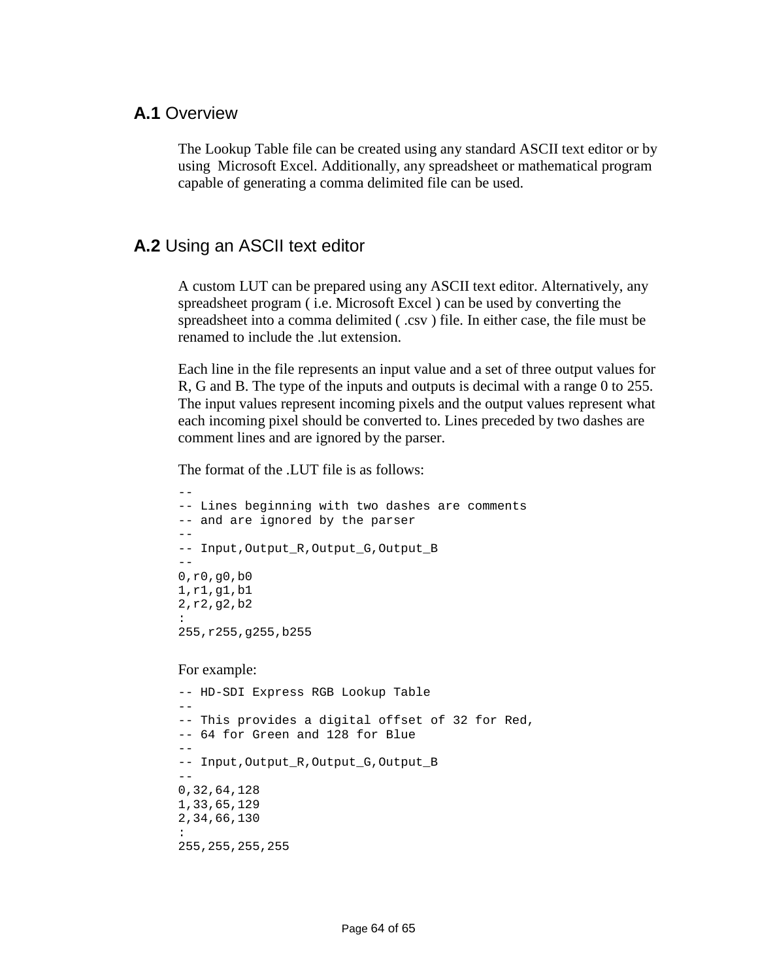#### <span id="page-63-0"></span>**A.1** Overview

The Lookup Table file can be created using any standard ASCII text editor or by using Microsoft Excel. Additionally, any spreadsheet or mathematical program capable of generating a comma delimited file can be used.

#### <span id="page-63-1"></span>**A.2** Using an ASCII text editor

A custom LUT can be prepared using any ASCII text editor. Alternatively, any spreadsheet program ( i.e. Microsoft Excel ) can be used by converting the spreadsheet into a comma delimited (.csv) file. In either case, the file must be renamed to include the .lut extension.

Each line in the file represents an input value and a set of three output values for R, G and B. The type of the inputs and outputs is decimal with a range 0 to 255. The input values represent incoming pixels and the output values represent what each incoming pixel should be converted to. Lines preceded by two dashes are comment lines and are ignored by the parser.

The format of the .LUT file is as follows:

```
--
-- Lines beginning with two dashes are comments
-- and are ignored by the parser
--- Input,Output_R,Output_G,Output_B
--
0,r0,g0,b0
1,r1,g1,b1
2,r2,g2,b2
:
255,r255,g255,b255
```
#### For example:

```
-- HD-SDI Express RGB Lookup Table
--
-- This provides a digital offset of 32 for Red,
-- 64 for Green and 128 for Blue
--- Input,Output_R,Output_G,Output_B
--
0,32,64,128
1,33,65,129
2,34,66,130
:
255,255,255,255
```